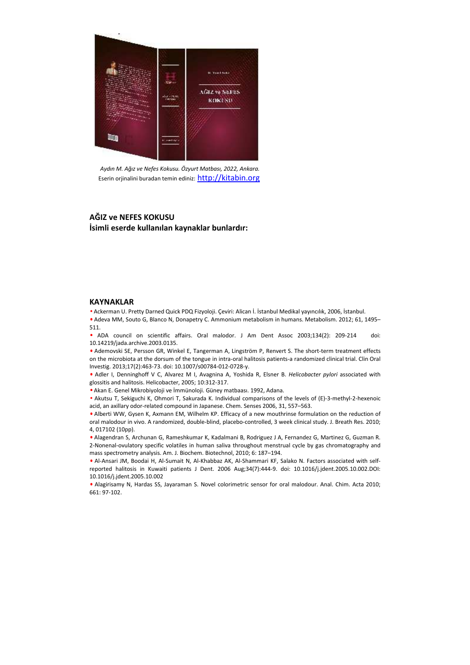

*Aydın M. Ağız ve Nefes Kokusu. Özyurt Matbası, 2022, Ankara.* Eserin orjinalini buradan temin ediniz: http://kitabin.org

## **AĞIZ ve NEFES KOKUSU İsimli eserde kullanılan kaynaklar bunlardır:**

## **KAYNAKLAR**

• Ackerman U. Pretty Darned Quick PDQ Fizyoloji. Çeviri: Alican İ. İstanbul Medikal yayıncılık, 2006, İstanbul. • Adeva MM, Souto G, Blanco N, Donapetry C. Ammonium metabolism in humans. Metabolism. 2012; 61, 1495– 511.

• ADA council on scientific affairs. Oral malodor. J Am Dent Assoc 2003;134(2): 209-214 doi: 10.14219/jada.archive.2003.0135.

• Ademovski SE, Persson GR, Winkel E, Tangerman A, Lingström P, Renvert S. The short-term treatment effects on the microbiota at the dorsum of the tongue in intra-oral halitosis patients-a randomized clinical trial. Clin Oral Investig. 2013;17(2):463-73. doi: 10.1007/s00784-012-0728-y.

• Adler I, Denninghoff V C, Alvarez M I, Avagnina A, Yoshida R, Elsner B. *Helicobacter pylori* associated with glossitis and halitosis. Helicobacter, 2005; 10:312-317.

• Akan E. Genel Mikrobiyoloji ve İmmünoloji. Güney matbaası. 1992, Adana.

• Akutsu T, Sekiguchi K, Ohmori T, Sakurada K. Individual comparisons of the levels of (E)-3-methyl-2-hexenoic acid, an axillary odor-related compound in Japanese. Chem. Senses 2006, 31, 557–563.

• Alberti WW, Gysen K, Axmann EM, Wilhelm KP. Efficacy of a new mouthrinse formulation on the reduction of oral malodour in vivo. A randomized, double-blind, placebo-controlled, 3 week clinical study. J. Breath Res. 2010; 4, 017102 (10pp). **AGIZ ve NEFES KOKUSU<br>
16. Simili eserde kullanılan kaynaklar bunlardır:**<br>
16. NATYANAKLAR<br>
16. NATYANAKLAR<br>
16. NATYANAKLAR<br>
16. NATYANAKLAR<br>
16. NATYANAKLAR<br>
16. NATYANAKLAR<br>
16. NATYANAKLAR<br>
16. NATYANAKLAR<br>
16. NATYAN

• Alagendran S, Archunan G, Rameshkumar K, Kadalmani B, Rodriguez J A, Fernandez G, Martinez G, Guzman R. 2-Nonenal-ovulatory specific volatiles in human saliva throughout menstrual cycle by gas chromatography and mass spectrometry analysis. Am. J. Biochem. Biotechnol, 2010; 6: 187–194.

• Al-Ansari JM, Boodai H, Al-Sumait N, Al-Khabbaz AK, Al-Shammari KF, Salako N. Factors associated with selfreported halitosis in Kuwaiti patients J Dent. 2006 Aug;34(7):444-9. doi: 10.1016/j.jdent.2005.10.002.DOI: 10.1016/j.jdent.2005.10.002

• Alagirisamy N, Hardas SS, Jayaraman S. Novel colorimetric sensor for oral malodour. Anal. Chim. Acta 2010;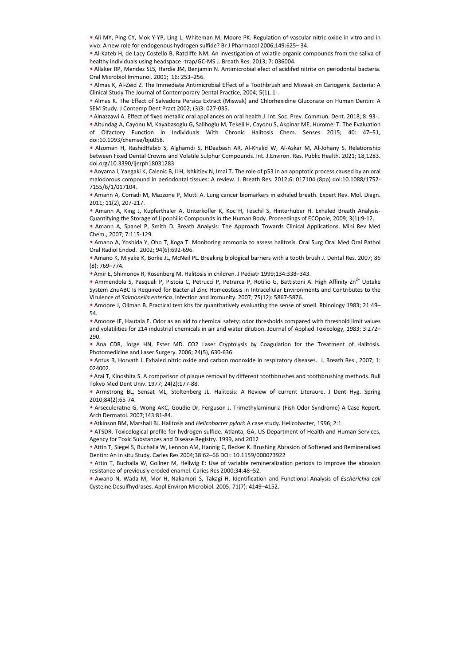• Ali MY, Ping CY, Mok Y-YP, Ling L, Whiteman M, Moore PK. Regulation of vascular nitric oxide in vitro and in vivo: A new role for endogenous hydrogen sulfide? Br J Pharmacol 2006;149:625– 34.

• Al-Kateb H, de Lacy Costello B, Ratcliffe NM. An investigation of volatile organic compounds from the saliva of healthy individuals using headspace -trap/GC-MS J. Breath Res. 2013; 7: 036004.

• Allaker RP, Mendez SLS, Hardie JM, Benjamin N. Antimicrobial efect of acidifed nitrite on periodontal bacteria. Oral Microbiol Immunol. 2001; 16: 253–256.

• Almas K, Al-Zeid Z. The Immediate Antimicrobial Effect of a Toothbrush and Miswak on Cariogenic Bacteria: A Clinical Study The Journal of Contemporary Dental Practice, 2004; 5(1), 1-.

• Almas K. The Effect of Salvadora Persica Extract (Miswak) and Chlorhexidine Gluconate on Human Dentin: A SEM Study. J Contemp Dent Pract 2002; (3)3: 027-035.

• Alnazzawi A. Effect of fixed metallic oral appliances on oral health.J. Int. Soc. Prev. Commun. Dent. 2018; 8: 93-.

• Altundag A, Cayonu M, Kayabasoglu G, Salihoglu M, Tekeli H, Cayonu S, Akpinar ME, Hummel T. The Evaluation of Olfactory Function in Individuals With Chronic Halitosis Chem. Senses 2015; 40: 47–51, doi:10.1093/chemse/bju058.

• Alzoman H, RashidHabib S, Alghamdi S, HDaabash AR, Al-Khalid W, Al-Askar M, Al-Johany S. Relationship between Fixed Dental Crowns and Volatile Sulphur Compounds. Int. J.Environ. Res. Public Health. 2021; 18,1283. doi.org/10.3390/ijerph18031283

• Aoyama I, Yaegaki K, Calenic B, Ii H, Ishkitiev N, Imai T. The role of p53 in an apoptotic process caused by an oral malodorous compound in periodontal tissues: A review. J. Breath Res. 2012;6: 017104 (8pp) doi:10.1088/1752- 7155/6/1/017104.

• Amann A, Corradi M, Mazzone P, Mutti A. Lung cancer biomarkers in exhaled breath. Expert Rev. Mol. Diagn. 2011; 11(2), 207-217.

• Amann A, King J, Kupferthaler A, Unterkofler K, Koc H, Teschil S, Hinterhuber H. Exhaled Breath Analysis-Quantifying the Storage of Lipophilic Compounds in the Human Body. Proceedings of ECOpole, 2009; 3(1):9-12.

• Amann A, Spanel P, Smith D. Breath Analysis: The Approach Towards Clinical Applications. Mini Rev Med Chem., 2007; 7:115-129.

• Amano A, Yoshida Y, Oho T, Koga T. Monitoring ammonia to assess halitosis. Oral Surg Oral Med Oral Pathol Oral Radiol Endod. 2002; 94(6):692-696.

• Amano K, Miyake K, Borke JL, McNeil PL. Breaking biological barriers with a tooth brush J. Dental Res. 2007; 86 (8): 769–774.

• Amir E, Shimonov R, Rosenberg M. Halitosis in children. J Pediatr 1999;134:338–343.

• Ammendola S, Pasquali P, Pistoia C, Petrucci P, Petrarca P, Rotilio G, Battistoni A. High Affinity Zn<sup>2+</sup> Uptake System ZnuABC Is Required for Bacterial Zinc Homeostasis in Intracellular Environments and Contributes to the Virulence of *Salmonella enterica*. Infection and Immunity. 2007; 75(12): 5867-5876. 7155/6/1007100.<br>
The Amann A, Cornal M, Mazzone P, Multi A. Lung cancer biomateers in enhield breath. Expert Rev. Mal, Diagon<br>
2011; 11(12), 207-2127.<br>
Amann A, Senat B, Kuplerthuler A, Unterkolfor K, Koc H, Texchil S, Hi

• Amoore J, Ollman B. Practical test kits for quantitatively evaluating the sense of smell. Rhinology 1983; 21:49– 54.

• Amoore JE, Hautala E. Odor as an aid to chemical safety: odor thresholds compared with threshold limit values and volatilities for 214 industrial chemicals in air and water dilution. Journal of Applied Toxicology, 1983; 3:272– 290.

• Ana CDR, Jorge HN, Ester MD. CO2 Laser Cryptolysis by Coagulation for the Treatment of Halitosis. Photomedicine and Laser Surgery. 2006; 24(5), 630-636.

• Antus B, Horvath I. Exhaled nitric oxide and carbon monoxide in respiratory diseases. J. Breath Res., 2007; 1: 024002.

• Arai T, Kinoshita S. A comparison of plaque removal by different toothbrushes and toothbrushing methods. Bull Tokyo Med Dent Univ. 1977; 24(2):177-88.

• Armstrong BL, Sensat ML, Stoltenberg JL. Halitosis: A Review of current Literaure. J Dent Hyg. Spring 2010;84(2):65-74.

• Arseculeratne G, Wong AKC, Goudie Dr, Ferguson J. Trimethylaminuria (Fish-Odor Syndrome) A Case Report. Arch Dermatol. 2007;143:81-84.

• Atkinson BM, Marshall BJ. Halitosis and *Helicobacter pylori*: A case study. Helicobacter, 1996; 2:1.

• ATSDR. Toxicological profile for hydrogen sulfide. Atlanta, GA, US Department of Health and Human Services, Agency for Toxic Substances and Disease Registry. 1999, and 2012

• Attin T, Siegel S, Buchalla W, Lennon AM, Hannig C, Becker K. Brushing Abrasion of Softened and Remineralised Dentin: An in situ Study. Caries Res 2004;38:62–66 DOI: 10.1159/000073922

• Attin T, Buchalla W, Gollner M, Hellwig E: Use of variable remineralization periods to improve the abrasion resistance of previously eroded enamel. Caries Res 2000;34:48–52.

• Awano N, Wada M, Mor H, Nakamori S, Takagi H. Identification and Functional Analysis of *Escherichia coli* Cysteine Desulfhydrases. Appl Environ Microbiol. 2005; 71(7): 4149-4152.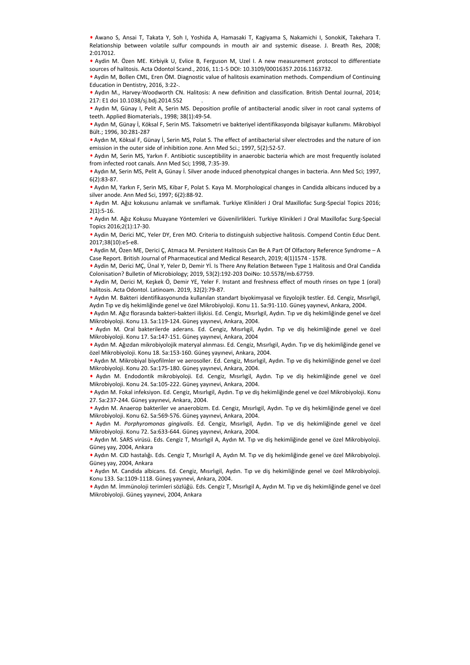• Awano S, Ansai T, Takata Y, Soh I, Yoshida A, Hamasaki T, Kagiyama S, Nakamichi I, SonokiK, Takehara T. Relationship between volatile sulfur compounds in mouth air and systemic disease. J. Breath Res, 2008; 2:017012.

• Aydin M. Özen ME. Kirbiyik U, Evlice B, Ferguson M, Uzel I. A new measurement protocol to differentiate sources of halitosis. Acta Odontol Scand., 2016, 11:1-5 DOI: 10.3109/00016357.2016.1163732.

• Aydin M, Bollen CML, Eren ÖM. Diagnostic value of halitosis examination methods. Compendium of Continuing Education in Dentistry, 2016, 3:22-.

• Aydın M., Harvey-Woodworth CN. Halitosis: A new definition and classification. British Dental Journal, 2014; 217: E1 doi 10.1038/sj.bdj.2014.552 .

• Aydın M, Günay I, Pelit A, Serin MS. Deposition profile of antibacterial anodic silver in root canal systems of teeth. Applied Biomaterials., 1998; 38(1):49-54.

• Aydın M, Günay İ, Köksal F, Serin MS. Taksometri ve bakteriyel identifikasyonda bilgisayar kullanımı. Mikrobiyol Bült.; 1996, 30:281-287

• Aydın M, Köksal F, Günay İ, Serin MS, Polat S. The effect of antibacterial silver electrodes and the nature of ion emission in the outer side of inhibition zone. Ann Med Sci.; 1997, 5(2):52-57.

• Aydın M, Serin MS, Yarkın F. Antibiotic susceptibility in anaerobic bacteria which are most frequently isolated from infected root canals. Ann Med Sci; 1998, 7:35-39.

• Aydın M, Serin MS, Pelit A, Günay İ. Silver anode induced phenotypical changes in bacteria. Ann Med Sci; 1997, 6(2):83-87.

• Aydın M, Yarkın F, Serin MS, Kibar F, Polat S. Kaya M. Morphological changes in Candida albicans induced by a silver anode. Ann Med Sci, 1997; 6(2):88-92.

• Aydın M. Ağız kokusunu anlamak ve sınıflamak. Turkiye Klinikleri J Oral Maxillofac Surg-Special Topics 2016; 2(1):5-16.

• Aydın M. Ağız Kokusu Muayane Yöntemleri ve Güvenilirlikleri. Turkiye Klinikleri J Oral Maxillofac Surg-Special Topics 2016;2(1):17-30.

• Aydin M, Derici MC, Yeler DY, Eren MO. Criteria to distinguish subjective halitosis. Compend Contin Educ Dent. 2017;38(10):e5-e8.

• Aydin M, Özen ME, Derici Ç, Atmaca M. Persistent Halitosis Can Be A Part Of Olfactory Reference Syndrome – A Case Report. British Journal of Pharmaceutical and Medical Research, 2019; 4(1)1574 - 1578.

• Aydin M, Derici MÇ, Ünal Y, Yeler D, Demir Yİ. Is There Any Relation Between Type 1 Halitosis and Oral Candida Colonisation? Bulletin of Microbiology; 2019, 53(2):192-203 DoiNo: 10.5578/mb.67759.

• Aydin M, Derici M, Keşkek Ö, Demir YE, Yeler F. Instant and freshness effect of mouth rinses on type 1 (oral) halitosis. Acta Odontol. Latinoam. 2019, 32(2):79-87.

• Aydın M. Bakteri identifikasyonunda kullanılan standart biyokimyasal ve fizyolojik testler. Ed. Cengiz, Mısırlıgil, Aydın Tıp ve diş hekimliğinde genel ve özel Mikrobiyoloji. Konu 11. Sa:91-110. Güneş yayınevi, Ankara, 2004.

• Aydın M. Ağız florasında bakteri-bakteri ilişkisi. Ed. Cengiz, Mısırlıgil, Aydın. Tıp ve diş hekimliğinde genel ve özel Mikrobiyoloji. Konu 13. Sa:119-124. Güneş yayınevi, Ankara, 2004.

• Aydın M. Oral bakterilerde aderans. Ed. Cengiz, Mısırlıgil, Aydın. Tıp ve diş hekimliğinde genel ve özel Mikrobiyoloji. Konu 17. Sa:147-151. Güneş yayınevi, Ankara, 2004

• Aydın M. Ağızdan mikrobiyolojik materyal alınması. Ed. Cengiz, Mısırlıgil, Aydın. Tıp ve diş hekimliğinde genel ve özel Mikrobiyoloji. Konu 18. Sa:153-160. Güneş yayınevi, Ankara, 2004.

• Aydın M. Mikrobiyal biyofilmler ve aerosoller. Ed. Cengiz, Mısırlıgil, Aydın. Tıp ve diş hekimliğinde genel ve özel Mikrobiyoloji. Konu 20. Sa:175-180. Güneş yayınevi, Ankara, 2004.

• Aydın M. Endodontik mikrobiyoloji. Ed. Cengiz, Mısırlıgil, Aydın. Tıp ve diş hekimliğinde genel ve özel Mikrobiyoloji. Konu 24. Sa:105-222. Güneş yayınevi, Ankara, 2004.

• Aydın M. Fokal infeksiyon. Ed. Cengiz, Mısırlıgil, Aydın. Tıp ve diş hekimliğinde genel ve özel Mikrobiyoloji. Konu 27. Sa:237-244. Güneş yayınevi, Ankara, 2004.

• Aydın M. Anaerop bakteriler ve anaerobizm. Ed. Cengiz, Mısırlıgil, Aydın. Tıp ve diş hekimliğinde genel ve özel Mikrobiyoloji. Konu 62. Sa:569-576. Güneş yayınevi, Ankara, 2004.

• Aydın M. *Porphyromonas gingivalis*. Ed. Cengiz, Mısırlıgil, Aydın. Tıp ve diş hekimliğinde genel ve özel Mikrobiyoloji. Konu 72. Sa:633-644. Güneş yayınevi, Ankara, 2004.

• Aydın M. SARS virüsü. Eds. Cengiz T, Mısırlıgil A, Aydın M. Tıp ve diş hekimliğinde genel ve özel Mikrobiyoloji. Güneş yay, 2004, Ankara e Aydın M. Partin M. Schar F. Schar K. Keye A. Morphological changes in Candida albicans induced by a<br>siver anode. Ann Med Schar F. Points Schar Murat Aydican in Carlier and Murat Aydican Schar Aydican Schar Aydican Schar

• Aydın M. CJD hastalığı. Eds. Cengiz T, Mısırlıgil A, Aydın M. Tıp ve diş hekimliğinde genel ve özel Mikrobiyoloji. Güneş yay, 2004, Ankara

• Aydın M. Candida albicans. Ed. Cengiz, Mısırlıgil, Aydın. Tıp ve diş hekimliğinde genel ve özel Mikrobiyoloji. Konu 133. Sa:1109-1118. Güneş yayınevi, Ankara, 2004.

• Aydın M. İmmünoloji terimleri sözlüğü. Eds. Cengiz T, Mısırlıgil A, Aydın M. Tıp ve diş hekimliğinde genel ve özel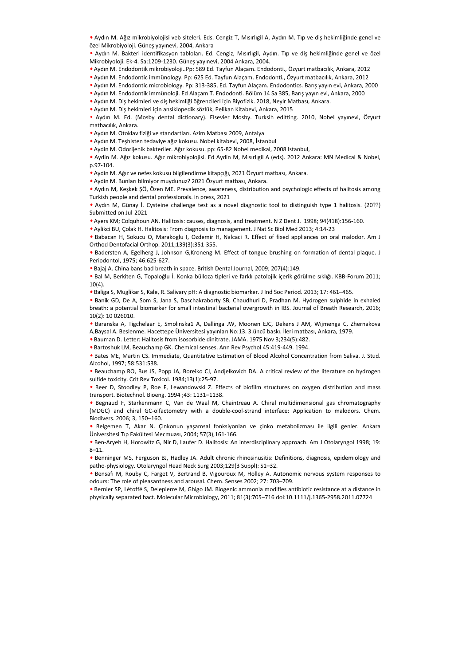• Aydın M. Ağız mikrobiyolojisi veb siteleri. Eds. Cengiz T, Mısırlıgil A, Aydın M. Tıp ve diş hekimliğinde genel ve özel Mikrobiyoloji. Güneş yayınevi, 2004, Ankara

• Aydın M. Bakteri identifikasyon tabloları. Ed. Cengiz, Mısırlıgil, Aydın. Tıp ve diş hekimliğinde genel ve özel Mikrobiyoloji. Ek-4. Sa:1209-1230. Güneş yayınevi, 2004 Ankara, 2004.

• Aydın M. Endodontik mikrobiyoloji..Pp: 589 Ed. Tayfun Alaçam. Endodonti., Özyurt matbacılık, Ankara, 2012

• Aydın M. Endodontic immünology. Pp: 625 Ed. Tayfun Alaçam. Endodonti., Özyurt matbacılık, Ankara, 2012

• Aydın M. Endodontic microbiology. Pp: 313-385, Ed. Tayfun Alaçam. Endodontics. Barış yayın evi, Ankara, 2000

• Aydın M. Endodontik immünoloji. Ed Alaçam T. Endodonti. Bölüm 14 Sa 385, Barış yayın evi, Ankara, 2000

• Aydın M. Diş hekimleri ve diş hekimliği öğrencileri için Biyofizik. 2018, Neyir Matbası, Ankara. • Aydın M. Diş hekimleri için ansiklopedik sözlük, Pelikan Kitabevi, Ankara, 2015

• Aydın M. Ed. (Mosby dental dictionary). Elsevier Mosby. Turksih editting. 2010, Nobel yayınevi, Özyurt matbacılık, Ankara.

• Aydın M. Otoklav fiziği ve standartları. Azim Matbası 2009, Antalya

• Aydın M. Teşhisten tedaviye ağız kokusu. Nobel kitabevi, 2008, İstanbul

• Aydin M. Odorijenik bakteriler. Ağız kokusu. pp: 65-82 Nobel medikal, 2008 Istanbul,

• Aydin M. Ağız kokusu. Ağız mikrobiyolojisi. Ed Aydin M, Mısırlıgil A (eds). 2012 Ankara: MN Medical & Nobel, p.97-104.

• Aydin M. Ağız ve nefes kokusu bilgilendirme kitapçığı, 2021 Özyurt matbası, Ankara.

• Aydin M. Bunları bilmiyor muydunuz? 2021 Özyurt matbası, Ankara.

• Aydın M, Keşkek ŞÖ, Özen ME. Prevalence, awareness, distribution and psychologic effects of halitosis among Turkish people and dental professionals. in press, 2021

• Aydın M, Günay İ. Cysteine challenge test as a novel diagnostic tool to distinguish type 1 halitosis. (20??) Submitted on Jul-2021

• Ayers KM; Colquhoun AN. Halitosis: causes, diagnosis, and treatment. N Z Dent J. 1998; 94(418):156-160.

• Aylikci BU, Çolak H. Halitosis: From diagnosis to management. J Nat Sc Biol Med 2013; 4:14-23

• Babacan H, Sokucu O, Marakoglu I, Ozdemir H, Nalcaci R. Effect of fixed appliances on oral malodor. Am J Orthod Dentofacial Orthop. 2011;139(3):351-355.

• Badersten A, Egelherg J, Johnson G,Kroneng M. Effect of tongue brushing on formation of dental plaque. J Periodontol, 1975; 46:625-627.

• Bajaj A. China bans bad breath in space. British Dental Journal, 2009; 207(4):149.

• Bal M, Berkiten G, Topaloğlu İ. Konka bülloza tipleri ve farklı patolojik içerik görülme sıklığı. KBB-Forum 2011; 10(4).

• Baliga S, Muglikar S, Kale, R. Salivary pH: A diagnostic biomarker. J Ind Soc Period. 2013; 17: 461–465.

• Banik GD, De A, Som S, Jana S, Daschakraborty SB, Chaudhuri D, Pradhan M. Hydrogen sulphide in exhaled breath: a potential biomarker for small intestinal bacterial overgrowth in IBS. Journal of Breath Research, 2016; 10(2): 10 026010.

• Baranska A, Tigchelaar E, Smolinska1 A, Dallinga JW, Moonen EJC, Dekens J AM, Wijmenga C, Zhernakova A,Baysal A. Beslenme. Hacettepe Üniversitesi yayınları No:13. 3.üncü baskı. İleri matbası, Ankara, 1979.

• Bauman D. Letter: Halitosis from isosorbide dinitrate. JAMA. 1975 Nov 3;234(5):482.

• Bartoshuk LM, Beauchamp GK. Chemical senses. Ann Rev Psychol 45:419-449. 1994.

• Bates ME, Martin CS. Immediate, Quantitative Estimation of Blood Alcohol Concentration from Saliva. J. Stud. Alcohol, 1997; 58:531:538.

• Beauchamp RO, Bus JS, Popp JA, Boreiko CJ, Andjelkovich DA. A critical review of the literature on hydrogen sulfide toxicity. Crit Rev Toxicol. 1984;13(1):25-97.

• Beer D, Stoodley P, Roe F, Lewandowski Z. Effects of biofilm structures on oxygen distribution and mass transport. Biotechnol. Bioeng. 1994 ;43: 1131–1138.

• Begnaud F, Starkenmann C, Van de Waal M, Chaintreau A. Chiral multidimensional gas chromatography (MDGC) and chiral GC-olfactometry with a double-cool-strand interface: Application to malodors. Chem. Biodivers. 2006; 3, 150–160. e sparated bacterius in the physically cast applies the space of the space of the space of the space of the space of the space of the space of the space of the space of the space of the space of the space of the space of t

• Belgemen T, Akar N. Çinkonun yaşamsal fonksiyonları ve çinko metabolizması ile ilgili genler. Ankara Üniversitesi Tıp Fakültesi Mecmuası, 2004; 57(3),161-166.

• Ben-Aryeh H, Horowitz G, Nir D, Laufer D. Halitosis: An interdisciplinary approach. Am J Otolaryngol 1998; 19: 8–11.

• Benninger MS, Ferguson BJ, Hadley JA. Adult chronic rhinosinusitis: Definitions, diagnosis, epidemiology and patho-physiology. Otolaryngol Head Neck Surg 2003;129(3 Suppl): S1–32.

• Bensafi M, Rouby C, Farget V, Bertrand B, Vigouroux M, Holley A. Autonomic nervous system responses to odours: The role of pleasantness and arousal. Chem. Senses 2002; 27: 703–709.

• Bernier SP, Létoffé S, Delepierre M, Ghigo JM. Biogenic ammonia modifies antibiotic resistance at a distance in physically separated bact. Molecular Microbiology, 2011; 81(3):705-716 doi:10.1111/j.1365-2958.2011.07724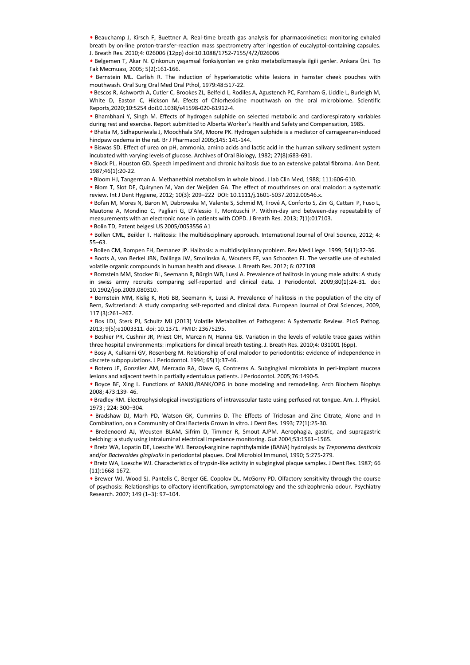• Beauchamp J, Kirsch F, Buettner A. Real-time breath gas analysis for pharmacokinetics: monitoring exhaled breath by on-line proton-transfer-reaction mass spectrometry after ingestion of eucalyptol-containing capsules. J. Breath Res. 2010;4: 026006 (12pp) doi:10.1088/1752-7155/4/2/026006

• Belgemen T, Akar N. Çinkonun yaşamsal fonksiyonları ve çinko metabolizmasıyla ilgili genler. Ankara Üni. Tıp Fak Mecmuası, 2005; 5(2):161-166.

• Bernstein ML. Carlish R. The induction of hyperkeratotic white lesions in hamster cheek pouches with mouthwash. Oral Surg Oral Med Oral Pthol, 1979:48:517-22.

• Bescos R, Ashworth A, Cutler C, Brookes ZL, Belfeld L, Rodiles A, Agustench PC, Farnham G, Liddle L, Burleigh M, White D, Easton C, Hickson M. Efects of Chlorhexidine mouthwash on the oral microbiome. Scientific Reports,2020;10:5254 doi10.1038/s41598-020-61912-4.

• Bhambhani Y, Singh M. Effects of hydrogen sulphide on selected metabolic and cardiorespiratory variables during rest and exercise. Report submitted to Alberta Worker's Health and Safety and Compensation, 1985.

• Bhatia M, Sidhapuriwala J, Moochhala SM, Moore PK. Hydrogen sulphide is a mediator of carrageenan-induced hindpaw oedema in the rat. Br J Pharmacol 2005;145: 141-144.

• Biswas SD. Effect of urea on pH, ammonia, amino acids and lactic acid in the human salivary sediment system incubated with varying levels of glucose. Archives of Oral Biology, 1982; 27(8):683-691.

• Block PL, Houston GD. Speech impediment and chronic halitosis due to an extensive palatal fibroma. Ann Dent. 1987;46(1):20-22.

• Bloom HJ, Tangerman A. Methanethiol metabolism in whole blood. J lab Clin Med, 1988; 111:606-610.

• Blom T, Slot DE, Quirynen M, Van der Weijden GA. The effect of mouthrinses on oral malodor: a systematic review. Int J Dent Hygiene, 2012; 10(3): 209–222 DOI: 10.1111/j.1601-5037.2012.00546.x.

• Bofan M, Mores N, Baron M, Dabrowska M, Valente S, Schmid M, Trové A, Conforto S, Zini G, Cattani P, Fuso L, Mautone A, Mondino C, Pagliari G, D'Alessio T, Montuschi P. Within-day and between-day repeatability of measurements with an electronic nose in patients with COPD. J Breath Res. 2013; 7(1):017103. e Bom T, Step Dc. Columps IM, Van der Weislen K. The effect of modulmus on oral malador, a systematic<br>review. Int Dent Hygien, 2012: 103): 200-222 OO: 10.1111/j.1404-5037.2012.00346x.<br>
February, Murat Aydınca Nurat Aydınca

• Bolin TD, Patent belgesi US 2005/0053556 A1

• Bollen CML, Beikler T. Halitosis: The multidisciplinary approach. International Journal of Oral Science, 2012; 4: 55–63.

• Bollen CM, Rompen EH, Demanez JP. Halitosis: a multidisciplinary problem. Rev Med Liege. 1999; 54(1):32-36.

• Boots A, van Berkel JBN, Dallinga JW, Smolinska A, Wouters EF, van Schooten FJ. The versatile use of exhaled volatile organic compounds in human health and disease. J. Breath Res. 2012; 6: 027108

• Bornstein MM, Stocker BL, Seemann R, Bürgin WB, Lussi A. Prevalence of halitosis in young male adults: A study in swiss army recruits comparing self-reported and clinical data. J Periodontol. 2009;80(1):24-31. doi: 10.1902/jop.2009.080310.

• Bornstein MM, Kislig K, Hoti BB, Seemann R, Lussi A. Prevalence of halitosis in the population of the city of Bern, Switzerland: A study comparing self-reported and clinical data. European Journal of Oral Sciences, 2009, 117 (3):261–267.

• Bos LDJ, Sterk PJ, Schultz MJ (2013) Volatile Metabolites of Pathogens: A Systematic Review. PLoS Pathog. 2013; 9(5):e1003311. doi: 10.1371. PMID: 23675295.

• Boshier PR, Cushnir JR, Priest OH, Marczin N, Hanna GB. Variation in the levels of volatile trace gases within three hospital environments: implications for clinical breath testing. J. Breath Res. 2010;4: 031001 (6pp).

• Bosy A, Kulkarni GV, Rosenberg M. Relationship of oral malodor to periodontitis: evidence of independence in discrete subpopulations. J Periodontol. 1994; 65(1):37-46.

• Botero JE, González AM, Mercado RA, Olave G, Contreras A. Subgingival microbiota in peri-implant mucosa lesions and adjacent teeth in partially edentulous patients. J Periodontol. 2005;76:1490-5.

• Boyce BF, Xing L. Functions of RANKL/RANK/OPG in bone modeling and remodeling. Arch Biochem Biophys 2008; 473:139- 46.

• Bradley RM. Electrophysiological investigations of intravascular taste using perfused rat tongue. Am. J. Physiol. 1973 ; 224: 300–304.

• Bradshaw DJ, Marh PD, Watson GK, Cummins D. The Effects of Triclosan and Zinc Citrate, Alone and In Combination, on a Community of Oral Bacteria Grown In vitro. J Dent Res. 1993; 72(1):25-30.

• Bredenoord AJ, Weusten BLAM, Sifrim D, Timmer R, Smout AJPM. Aerophagia, gastric, and supragastric belching: a study using intraluminal electrical impedance monitoring. Gut 2004;53:1561–1565.

• Bretz WA, Lopatin DE, Loesche WJ. Benzoyl-arginine naphthylamide (BANA) hydrolysis by *Treponema denticola* and/or *Bacteroides gingivalis* in periodontal plaques. Oral Microbiol Immunol, 1990; 5:275-279.

• Bretz WA, Loesche WJ. Characteristics of trypsin-like activity in subgingival plaque samples. J Dent Res. 1987; 66 (11):1668-1672.

• Brewer WJ. Wood SJ. Pantelis C, Berger GE. Copolov DL. McGorry PD. Olfactory sensitivity through the course of psychosis: Relationships to olfactory identification, symptomatology and the schizophrenia odour. Psychiatry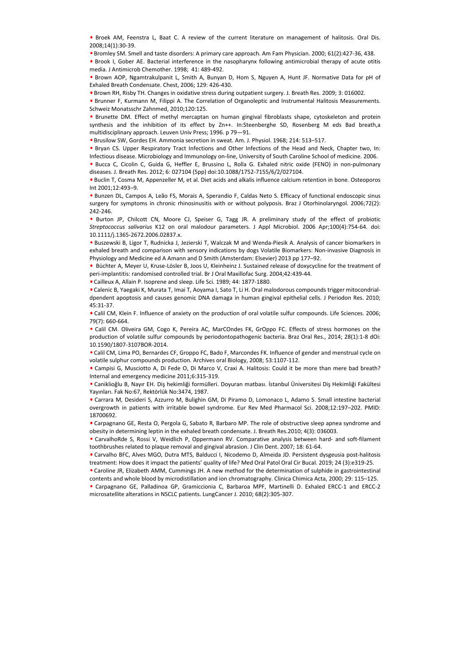• Broek AM, Feenstra L, Baat C. A review of the current literature on management of halitosis. Oral Dis. 2008;14(1):30-39.

• Bromley SM. Smell and taste disorders: A primary care approach. Am Fam Physician. 2000; 61(2):427-36, 438.

• Brook I, Gober AE. Bacterial interference in the nasopharynx following antimicrobial therapy of acute otitis media. J Antimicrob Chemother. 1998; 41: 489-492.

• Brown AOP, Ngamtrakulpanit L, Smith A, Bunyan D, Hom S, Nguyen A, Hunt JF. Normative Data for pH of Exhaled Breath Condensate. Chest, 2006; 129: 426-430.

• Brown RH, Risby TH. Changes in oxidative stress during outpatient surgery. J. Breath Res. 2009; 3: 016002.

• Brunner F, Kurmann M, Filippi A. The Correlation of Organoleptic and Instrumental Halitosis Measurements. Schweiz Monatsschr Zahnmed, 2010;120:125.

• Brunette DM. Effect of methyl mercaptan on human gingival fibroblasts shape, cytoskeleton and protein synthesis and the inhibition of its effect by Zn++. In:Steenberghe SD, Rosenberg M eds Bad breath,a multidisciplinary approach. Leuven Univ Press; 1996. p 79—91.

• Brusilow SW, Gordes EH. Ammonia secretion in sweat. Am. J. Physiol. 1968; 214: 513–517.

• Bryan CS. Upper Respiratory Tract Infections and Other Infections of the Head and Neck, Chapter two, In: Infectious disease. Microbiology and Immunology on-line, University of South Caroline School of medicine. 2006.

• Bucca C, Cicolin C, Guida G, Heffler E, Brussino L, Rolla G. Exhaled nitric oxide (FENO) in non-pulmonary diseases. J. Breath Res. 2012; 6: 027104 (5pp) doi:10.1088/1752-7155/6/2/027104.

• Buclin T, Cosma M, Appenzeller M, et al. Diet acids and alkalis influence calcium retention in bone. Osteoporos Int 2001;12:493–9.

• Bunzen DL, Campos A, Leão FS, Morais A, Sperandio F, Caldas Neto S. Efficacy of functional endoscopic sinus surgery for symptoms in chronic rhinosinusitis with or without polyposis. Braz J Otorhinolaryngol. 2006;72(2): 242-246.

• Burton JP, Chilcott CN, Moore CJ, Speiser G, Tagg JR. A preliminary study of the effect of probiotic *Streptococcus salivarius* K12 on oral malodour parameters. J Appl Microbiol. 2006 Apr;100(4):754-64. doi: 10.1111/j.1365-2672.2006.02837.x.

• Buszewski B, Ligor T, Rudnicka J, Jezierski T, Walczak M and Wenda-Piesik A. Analysis of cancer biomarkers in exhaled breath and comparison with sensory indications by dogs Volatile Biomarkers: Non-invasive Diagnosis in Physiology and Medicine ed A Amann and D Smith (Amsterdam: Elsevier) 2013 pp 177–92. m: 2001112693-4.<br>
microsoft 20011269-3.<br>
Computer alteration in the control of the computer alteration in the computer alternation in NSCLC patients. LungC microsic filterations in the computer of the state of the effect

•Büchter A, Meyer U, Kruse-Lösler B, Joos U, Kleinheinz J. Sustained release of doxycycline for the treatment of peri-implantitis: randomised controlled trial. Br J Oral Maxillofac Surg. 2004;42:439-44.

• Cailleux A, Allain P. Isoprene and sleep. Life Sci. 1989; 44: 1877-1880.

• Calenic B, Yaegaki K, Murata T, Imai T, Aoyama I, Sato T, Li H. Oral malodorous compounds trigger mitocondrialdpendent apoptosis and causes genomic DNA damaga in human gingival epithelial cells. J Periodon Res. 2010; 45:31-37.

• Calil CM, Klein F. Influence of anxiety on the production of oral volatile sulfur compounds. Life Sciences. 2006; 79(7): 660-664.

• Calil CM. Oliveira GM, Cogo K, Pereira AC, MarCOndes FK, GrOppo FC. Effects of stress hormones on the production of volatile sulfur compounds by periodontopathogenic bacteria. Braz Oral Res., 2014; 28(1):1-8 dOi: 10.1590/1807-3107BOR-2014.

• Calil CM, Lima PO, Bernardes CF, Groppo FC, Bado F, Marcondes FK. Influence of gender and menstrual cycle on volatile sulphur compounds production. Archives oral Biology, 2008; 53:1107-112.

• Campisi G, Musciotto A, Di Fede O, Di Marco V, Craxi A. Halitosis: Could it be more than mere bad breath? Internal and emergency medicine 2011;6:315-319.

• Caniklioğlu B, Nayır EH. Diş hekimliği formülleri. Doyuran matbası. İstanbul Üniversitesi Diş Hekimliği Fakültesi Yayınları. Fak No:67, Rektörlük No:3474, 1987.

• Carrara M, Desideri S, Azzurro M, Bulighin GM, Di Piramo D, Lomonaco L, Adamo S. Small intestine bacterial overgrowth in patients with irritable bowel syndrome. Eur Rev Med Pharmacol Sci. 2008;12:197–202. PMID: 18700692.

• Carpagnano GE, Resta O, Pergola G, Sabato R, Barbaro MP. The role of obstructive sleep apnea syndrome and obesity in determining leptin in the exhaled breath condensate. J. Breath Res.2010; 4(3): 036003.

• CarvalhoRde S, Rossi V, Weidlich P, Oppermann RV. Comparative analysis between hard- and soft-filament toothbrushes related to plaque removal and gingival abrasion. J Clin Dent. 2007; 18: 61-64.

• Carvalho BFC, Alves MGO, Dutra MTS, Balducci I, Nicodemo D, Almeida JD. Persistent dysgeusia post-halitosis treatment: How does it impact the patients' quality of life? Med Oral Patol Oral Cir Bucal. 2019; 24 (3):e319-25.

• Caroline JR, Elizabeth AMM, Cummings JH. A new method for the determination of sulphide in gastrointestinal contents and whole blood by microdistillation and ion chromatography. Clinica Chimica Acta, 2000; 29: 115–125.

• Carpagnano GE, Palladinoa GP, Gramiccionia C, Barbaroa MPF, Martinelli D. Exhaled ERCC-1 and ERCC-2 microsatellite alterations in NSCLC patients. LungCancer J. 2010; 68(2):305-307.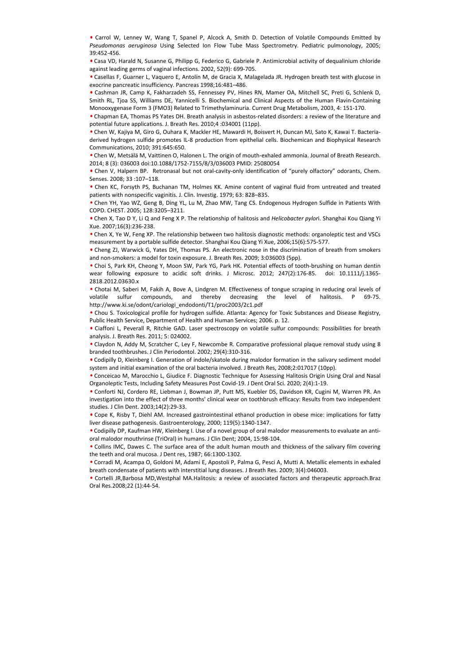• Carrol W, Lenney W, Wang T, Spanel P, Alcock A, Smith D. Detection of Volatile Compounds Emitted by *Pseudomonas aeruginosa* Using Selected Ion Flow Tube Mass Spectrometry. Pediatric pulmonology, 2005; 39:452-456.

• Casa VD, Harald N, Susanne G, Philipp G, Federico G, Gabriele P. Antimicrobial activity of dequalinium chloride against leading germs of vaginal infections. 2002, 52(9): 699-705.

• Casellas F, Guarner L, Vaquero E, Antolín M, de Gracia X, Malagelada JR. Hydrogen breath test with glucose in exocrine pancreatic insufficiency. Pancreas 1998;16:481–486.

• Cashman JR, Camp K, Fakharzadeh SS, Fennessey PV, Hines RN, Mamer OA, Mitchell SC, Preti G, Schlenk D, Smith RL, Tjoa SS, Williams DE, Yannicelli S. Biochemical and Clinical Aspects of the Human Flavin-Containing Monooxygenase Form 3 (FMO3) Related to Trimethylaminuria. Current Drug Metabolism, 2003, 4: 151-170.

• Chapman EA, Thomas PS Yates DH. Breath analysis in asbestos-related disorders: a review of the literature and potential future applications. J. Breath Res. 2010;4 :034001 (11pp).

• Chen W, Kajiya M, Giro G, Ouhara K, Mackler HE, Mawardi H, Boisvert H, Duncan MJ, Sato K, Kawai T. Bacteriaderived hydrogen sulfide promotes IL-8 production from epithelial cells. Biochemican and Biophysical Research Communications, 2010; 391:645:650.

• Chen W, Metsälä M, Vaittinen O, Halonen L. The origin of mouth-exhaled ammonia. Journal of Breath Research. 2014; 8 (3): 036003 doi:10.1088/1752-7155/8/3/036003 PMID: 25080054

• Chen V, Halpern BP. Retronasal but not oral-cavity-only identification of "purely olfactory" odorants, Chem. Senses. 2008; 33 :107–118.

• Chen KC, Forsyth PS, Buchanan TM, Holmes KK. Amine content of vaginal fluid from untreated and treated patients with nonspecific vaginitis. J. Clin. Investig. 1979; 63: 828–835.

• Chen YH, Yao WZ, Geng B, Ding YL, Lu M, Zhao MW, Tang CS. Endogenous Hydrogen Sulfide in Patients With COPD. CHEST. 2005; 128:3205–3211.

• Chen X, Tao D Y, Li Q and Feng X P. The relationship of halitosis and *Helicobacter pylor*i. Shanghai Kou Qiang Yi Xue. 2007;16(3):236-238.

• Chen X, Ye W, Feng XP. The relationship between two halitosis diagnostic methods: organoleptic test and VSCs measurement by a portable sulfide detector. Shanghai Kou Qiang Yi Xue, 2006;15(6):575-577.

• Cheng ZJ, Warwick G, Yates DH, Thomas PS. An electronic nose in the discrimination of breath from smokers and non-smokers: a model for toxin exposure. J. Breath Res. 2009; 3:036003 (5pp).

• Choi S, Park KH, Cheong Y, Moon SW, Park YG, Park HK. Potential effects of tooth-brushing on human dentin wear following exposure to acidic soft drinks. J Microsc. 2012; 247(2):176-85. doi: 10.1111/j.1365-2818.2012.03630.x

• Chotai M, Saberi M, Fakih A, Bove A, Lindgren M. Effectiveness of tongue scraping in reducing oral levels of volatile sulfur compounds, and thereby decreasing the level of halitosis. P 69-75. http://www.ki.se/odont/cariologi\_endodonti/T1/proc2003/2c1.pdf

• Chou S. Toxicological profile for hydrogen sulfide. Atlanta: Agency for Toxic Substances and Disease Registry, Public Health Service, Department of Health and Human Services; 2006. p. 12.

• Ciaffoni L, Peverall R, Ritchie GAD. Laser spectroscopy on volatile sulfur compounds: Possibilities for breath analysis. J. Breath Res. 2011; 5: 024002.

• Claydon N, Addy M, Scratcher C, Ley F, Newcombe R. Comparative professional plaque removal study using 8 branded toothbrushes. J Clin Periodontol. 2002; 29(4):310-316.

• Codipilly D, Kleinberg I. Generation of indole/skatole during malodor formation in the salivary sediment model system and initial examination of the oral bacteria involved. J Breath Res, 2008;2:017017 (10pp).

• Conceicao M, Marocchio L, Giudice F. Diagnostic Technique for Assessing Halitosis Origin Using Oral and Nasal Organoleptic Tests, Including Safety Measures Post Covid-19. J Dent Oral Sci. 2020; 2(4):1-19.

• Conforti NJ, Cordero RE, Liebman J, Bowman JP, Putt MS, Kuebler DS, Davidson KR, Cugini M, Warren PR. An investigation into the effect of three months' clinical wear on toothbrush efficacy: Results from two independent studies. J Clin Dent. 2003;14(2):29-33. e Ches K, Françkin 55, kuchana TM, Holmes KK. Amine content of vegetinal fluid from unitrested and treated<br>
orbits will nonspective ugains. J. Clin, Investig, 1975; GS 828-835.<br>
Collection H, No M2, Geng B, Ding VI, U. M.,

• Cope K, Risby T, Diehl AM. Increased gastrointestinal ethanol production in obese mice: implications for fatty liver disease pathogenesis. Gastroenterology, 2000; 119(5):1340-1347.

• Codipilly DP, Kaufman HW, Kleinberg I. Use of a novel group of oral malodor measurements to evaluate an antioral malodor mouthrinse (TriOral) in humans. J Clin Dent; 2004, 15:98-104.

• Collins IMC, Dawes C. The surface area of the adult human mouth and thickness of the salivary film covering the teeth and oral mucosa. J Dent res, 1987; 66:1300-1302.

• Corradi M, Acampa O, Goldoni M, Adami E, Apostoli P, Palma G, Pesci A, Mutti A. Metallic elements in exhaled breath condensate of patients with interstitial lung diseases. J Breath Res. 2009; 3(4):046003.

• Cortelli JR,Barbosa MD,Westphal MA.Halitosis: a review of associated factors and therapeutic approach.Braz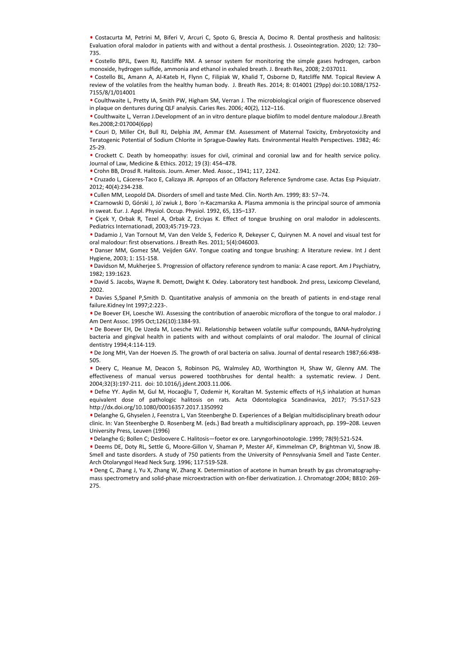• Costacurta M, Petrini M, Biferi V, Arcuri C, Spoto G, Brescia A, Docimo R. Dental prosthesis and halitosis: Evaluation oforal malodor in patients with and without a dental prosthesis. J. Osseointegration. 2020; 12: 730– 735.

• Costello BPJL, Ewen RJ, Ratcliffe NM. A sensor system for monitoring the simple gases hydrogen, carbon monoxide, hydrogen sulfide, ammonia and ethanol in exhaled breath. J. Breath Res, 2008; 2:037011.

• Costello BL, Amann A, Al-Kateb H, Flynn C, Filipiak W, Khalid T, Osborne D, Ratcliffe NM. Topical Review A review of the volatiles from the healthy human body. J. Breath Res. 2014; 8: 014001 (29pp) doi:10.1088/1752- 7155/8/1/014001

• Coulthwaite L, Pretty IA, Smith PW, Higham SM, Verran J. The microbiological origin of fluorescence observed in plaque on dentures during QLF analysis. Caries Res. 2006; 40(2), 112–116.

• Coulthwaite L, Verran J.Development of an in vitro denture plaque biofilm to model denture malodour.J.Breath Res.2008;2:017004(6pp)

• Couri D, Miller CH, Bull RJ, Delphia JM, Ammar EM. Assessment of Maternal Toxicity, Embryotoxicity and Teratogenic Potential of Sodium Chlorite in Sprague-Dawley Rats. Environmental Health Perspectives. 1982; 46: 25-29.

• Crockett C. Death by homeopathy: issues for civil, criminal and coronial law and for health service policy. Journal of Law, Medicine & Ethics. 2012; 19 (3): 454–478.

• Crohn BB, Drosd R. Halitosis. Journ. Amer. Med. Assoc., 1941; 117, 2242.

• Cruzado L, Cáceres-Taco E, Calizaya JR. Apropos of an Olfactory Reference Syndrome case. Actas Esp Psiquiatr. 2012; 40(4):234-238.

• Cullen MM, Leopold DA. Disorders of smell and taste Med. Clin. North Am. 1999; 83: 57–74.

• Czarnowski D, Górski J, Jó´zwiuk J, Boro ´n-Kaczmarska A. Plasma ammonia is the principal source of ammonia in sweat. Eur. J. Appl. Physiol. Occup. Physiol. 1992, 65, 135–137.

• Çiçek Y, Orbak R, Tezel A, Orbak Z, Erciyas K. Effect of tongue brushing on oral malodor in adolescents. Pediatrics Internationadl, 2003;45:719-723.

• Dadamio J, Van Tornout M, Van den Velde S, Federico R, Dekeyser C, Quirynen M. A novel and visual test for oral malodour: first observations. J Breath Res. 2011; 5(4):046003.

• Danser MM, Gomez SM, Veijden GAV. Tongue coating and tongue brushing: A literature review. Int J dent Hygiene, 2003; 1: 151-158.

• Davidson M, Mukherjee S. Progression of olfactory reference syndrom to mania: A case report. Am J Psychiatry, 1982; 139:1623.

• David S. Jacobs, Wayne R. Demott, Dwight K. Oxley. Laboratory test handbook. 2nd press, Lexicomp Cleveland, 2002.

• Davies S,Spanel P,Smith D. Quantitative analysis of ammonia on the breath of patients in end-stage renal failure.Kidney Int 1997;2:223-.

• De Boever EH, Loesche WJ. Assessing the contribution of anaerobic microflora of the tongue to oral malodor. J Am Dent Assoc. 1995 Oct;126(10):1384-93.

• De Boever EH, De Uzeda M, Loesche WJ. Relationship between volatile sulfur compounds, BANA-hydrolyzing bacteria and gingival health in patients with and without complaints of oral malodor. The Journal of clinical dentistry 1994;4:114-119.

• De Jong MH, Van der Hoeven JS. The growth of oral bacteria on saliva. Journal of dental research 1987;66:498- 505.

• Deery C, Heanue M, Deacon S, Robinson PG, Walmsley AD, Worthington H, Shaw W, Glenny AM. The effectiveness of manual versus powered toothbrushes for dental health: a systematic review. J Dent. 2004;32(3):197-211. doi: 10.1016/j.jdent.2003.11.006.

• Defne YY. Aydin M, Gul M, Hocaoğlu T, Ozdemir H, Koraltan M. Systemic effects of H2S inhalation at human equivalent dose of pathologic halitosis on rats. Acta Odontologica Scandinavica, 2017; 75:517-523 http://dx.doi.org/10.1080/00016357.2017.1350992

• Delanghe G, Ghyselen J, Feenstra L, Van Steenberghe D. Experiences of a Belgian multidisciplinary breath odour clinic. In: Van Steenberghe D. Rosenberg M. (eds.) Bad breath a multidisciplinary approach, pp. 199–208. Leuven University Press, Leuven (1996)

• Delanghe G; Bollen C; Desloovere C. Halitosis—foetor ex ore. Laryngorhinootologie. 1999; 78(9):521-524.

• Deems DE, Doty RL, Settle G, Moore-Gillon V, Shaman P, Mester AF, Kimmelman CP, Brightman VJ, Snow JB. Smell and taste disorders. A study of 750 patients from the University of Pennsylvania Smell and Taste Center. Arch Otolaryngol Head Neck Surg. 1996; 117:519-528.

• Deng C, Zhang J, Yu X, Zhang W, Zhang X. Determination of acetone in human breath by gas chromatographymass spectrometry and solid-phase microextraction with on-fiber derivatization. J. Chromatogr.2004; B810: 269- 2012, 2013, 2014-31, 2016) University and the MC. Clin. North Am, 1999; 85: 57-74.<br>
276. 2013, 2014-2014 (Murat Aydi, 18 com/mic Murat Aydi, 2014) University and the minimizarisation of common speech. Clin. North Am, 1999;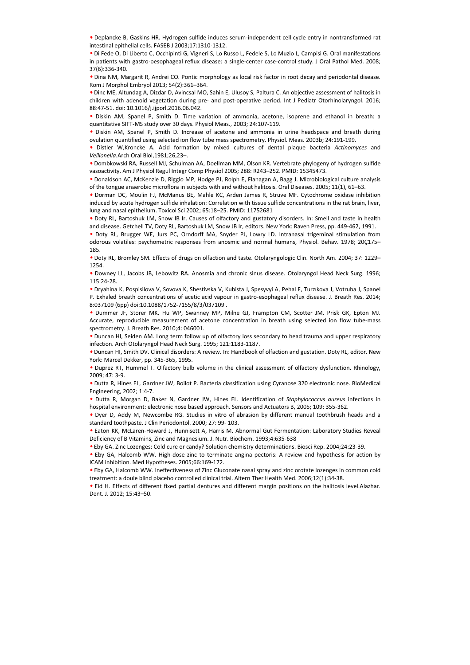• Deplancke B, Gaskins HR. Hydrogen sulfide induces serum-independent cell cycle entry in nontransformed rat intestinal epithelial cells. FASEB J 2003;17:1310-1312.

• Di Fede O, Di Liberto C, Occhipinti G, Vigneri S, Lo Russo L, Fedele S, Lo Muzio L, Campisi G. Oral manifestations in patients with gastro-oesophageal reflux disease: a single-center case-control study. J Oral Pathol Med. 2008; 37(6):336-340.

• Dina NM, Margarit R, Andrei CO. Pontic morphology as local risk factor in root decay and periodontal disease. Rom J Morphol Embryol 2013; 54(2):361–364.

• Dinc ME, Altundag A, Dizdar D, Avincsal MO, Sahin E, Ulusoy S, Paltura C. An objective assessment of halitosis in children with adenoid vegetation during pre- and post-operative period. Int J Pediatr Otorhinolaryngol. 2016; 88:47-51. doi: 10.1016/j.ijporl.2016.06.042.

• Diskin AM, Spanel P, Smith D. Time variation of ammonia, acetone, isoprene and ethanol in breath: a quantitative SIFT-MS study over 30 days. Physiol Meas., 2003; 24:107-119.

• Diskin AM, Spanel P, Smith D. Increase of acetone and ammonia in urine headspace and breath during ovulation quantified using selected ion flow tube mass spectrometry. Physiol. Meas. 2003b; 24:191-199.

• Distler W,Kroncke A. Acid formation by mixed cultures of dental plaque bacteria *Actinomyces* and *Veillonella*.Arch Oral Biol,1981;26,23–.

• Dombkowski RA, Russell MJ, Schulman AA, Doellman MM, Olson KR. Vertebrate phylogeny of hydrogen sulfide vasoactivity. Am J Physiol Regul Integr Comp Physiol 2005; 288: R243–252. PMID: 15345473.

• Donaldson AC, McKenzie D, Riggio MP, Hodge PJ, Rolph E, Flanagan A, Bagg J. Microbiological culture analysis of the tongue anaerobic microflora in subjects with and without halitosis. Oral Diseases. 2005; 11(1), 61–63.

• Dorman DC, Moulin FJ, McManus BE, Mahle KC, Arden James R, Struve MF. Cytochrome oxidase inhibition induced by acute hydrogen sulfide inhalation: Correlation with tissue sulfide concentrations in the rat brain, liver, lung and nasal epithelium. Toxicol Sci 2002; 65:18–25. PMID: 11752681 of the trospe anaretoic microsofta inclusions (and without hallicasc Onit Subsect. 2005; 111), 8:1-45.<br>
Umat Aydın Hallich Contents is a Matter K. Andre James R. Strue MF. Cytochrome oxidese inhibition<br>
Induced by acute h

• Doty RL, Bartoshuk LM, Snow IB Ir. Causes of olfactory and gustatory disorders. In: Smell and taste in health and disease. Getchell TV, Doty RL, Bartoshuk LM, Snow JB Ir, editors. New York: Raven Press, pp. 449-462, 1991.

• Doty RL, Brugger WE, Jurs PC, Orndorff MA, Snyder PJ, Lowry LD. Intranasal trigeminal stimulation from odorous volatiles: psychometric responses from anosmic and normal humans, Physiol. Behav. 1978; 20Ç175– 185.

• Doty RL, Bromley SM. Effects of drugs on olfaction and taste. Otolaryngologic Clin. North Am. 2004; 37: 1229– 1254.

• Downey LL, Jacobs JB, Lebowitz RA. Anosmia and chronic sinus disease. Otolaryngol Head Neck Surg. 1996; 115:24-28.

• Dryahina K, Pospisilova V, Sovova K, Shestivska V, Kubista J, Spesyvyi A, Pehal F, Turzıkova J, Votruba J, Spanel P. Exhaled breath concentrations of acetic acid vapour in gastro-esophageal reflux disease. J. Breath Res. 2014; 8:037109 (6pp) doi:10.1088/1752-7155/8/3/037109 .

• Dummer JF, Storer MK, Hu WP, Swanney MP, Milne GJ, Frampton CM, Scotter JM, Prisk GK, Epton MJ. Accurate, reproducible measurement of acetone concentration in breath using selected ion flow tube-mass spectrometry. J. Breath Res. 2010;4: 046001.

• Duncan HI, Seiden AM. Long term follow up of olfactory loss secondary to head trauma and upper respiratory infection. Arch Otolaryngol Head Neck Surg. 1995; 121:1183-1187.

• Duncan HI, Smith DV. Clinical disorders: A review. In: Handbook of olfaction and gustation. Doty RL, editor. New York: Marcel Dekker, pp. 345-365, 1995.

• Duprez RT, Hummel T. Olfactory bulb volume in the clinical assessment of olfactory dysfunction. Rhinology, 2009; 47: 3-9.

• Dutta R, Hines EL, Gardner JW, Boilot P. Bacteria classification using Cyranose 320 electronic nose. BioMedical Engineering, 2002; 1:4-7.

• Dutta R, Morgan D, Baker N, Gardner JW, Hines EL. Identification of *Staphylococcus aureus* infections in hospital environment: electronic nose based approach. Sensors and Actuators B, 2005; 109: 355-362.

• Dyer D, Addy M, Newcombe RG. Studies in vitro of abrasion by different manual toothbrush heads and a standard toothpaste. J Clin Periodontol. 2000; 27: 99- 103.

• Eaton KK, McLaren-Howard J, Hunnisett A, Harris M. Abnormal Gut Fermentation: Laboratory Studies Reveal Deficiency of B Vitamins, Zinc and Magnesium. J. Nutr. Biochem. 1993;4:635-638

• Eby GA. Zinc Lozenges: Cold cure or candy? Solution chemistry determinations. Biosci Rep. 2004;24:23-39.

• Eby GA, Halcomb WW. High-dose zinc to terminate angina pectoris: A review and hypothesis for action by ICAM inhibition. Med Hypotheses. 2005;66:169-172.

• Eby GA, Halcomb WW. Ineffectiveness of Zinc Gluconate nasal spray and zinc orotate lozenges in common cold treatment: a doule blind placebo controlled clinical trial. Altern Ther Health Med. 2006;12(1):34-38.

• Eid H. Effects of different fixed partial dentures and different margin positions on the halitosis level.Alazhar.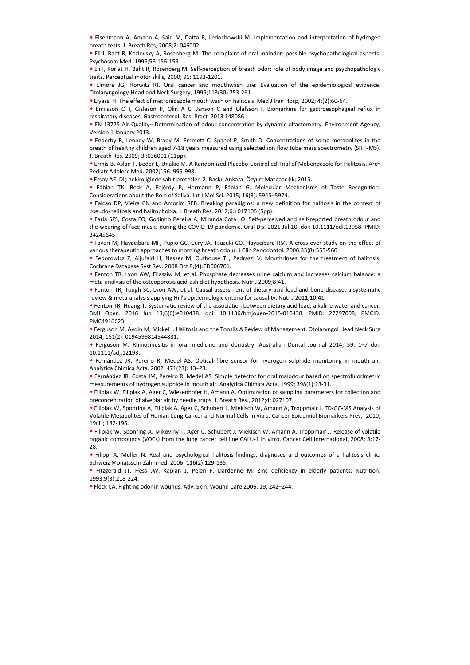• Eisenmann A, Amann A, Said M, Datta B, Ledochowski M. Implementation and interpretation of hydrogen breath tests. J. Breath Res, 2008;2: 046002.

• Eli I, Baht R, Kozlovsky A, Rosenberg M. The complaint of oral malodor: possible psychopathological aspects. Psychosom Med. 1996;58:156-159.

• Eli I, Koriat H, Baht R, Rosenberg M. Self-perception of breath odor: role of body image and psychopathologic traits. Perceptual motor skills, 2000; 91: 1193-1201.

• Elmore JG, Horwitz RJ. Oral cancer and mouthwash use: Evaluation of the epidemiological evidence. Otolaryngology-Head and Neck Surgery, 1995;113(30) 253-261.

• Elyassi H. The effect of metronidazole mouth wash on halitosis. Med J Iran Hosp, 2002; 4:(2):60-64.

• Emilsson O I, Gislason P, Olin A C, Janson C and Olafsson I. Biomarkers for gastroesophageal reflux in respiratory diseases. Gastroenterol. Res. Pract. 2013 148086.

• EN 13725 Air Quality– Determination of odour concentration by dynamic olfactometry. Environment Agency, Version 1 January 2013.

• Enderby B, Lenney W, Brady M, Emmett C, Spanel P, Smith D. Concentrations of some metabolites in the breath of healthy children aged 7-18 years measured using selected ion flow tube mass spectrometry (SIFT-MS). J. Breath Res. 2009; 3 :036001 (11pp).

• Ermis B, Aslan T, Beder L, Unalac M. A Randomized Placebo-Controlled Trial of Mebendazole for Halitosis. Arch Pediatr Adolesc Med. 2002;156: 995-998.

• Ersoy AE. Diş hekimliğinde sabit protezler. 2. Baskı. Ankara: Özyurt Matbaacılık; 2015.

• Fábián TK, Beck A, Fejérdy P, Hermann P, Fábián G. Molecular Mechanisms of Taste Recognition: Considerations about the Role of Saliva. Int J Mol Sci. 2015; 16(3): 5945–5974.

• Falcao DP, Vieira CN and Amorim RFB. Breaking paradigms: a new definition for halitosis in the context of pseudo-halitosis and halitophobia. J. Breath Res. 2012;6:) 017105 (5pp).

• Faria SFS, Costa FO, Godinho Pereira A, Miranda Cota LO. Self-perceived and self-reported breath odour and the wearing of face masks during the COVID-19 pandemic. Oral Dis. 2021 Jul 10. doi: 10.1111/odi.13958. PMID: 34245645.

• Faveri M, Hayacibara MF, Pupio GC, Cury JA, Tsuzuki CO, Hayacibara RM. A cross-over study on the effect of various therapeutic approaches to morning breath odour. J Clin Periodontol. 2006;33(8):555-560.

• Fedorowicz Z, Aljufairi H, Nasser M, Outhouse TL, Pedrazzi V. Mouthrinses for the treatment of halitosis. Cochrane Database Syst Rev. 2008 Oct 8;(4):CD006701.

• Fenton TR, Lyon AW, Eliasziw M, et al. Phosphate decreases urine calcium and increases calcium balance: a meta-analysis of the osteoporosis acid-ash diet hypothesis. Nutr J 2009;8:41.

• Fenton TR, Tough SC, Lyon AW, et al. Causal assessment of dietary acid load and bone disease: a systematic review & meta-analysis applying Hill's epidemiologic criteria for causality. Nutr J 2011;10:41.

• Fenton TR, Huang T. Systematic review of the association between dietary acid load, alkaline water and cancer. BMJ Open. 2016 Jun 13;6(6):e010438. doi: 10.1136/bmjopen-2015-010438. PMID: 27297008; PMCID: PMC4916623. • Fabian Tr. Sect. A. Fighting The means P. Fighting G. Molecular Mechanisms of Trans Recognition:<br>
• Falco DF, Veira CN and Amorin MEG. Resides gradialgins, a new definition for halitosis in the context of Falco DF, Veir

• Ferguson M, Aydin M, Mickel J. Halitosis and the Tonsils A Review of Management. Otolaryngol Head Neck Surg 2014, 151(2): 0194599814544881.

• Ferguson M. Rhinosinusitis in oral medicine and dentistry. Australian Dental Journal 2014; 59: 1–7 doi: 10.1111/adj.12193.

• Fernández JR, Pereiro R, Medel AS. Optical fibre sensor for hydrogen sulphide monitoring in mouth air. Analytica Chimica Acta. 2002, 471(23): 13–23.

• Fernández JR, Costa JM, Pereiro R, Medel AS. Simple detector for oral malodour based on spectrofluorimetric measurements of hydrogen sulphide in mouth air. Analytica Chimica Acta, 1999; 398(1):23-31.

• Filipiak W, Filipiak A, Ager C, Wiesenhofer H, Amann A. Optimization of sampling parameters for collection and preconcentration of alveolar air by needle traps. J. Breath Res., 2012;4: 027107.

• Filipiak W, Sponring A, Filipiak A, Ager C, Schubert J, Miekisch W, Amann A, Troppmair J. TD-GC-MS Analysis of Volatile Metabolites of Human Lung Cancer and Normal Cells In vitro. Cancer Epidemiol Biomarkers Prev, 2010; 19(1); 182-195.

• Filipiak W, Sponring A, Mikoviny T, Ager C, Schubert J, Miekisch W, Amann A, Troppmair J. Release of volatile organic compounds (VOCs) from the lung cancer cell line CALU-1 in vitro. Cancer Cell International, 2008; 8:17- 28.

• Filippi A, Müller N. Real and psychological halitosis-findings, diagnoses and outcomes of a halitosis clinic. Schweiz Monatsschr Zahnmed. 2006; 116(2):129-135.

• Fitzgerald JT, Hess JW, Kaplan J, Pelen F, Dardenne M. Zinc deficiency in elderly patients. Nutrition. 1993;9(3):218-224.

. Fleck CA. Fighting odor in wounds. Adv. Skin. Wound Care 2006, 19, 242-244.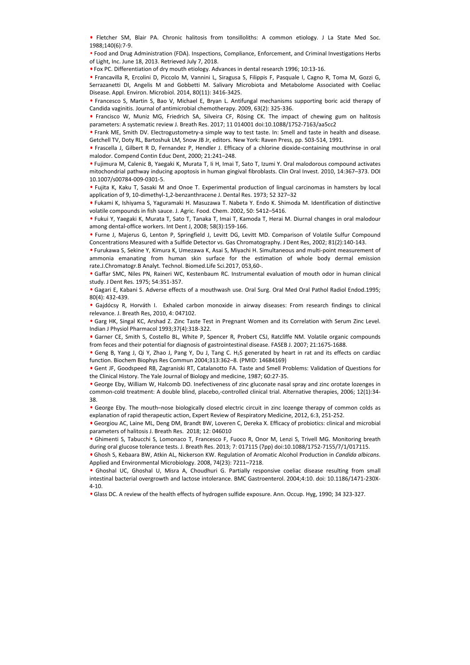• Fletcher SM, Blair PA. Chronic halitosis from tonsilloliths: A common etiology. J La State Med Soc. 1988;140(6):7-9.

• Food and Drug Administration (FDA). Inspections, Compliance, Enforcement, and Criminal Investigations Herbs of Light, Inc. June 18, 2013. Retrieved July 7, 2018.

• Fox PC. Differentiation of dry mouth etiology. Advances in dental research 1996; 10:13-16.

• Francavilla R, Ercolini D, Piccolo M, Vannini L, Siragusa S, Filippis F, Pasquale I, Cagno R, Toma M, Gozzi G, Serrazanetti DI, Angelis M and Gobbetti M. Salivary Microbiota and Metabolome Associated with Coeliac Disease. Appl. Environ. Microbiol. 2014, 80(11): 3416-3425.

• Francesco S, Martin S, Bao V, Michael E, Bryan L. Antifungal mechanisms supporting boric acid therapy of Candida vaginitis. Journal of antimicrobial chemotherapy. 2009, 63(2): 325-336.

• Francisco W, Muniz MG, Friedrich SA, Silveira CF, Rösing CK. The impact of chewing gum on halitosis parameters: A systematic review J. Breath Res. 2017; 11 014001 doi:10.1088/1752-7163/aa5cc2

• Frank ME, Smith DV. Electrogustometry-a simple way to test taste. In: Smell and taste in health and disease. Getchell TV, Doty RL, Bartoshuk LM, Snow JB Jr, editors. New York: Raven Press, pp. 503-514, 1991.

• Frascella J, Gilbert R D, Fernandez P, Hendler J. Efficacy of a chlorine dioxide-containing mouthrinse in oral malodor. Compend Contin Educ Dent, 2000; 21:241–248.

• Fujimura M, Calenic B, Yaegaki K, Murata T, Ii H, Imai T, Sato T, Izumi Y. Oral malodorous compound activates mitochondrial pathway inducing apoptosis in human gingival fibroblasts. Clin Oral Invest. 2010, 14:367–373. DOI 10.1007/s00784-009-0301-5.

• Fujita K, Kaku T, Sasaki M and Onoe T. Experimental production of lingual carcinomas in hamsters by local application of 9, 10-dimethyl-1,2-benzanthracene J. Dental Res. 1973; 52 327–32

• Fukami K, Ishiyama S, Yaguramaki H. Masuzawa T. Nabeta Y. Endo K. Shimoda M. Identification of distinctive volatile compounds in fish sauce. J. Agric. Food. Chem. 2002, 50: 5412–5416.

• Fukui Y, Yaegaki K, Murata T, Sato T, Tanaka T, Imai T, Kamoda T, Herai M. Diurnal changes in oral malodour among dental-office workers. Int Dent J, 2008; 58(3):159-166.

• Furne J, Majerus G, Lenton P, Springfield J, Levitt DG, Levitt MD. Comparison of Volatile Sulfur Compound Concentrations Measured with a Sulfide Detector vs. Gas Chromatography. J Dent Res, 2002; 81(2):140-143.

• Furukawa S, Sekine Y, Kimura K, Umezawa K, Asai S, Miyachi H. Simultaneous and multi-point measurement of ammonia emanating from human skin surface for the estimation of whole body dermal emission rate.J.Chromatogr.B Analyt. Technol. Biomed.Life Sci.2017, 053,60-. • Fujin K, Kour T, Sosial M and One T. T. Equerimental production of linearly distribution of the health is the methods of the health effects of hydrogen and the health effects of hydrogen and the fects of hydrogen and th

• Gaffar SMC, Niles PN, Raineri WC, Kestenbaum RC. Instrumental evaluation of mouth odor in human clinical study. J Dent Res. 1975; 54:351-357.

• Gagari E, Kabani S. Adverse effects of a mouthwash use. Oral Surg. Oral Med Oral Pathol Radiol Endod.1995; 80(4): 432-439.

• Gajdócsy R, Horváth I. Exhaled carbon monoxide in airway diseases: From research findings to clinical relevance. J. Breath Res, 2010, 4: 047102.

• Garg HK, Singal KC, Arshad Z. Zinc Taste Test in Pregnant Women and its Correlation with Serum Zinc Level. Indian J Physiol Pharmacol 1993;37(4):318-322.

• Garner CE, Smith S, Costello BL, White P, Spencer R, Probert CSJ, Ratcliffe NM. Volatile organic compounds from feces and their potential for diagnosis of gastrointestinal disease. FASEB J. 2007; 21:1675-1688.

• Geng B, Yang J, Qi Y, Zhao J, Pang Y, Du J, Tang C. H2S generated by heart in rat and its effects on cardiac function. Biochem Biophys Res Commun 2004;313:362–8. (PMID: 14684169)

• Gent JF, Goodspeed RB, Zagraniski RT, Catalanotto FA. Taste and Smell Problems: Validation of Questions for the Clinical History. The Yale Journal of Biology and medicine, 1987; 60:27-35.

• George Eby, William W, Halcomb DO. Inefectiveness of zinc gluconate nasal spray and zinc orotate lozenges in common-cold treatment: A double blind, placebo,-controlled clinical trial. Alternative therapies, 2006; 12(1):34- 38.

• George Eby. The mouth–nose biologically closed electric circuit in zinc lozenge therapy of common colds as explanation of rapid therapeutic action, Expert Review of Respiratory Medicine, 2012, 6:3, 251-252.

• Georgiou AC, Laine ML, Deng DM, Brandt BW, Loveren C, Dereka X. Efficacy of probiotics: clinical and microbial parameters of halitosis J. Breath Res. 2018; 12: 046010

• Ghimenti S, Tabucchi S, Lomonaco T, Francesco F, Fuoco R, Onor M, Lenzi S, Trivell MG. Monitoring breath during oral glucose tolerance tests. J. Breath Res. 2013; 7: 017115 (7pp) doi:10.1088/1752-7155/7/1/017115.

• Ghosh S, Kebaara BW, Atkin AL, Nickerson KW. Regulation of Aromatic Alcohol Production in *Candida albicans*. Applied and Environmental Microbiology. 2008, 74(23): 7211–7218.

• Ghoshal UC, Ghoshal U, Misra A, Choudhuri G. Partially responsive coeliac disease resulting from small intestinal bacterial overgrowth and lactose intolerance. BMC Gastroenterol. 2004;4:10. doi: 10.1186/1471-230X-4-10.

• Glass DC. A review of the health effects of hydrogen sulfide exposure. Ann. Occup. Hyg, 1990; 34 323-327.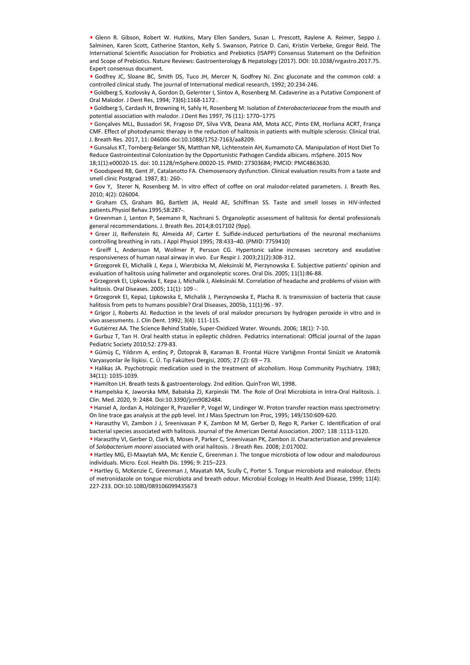• Glenn R. Gibson, Robert W. Hutkins, Mary Ellen Sanders, Susan L. Prescott, Raylene A. Reimer, Seppo J. Salminen, Karen Scott, Catherine Stanton, Kelly S. Swanson, Patrice D. Cani, Kristin Verbeke, Gregor Reid. The International Scientific Association for Probiotics and Prebiotics (ISAPP) Consensus Statement on the Definition and Scope of Prebiotics. Nature Reviews: Gastroenterology & Hepatology (2017). DOI: 10.1038/nrgastro.2017.75. Expert consensus document.

• Godfrey JC, Sloane BC, Smith DS, Tuco JH, Mercer N, Godfrey NJ. Zinc gluconate and the common cold: a controlled clinical study. The journal of International medical research, 1992; 20:234-246.

• Goldberg S, Kozlovsky A, Gordon D, Gelernter I, Sintov A, Rosenberg M. Cadaverine as a Putative Component of Oral Malodor. J Dent Res, 1994; 73(6):1168-1172 .

• Goldberg S, Cardash H, Browning H, Sahly H, Rosenberg M: Isolation of *Enterobacteriaceae* from the mouth and potential association with malodor. J Dent Res 1997, 76 (11): 1770–1775

• Gonçalves MLL, Bussadori SK, Fragoso DY, Silva VVB, Deana AM, Mota ACC, Pinto EM, Horliana ACRT, França CMF. Effect of photodynamic therapy in the reduction of halitosis in patients with multiple sclerosis: Clinical trial. J. Breath Res. 2017, 11: 046006 doi:10.1088/1752-7163/aa8209.

• Gunsalus KT, Tornberg-Belanger SN, Matthan NR, Lichtenstein AH, Kumamoto CA. Manipulation of Host Diet To Reduce Gastrointestinal Colonization by the Opportunistic Pathogen Candida albicans. mSphere. 2015 Nov 18;1(1):e00020-15. doi: 10.1128/mSphere.00020-15. PMID: 27303684; PMCID: PMC4863630.

• Goodspeed RB, Gent JF, Catalanotto FA. Chemosensory dysfunction. Clinical evaluation results from a taste and smell clinic Postgrad. 1987, 81: 260-.

• Gov Y, Sterer N, Rosenberg M. In vitro effect of coffee on oral malodor-related parameters. J. Breath Res. 2010; 4(2): 026004.

• Graham CS, Graham BG, Bartlett JA, Heald AE, Schiffman SS. Taste and smell losses in HIV-infected patients.Physiol Behav.1995;58:287-.

• Greenman J, Lenton P, Seemann R, Nachnani S. Organoleptic assessment of halitosis for dental professionals general recommendations. J. Breath Res. 2014;8:017102 (9pp).

• Greer JJ, Reifenstein RJ, Almeida AF, Carter E. Sulfide-induced perturbations of the neuronal mechanisms controlling breathing in rats. J Appl Physiol 1995; 78:433–40. (PMID: 7759410)

• Greiff L, Andersson M, Wollmer P, Persson CG. Hypertonic saline increases secretory and exudative responsiveness of human nasal airway in vivo. Eur Respir J. 2003;21(2):308-312.

• Grzegorek EI, Michalik J, Kepa J, Wierzbicka M, Aleksinski M, Pierzynowska E. Subjective patients' opinion and evaluation of halitosis using halimeter and organoleptic scores. Oral Dis. 2005; 11(1):86-88.

• Grzegorek EI, Lipkowska E, Kepa J, Michalik J, Aleksinski M. Correlation of headache and problems of vision with halitosis. Oral Diseases. 2005; 11(1): 109 -.

• Grzegorek EI, KepaJ, Lipkowska E, Michalik J, Pierzynowska E, Placha R. Is transmission of bacteria that cause halitosis from pets to humans possible? Oral Diseases, 2005b, 11(1):96 - 97.

• Grigor J, Roberts AJ. Reduction in the levels of oral malodor precursors by hydrogen peroxide in vitro and in vivo assessments. J. Clin Dent. 1992; 3(4): 111-115.

• Gutiérrez AA. The Science Behind Stable, Super-Oxidized Water. Wounds. 2006; 18(1): 7-10.

• Gurbuz T, Tan H. Oral health status in epileptic children. Pediatrics international: Official journal of the Japan Pediatric Society 2010;52: 279-83.

• Gümüş C, Yıldırım A, erdinç P, Öztoprak B, Karaman B. Frontal Hücre Varlığının Frontal Sinüzit ve Anatomik Varyasyonlar ile İlişkisi. C. Ü. Tıp Fakültesi Dergisi, 2005; 27 (2): 69 – 73.

• Halikas JA. Psychotropic medication used in the treatment of alcoholism. Hosp Community Psychiatry. 1983; 34(11): 1035-1039.

• Hamilton LH. Breath tests & gastroenterology. 2nd edition. QuinTron WI, 1998.

• Hampelska K, Jaworska MM, Babalska ZJ, Karpinski TM. The Role of Oral Microbiota in Intra-Oral Halitosis. J. Clin. Med. 2020, 9: 2484. Doi:10.3390/jcm9082484.

• Hansel A, Jordan A, Holzinger R, Prazeller P, Vogel W, Lindinger W. Proton transfer reaction mass spectrometry: On line trace gas analysis at the ppb level. Int J Mass Spectrum Ion Proc, 1995; 149/150:609-620.

• Haraszthy VI, Zambon J J, Sreenivasan P K, Zambon M M, Gerber D, Rego R, Parker C. Identification of oral bacterial species associated with halitosis. Journal of the American Dental Association. 2007; 138 :1113-1120.

• Haraszthy VI, Gerber D, Clark B, Moses P, Parker C, Sreenivasan PK, Zambon JJ. Characterization and prevalence of *Solobacterium moorei* associated with oral halitosis. J Breath Res. 2008; 2:017002.

• Hartley MG, El-Maaytah MA, Mc Kenzie C, Greenman J. The tongue microbiota of low odour and malodourous individuals. Micro. Ecol. Health Dis. 1996; 9: 215–223.

• Hartley G, McKenzie C, Greenman J, Mayatah MA, Scully C, Porter S. Tongue microbiota and malodour. Efects of metronidazole on tongue microbiota and breath odour. Microbial Ecology In Health And Disease, 1999; 11(4): e Govy, Steres N, Rosenberg M. In viro effect of coffee on oral malodor-related parameters. J. Breath Res.<br>
e Graham CS, Graham RS, Baribett JA, Heald AE, Schiffman SS. Taste and smell losses in HIV-infected<br>
e Graham CJ,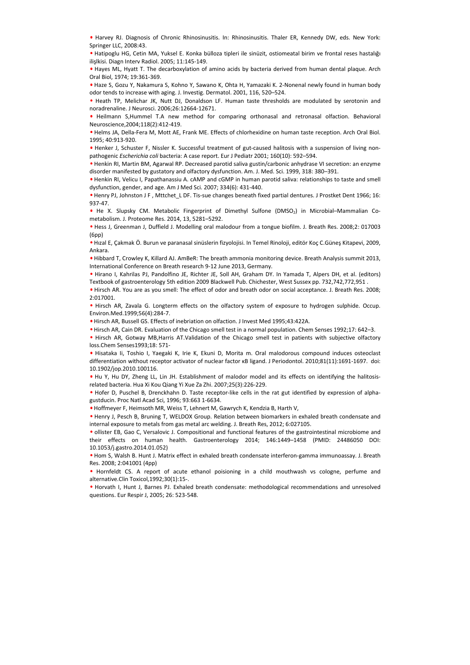• Harvey RJ. Diagnosis of Chronic Rhinosinusitis. In: Rhinosinusitis. Thaler ER, Kennedy DW, eds. New York: Springer LLC, 2008:43.

• Hatipoglu HG, Cetin MA, Yuksel E. Konka bülloza tipleri ile sinüzit, ostiomeatal birim ve frontal reses hastalığı ilişlkisi. Diagn Interv Radiol. 2005; 11:145-149.

• Hayes ML, Hyatt T. The decarboxylation of amino acids by bacteria derived from human dental plaque. Arch Oral Biol, 1974; 19:361-369.

• Haze S, Gozu Y, Nakamura S, Kohno Y, Sawano K, Ohta H, Yamazaki K. 2-Nonenal newly found in human body odor tends to increase with aging. J. Investig. Dermatol. 2001, 116, 520–524.

• Heath TP, Melichar JK, Nutt DJ, Donaldson LF. Human taste thresholds are modulated by serotonin and noradrenaline. J Neurosci. 2006;26:12664-12671.

• Heilmann S,Hummel T.A new method for comparing orthonasal and retronasal olfaction. Behavioral Neuroscience,2004;118(2):412-419.

• Helms JA, Della-Fera M, Mott AE, Frank ME. Effects of chlorhexidine on human taste reception. Arch Oral Biol. 1995; 40:913-920.

• Henker J, Schuster F, Nissler K. Successful treatment of gut-caused halitosis with a suspension of living nonpathogenic *Escherichia coli* bacteria: A case report. Eur J Pediatr 2001; 160(10): 592–594.

• Henkin RI, Martin BM, Agarwal RP. Decreased parotid saliva gustin/carbonic anhydrase VI secretion: an enzyme disorder manifested by gustatory and olfactory dysfunction. Am. J. Med. Sci. 1999, 318: 380–391.

• Henkin RI, Velicu I, Papathanassiu A. cAMP and cGMP in human parotid saliva: relationships to taste and smell dysfunction, gender, and age. Am J Med Sci. 2007; 334(6): 431-440.

• Henry PJ, Johnston J F , Mttchet\_L DF. Tis-sue changes beneath fixed partial dentures. J Prostket Dent 1966; 16: 937-47.

• He X. Slupsky CM. Metabolic Fingerprint of Dimethyl Sulfone (DMSO2) in Microbial–Mammalian Cometabolism. J. Proteome Res. 2014, 13, 5281–5292.

• Hess J, Greenman J, Duffield J. Modelling oral malodour from a tongue biofilm. J. Breath Res. 2008;2: 017003 (6pp)

• Hızal E, Çakmak Ö. Burun ve paranasal sinüslerin fizyolojisi. In Temel Rinoloji, editör Koç C.Güneş Kitapevi, 2009, Ankara.

• Hibbard T, Crowley K, Killard AJ. AmBeR: The breath ammonia monitoring device. Breath Analysis summit 2013, International Conference on Breath research 9-12 June 2013, Germany.

• Hirano I, Kahrilas PJ, Pandolfino JE, Richter JE, Soll AH, Graham DY. In Yamada T, Alpers DH, et al. (editors) Textbook of gastroenterology 5th edition 2009 Blackwell Pub. Chichester, West Sussex pp. 732,742,772,951 .

• Hirsch AR. You are as you smell: The effect of odor and breath odor on social acceptance. J. Breath Res. 2008; 2:017001.

• Hirsch AR, Zavala G. Longterm effects on the olfactory system of exposure to hydrogen sulphide. Occup. Environ.Med.1999;56(4):284-7.

• Hirsch AR, Bussell GS. Effects of inebriation on olfaction. J Invest Med 1995;43:422A.

• Hirsch AR, Cain DR. Evaluation of the Chicago smell test in a normal population. Chem Senses 1992;17: 642–3.

• Hirsch AR, Gotway MB,Harris AT.Validation of the Chicago smell test in patients with subjective olfactory loss.Chem Senses1993;18: 571-

• Hisataka Ii, Toshio I, Yaegaki K, Irie K, Ekuni D, Morita m. Oral malodorous compound induces osteoclast differentiation without receptor activator of nuclear factor κB ligand. J Periodontol. 2010;81(11):1691-1697. doi: 10.1902/jop.2010.100116.

• Hu Y, Hu DY, Zheng LL, Lin JH. Establishment of malodor model and its effects on identifying the halitosisrelated bacteria. Hua Xi Kou Qiang Yi Xue Za Zhi. 2007;25(3):226-229.

• Hofer D, Puschel B, Drenckhahn D. Taste receptor-like cells in the rat gut identified by expression of alphagustducin. Proc Natl Acad Sci, 1996; 93:663 1-6634.

• Hoffmeyer F, Heimsoth MR, Weiss T, Lehnert M, Gawrych K, Kendzia B, Harth V,

• Henry J, Pesch B, Bruning T, WELDOX Group. Relation between biomarkers in exhaled breath condensate and internal exposure to metals from gas metal arc welding. J. Breath Res, 2012; 6:027105.

• ollister EB, Gao C, Versalovic J. Compositional and functional features of the gastrointestinal microbiome and their effects on human health. Gastroenterology 2014; 146:1449–1458 (PMID: 24486050 DOI: 10.1053/j.gastro.2014.01.052) optimum Pack Distribution (septect), and the stations. The Hostel Station (septect), and the stationary P. Library P. Library P. Library P. Library P. Library P. Library P. Library P. Library P. Library P. Library P. Libra

• Hom S, Walsh B. Hunt J. Matrix effect in exhaled breath condensate interferon-gamma immunoassay. J. Breath Res. 2008; 2:041001 (4pp)

• Hornfeldt CS. A report of acute ethanol poisioning in a child mouthwash vs cologne, perfume and alternative.Clin Toxicol,1992;30(1):15-.

• Horvath I, Hunt J, Barnes PJ. Exhaled breath condensate: methodological recommendations and unresolved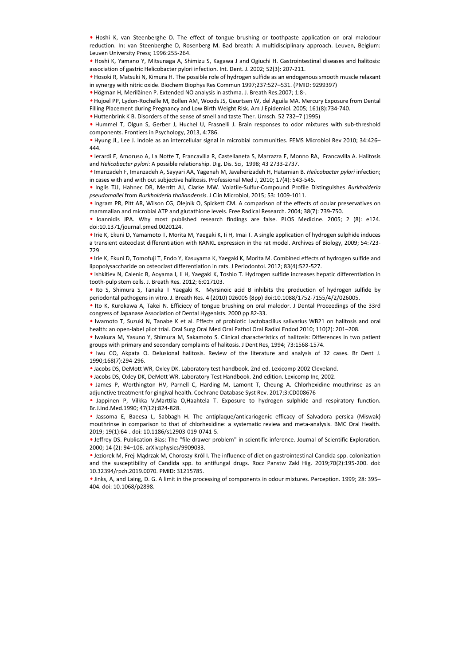• Hoshi K, van Steenberghe D. The effect of tongue brushing or toothpaste application on oral malodour reduction. In: van Steenberghe D, Rosenberg M. Bad breath: A multidisciplinary approach. Leuven, Belgium: Leuven University Press; 1996:255-264.

• Hoshi K, Yamano Y, Mitsunaga A, Shimizu S, Kagawa J and Ogiuchi H. Gastrointestinal diseases and halitosis: association of gastric Helicobacter pylori infection. Int. Dent. J. 2002; 52(3): 207-211.

• Hosoki R, Matsuki N, Kimura H. The possible role of hydrogen sulfide as an endogenous smooth muscle relaxant in synergy with nitric oxide. Biochem Biophys Res Commun 1997;237:527–531. (PMID: 9299397)

• Högman H, Meriläinen P. Extended NO analysis in asthma. J. Breath Res.2007; 1:8-.

• Hujoel PP, Lydon-Rochelle M, Bollen AM, Woods JS, Geurtsen W, del Aguila MA. Mercury Exposure from Dental Filling Placement during Pregnancy and Low Birth Weight Risk. Am J Epidemiol. 2005; 161(8):734-740.

• Huttenbrink K B. Disorders of the sense of smell and taste Ther. Umsch. 52 732–7 (1995)

• Hummel T, Olgun S, Gerber J, Huchel U, Frasnelli J. Brain responses to odor mixtures with sub-threshold components. Frontiers in Psychology, 2013, 4:786.

• Hyung JL, Lee J. Indole as an intercellular signal in microbial communities. FEMS Microbiol Rev 2010; 34:426– 444.

• Ierardi E, Amoruso A, La Notte T, Francavilla R, Castellaneta S, Marrazza E, Monno RA, Francavilla A. Halitosis and *Helicobacter pylori*: A possible relationship. Dig. Dis. Sci, 1998; 43 2733-2737.

• Imanzadeh F, Imanzadeh A, Sayyari AA, Yagenah M, Javaherizadeh H, Hatamian B. *Helicobacter pylori* infection; in cases with and with out subjective halitosis. Professional Med J, 2010; 17(4): 543-545.

• Inglis TJJ, Hahnec DR, Merritt AJ, Clarke MW. Volatile-Sulfur-Compound Profile Distinguishes *Burkholderia pseudomallei* from *Burkholderia thailandensis*. J Clin Microbiol, 2015; 53: 1009-1011.

• Ingram PR, Pitt AR, Wilson CG, Olejnik O, Spickett CM. A comparison of the effects of ocular preservatives on mammalian and microbial ATP and glutathione levels. Free Radical Research. 2004; 38(7): 739-750.

• Ioannidis JPA. Why most published research findings are false. PLOS Medicine. 2005; 2 (8): e124. doi:10.1371/journal.pmed.0020124.

• Irie K, Ekuni D, Yamamoto T, Morita M, Yaegaki K, Ii H, Imai T. A single application of hydrogen sulphide induces a transient osteoclast differentiation with RANKL expression in the rat model. Archives of Biology, 2009; 54:723- 729

• Irie K, Ekuni D, Tomofuji T, Endo Y, Kasuyama K, Yaegaki K, Morita M. Combined effects of hydrogen sulfide and lipopolysaccharide on osteoclast differentiation in rats. J Periodontol. 2012; 83(4):522-527.

• Ishkitiev N, Calenic B, Aoyama I, Ii H, Yaegaki K, Toshio T. Hydrogen sulfide increases hepatic differentiation in tooth-pulp stem cells. J. Breath Res. 2012; 6:017103.

• Ito S, Shimura S, Tanaka T Yaegaki K. Myrsinoic acid B inhibits the production of hydrogen sulfide by periodontal pathogens in vitro. J. Breath Res. 4 (2010) 026005 (8pp) doi:10.1088/1752-7155/4/2/026005.

• Ito K, Kurokawa A, Takei N. Efficiecy of tongue brushing on oral malodor. J Dental Proceedings of the 33rd congress of Japanase Association of Dental Hygenists. 2000 pp 82-33.

• Iwamoto T, Suzuki N, Tanabe K et al. Effects of probiotic Lactobacillus salivarius WB21 on halitosis and oral health: an open-label pilot trial. Oral Surg Oral Med Oral Pathol Oral Radiol Endod 2010; 110(2): 201–208.

• Iwakura M, Yasuno Y, Shimura M, Sakamoto S. Clinical characteristics of halitosis: Differences in two patient groups with primary and secondary complaints of halitosis. J Dent Res, 1994; 73:1568-1574.

• Iwu CO, Akpata O. Delusional halitosis. Review of the literature and analysis of 32 cases. Br Dent J. 1990;168(7):294-296.

• Jacobs DS, DeMott WR, Oxley DK. Laboratory test handbook. 2nd ed. Lexicomp 2002 Cleveland.

• Jacobs DS, Oxley DK, DeMott WR. Laboratory Test Handbook. 2nd edition. Lexicomp Inc, 2002.

• James P, Worthington HV, Parnell C, Harding M, Lamont T, Cheung A. Chlorhexidine mouthrinse as an adjunctive treatment for gingival health. Cochrane Database Syst Rev. 2017;3:CD008676

• Jappinen P, Vilkka V,Marttila O,Haahtela T. Exposure to hydrogen sulphide and respiratory function. Br.J.Ind.Med.1990; 47(12):824-828.

• Jassoma E, Baeesa L, Sabbagh H. The antiplaque/anticariogenic efficacy of Salvadora persica (Miswak) mouthrinse in comparison to that of chlorhexidine: a systematic review and meta-analysis. BMC Oral Health. 2019; 19(1):64-. doi: 10.1186/s12903-019-0741-5. 4 e legit TI, bishnet DR, bishnet DR, bishnet DR, bishnet Sulfur Comparis Tom Hotel bishnet Comparison and the stress of the left Times (10.1081/2013) and the stress of the interval and minimism and microbial ATP and plut

• Jeffrey DS. Publication Bias: The "file-drawer problem" in scientific inference. Journal of Scientific Exploration. 2000; 14 (2): 94–106. arXiv:physics/9909033.

• Jeziorek M, Frej-Mądrzak M, Choroszy-Król I. The influence of diet on gastrointestinal Candida spp. colonization and the susceptibility of Candida spp. to antifungal drugs. Rocz Panstw Zakl Hig. 2019;70(2):195-200. doi: 10.32394/rpzh.2019.0070. PMID: 31215785.

• Jinks, A, and Laing, D. G. A limit in the processing of components in odour mixtures. Perception. 1999; 28: 395–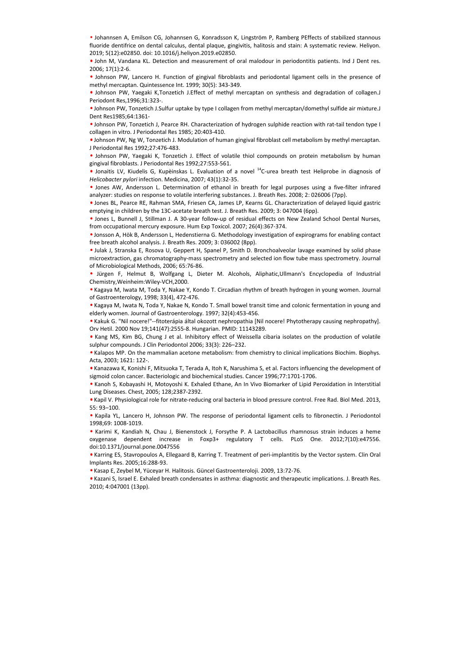• Johannsen A, Emilson CG, Johannsen G, Konradsson K, Lingström P, Ramberg PEffects of stabilized stannous fluoride dentifrice on dental calculus, dental plaque, gingivitis, halitosis and stain: A systematic review. Heliyon. 2019; 5(12):e02850. doi: 10.1016/j.heliyon.2019.e02850.

• John M, Vandana KL. Detection and measurement of oral malodour in periodontitis patients. Ind J Dent res. 2006; 17(1):2-6.

• Johnson PW, Lancero H. Function of gingival fibroblasts and periodontal ligament cells in the presence of methyl mercaptan. Quintessence Int. 1999; 30(5): 343-349.

• Johnson PW, Yaegaki K,Tonzetich J.Effect of methyl mercaptan on synthesis and degradation of collagen.J Periodont Res,1996;31:323-.

• Johnson PW, Tonzetich J.Sulfur uptake by type I collagen from methyl mercaptan/domethyl sulfide air mixture.J Dent Res1985;64:1361-

• Johnson PW, Tonzetich J, Pearce RH. Characterization of hydrogen sulphide reaction with rat-tail tendon type I collagen in vitro. J Periodontal Res 1985; 20:403-410.

• Johnson PW, Ng W, Tonzetich J. Modulation of human gingival fibroblast cell metabolism by methyl mercaptan. J Periodontal Res 1992;27:476-483.

• Johnson PW, Yaegaki K, Tonzetich J. Effect of volatile thiol compounds on protein metabolism by human gingival fibroblasts. J Periodontal Res 1992;27:553-561.

• Jonaitis LV, Kiudelis G, Kupèinskas L. Evaluation of a novel <sup>14</sup>C-urea breath test Heliprobe in diagnosis of *Helicobacter pylori* infection. Medicina, 2007; 43(1):32-35.

• Jones AW, Andersson L. Determination of ethanol in breath for legal purposes using a five-filter infrared analyzer: studies on response to volatile interfering substances. J. Breath Res. 2008; 2: 026006 (7pp).

• Jones BL, Pearce RE, Rahman SMA, Friesen CA, James LP, Kearns GL. Characterization of delayed liquid gastric emptying in children by the 13C-acetate breath test. J. Breath Res. 2009; 3: 047004 (6pp).

• Jones L, Bunnell J, Stillman J. A 30-year follow-up of residual effects on New Zealand School Dental Nurses, from occupational mercury exposure. Hum Exp Toxicol. 2007; 26(4):367-374.

• Jonsson A, Hök B, Andersson L, Hedenstierna G. Methodology investigation of expirograms for enabling contact free breath alcohol analysis. J. Breath Res. 2009; 3: 036002 (8pp).

• Julak J, Stranska E, Rosova U, Geppert H, Spanel P, Smith D. Bronchoalveolar lavage examined by solid phase microextraction, gas chromatography-mass spectrometry and selected ion flow tube mass spectrometry. Journal of Microbiological Methods, 2006; 65:76-86. e Jones AW, Andersson. Lotenministon of ethionis in breach Infe Jones Dissip Incore (like the Vietner Hermit Rates and the Vietner Hermit Rates and the Vietner Hermit Aydes are lones BL, Forecas E. Reals Net Association of

• Jürgen F, Helmut B, Wolfgang L, Dieter M. Alcohols, Aliphatic,Ullmann's Encyclopedia of Industrial Chemistry,Weinheim:Wiley-VCH,2000.

• Kagaya M, Iwata M, Toda Y, Nakae Y, Kondo T. Circadian rhythm of breath hydrogen in young women. Journal of Gastroenterology, 1998; 33(4), 472-476.

• Kagaya M, Iwata N, Toda Y, Nakae N, Kondo T. Small bowel transit time and colonic fermentation in young and elderly women. Journal of Gastroenterology. 1997; 32(4):453-456.

• Kakuk G. "Nil nocere!"--fitoterápia által okozott nephropathia [Nil nocere! Phytotherapy causing nephropathy]. Orv Hetil. 2000 Nov 19;141(47):2555-8. Hungarian. PMID: 11143289.

• Kang MS, Kim BG, Chung J et al. Inhibitory effect of Weissella cibaria isolates on the production of volatile sulphur compounds. J Clin Periodontol 2006; 33(3): 226–232.

• Kalapos MP. On the mammalian acetone metabolism: from chemistry to clinical implications Biochim. Biophys. Acta, 2003; 1621: 122-.

• Kanazawa K, Konishi F, Mitsuoka T, Terada A, Itoh K, Narushima S, et al. Factors influencing the development of sigmoid colon cancer. Bacteriologic and biochemical studies. Cancer 1996;77:1701-1706.

• Kanoh S, Kobayashi H, Motoyoshi K. Exhaled Ethane, An In Vivo Biomarker of Lipid Peroxidation in Interstitial Lung Diseases. Chest, 2005; 128;2387-2392.

• Kapil V. Physiological role for nitrate-reducing oral bacteria in blood pressure control. Free Rad. Biol Med. 2013, 55: 93–100.

• Kapila YL, Lancero H, Johnson PW. The response of periodontal ligament cells to fibronectin. J Periodontol 1998;69: 1008-1019.

• Karimi K, Kandiah N, Chau J, Bienenstock J, Forsythe P. A Lactobacillus rhamnosus strain induces a heme oxygenase dependent increase in Foxp3+ regulatory T cells. PLoS One. 2012;7(10):e47556. doi:10.1371/journal.pone.0047556

• Karring ES, Stavropoulos A, Ellegaard B, Karring T. Treatment of peri-implantitis by the Vector system. Clin Oral Implants Res. 2005;16:288-93.

• Kasap E, Zeybel M, Yüceyar H. Halitosis. Güncel Gastroenteroloji. 2009, 13:72-76.

• Kazani S, Israel E. Exhaled breath condensates in asthma: diagnostic and therapeutic implications. J. Breath Res.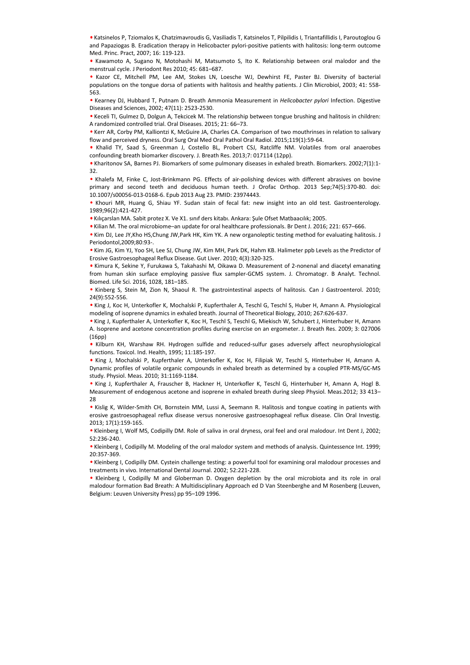• Katsinelos P, Tziomalos K, Chatzimavroudis G, Vasiliadis T, Katsinelos T, Pilpilidis I, Triantafillidis I, Paroutoglou G and Papaziogas B. Eradication therapy in Helicobacter pylori-positive patients with halitosis: long-term outcome Med. Princ. Pract, 2007; 16: 119-123.

• Kawamoto A, Sugano N, Motohashi M, Matsumoto S, Ito K. Relationship between oral malodor and the menstrual cycle. J Periodont Res 2010; 45: 681–687.

• Kazor CE, Mitchell PM, Lee AM, Stokes LN, Loesche WJ, Dewhirst FE, Paster BJ. Diversity of bacterial populations on the tongue dorsa of patients with halitosis and healthy patients. J Clin Microbiol, 2003; 41: 558- 563.

• Kearney DJ, Hubbard T, Putnam D. Breath Ammonia Measurement in *Helicobacter pylori* Infection. Digestive Diseases and Sciences, 2002; 47(11): 2523-2530.

• Keceli TI, Gulmez D, Dolgun A, Tekcicek M. The relationship between tongue brushing and halitosis in children: A randomized controlled trial. Oral Diseases. 2015; 21: 66–73.

• Kerr AR, Corby PM, Kalliontzi K, McGuire JA, Charles CA. Comparison of two mouthrinses in relation to salivary flow and perceived dryness. Oral Surg Oral Med Oral Pathol Oral Radiol. 2015;119(1):59-64.

• Khalid TY, Saad S, Greenman J, Costello BL, Probert CSJ, Ratcliffe NM. Volatiles from oral anaerobes confounding breath biomarker discovery. J. Breath Res. 2013;7: 017114 (12pp).

• Kharitonov SA, Barnes PJ. Biomarkers of some pulmonary diseases in exhaled breath. Biomarkers. 2002;7(1):1- 32.

• Khalefa M, Finke C, Jost-Brinkmann PG. Effects of air-polishing devices with different abrasives on bovine primary and second teeth and deciduous human teeth. J Orofac Orthop. 2013 Sep;74(5):370-80. doi: 10.1007/s00056-013-0168-6. Epub 2013 Aug 23. PMID: 23974443.

• Khouri MR, Huang G, Shiau YF. Sudan stain of fecal fat: new insight into an old test. Gastroenterology. 1989;96(2):421-427.

• Kılıçarslan MA. Sabit protez X. Ve X1. sınıf ders kitabı. Ankara: Şule Ofset Matbaacılık; 2005.

• Kilian M. The oral microbiome–an update for oral healthcare professionals. Br Dent J. 2016; 221: 657–666.

• Kim DJ, Lee JY,Kho HS,Chung JW,Park HK, Kim YK. A new organoleptic testing method for evaluating halitosis. J Periodontol,2009;80:93-.

• Kim JG, Kim YJ, Yoo SH, Lee SJ, Chung JW, Kim MH, Park DK, Hahm KB. Halimeter ppb Levels as the Predictor of Erosive Gastroesophageal Reflux Disease. Gut Liver. 2010; 4(3):320-325.

• Kimura K, Sekine Y, Furukawa S, Takahashi M, Oikawa D. Measurement of 2-nonenal and diacetyl emanating from human skin surface employing passive flux sampler-GCMS system. J. Chromatogr. B Analyt. Technol. Biomed. Life Sci. 2016, 1028, 181–185. primary and second sets have a decidibute human teeth . Drank Dethand the Statistics and the Statistics Press) pp 95–109 1996.<br>
When the Northern Results of the Statistics Press) pp 95–109 1996. Murat Aydin and the Statist

• Kinberg S, Stein M, Zion N, Shaoul R. The gastrointestinal aspects of halitosis. Can J Gastroenterol. 2010; 24(9):552-556.

• King J, Koc H, Unterkofler K, Mochalski P, Kupferthaler A, Teschl G, Teschl S, Huber H, Amann A. Physiological modeling of isoprene dynamics in exhaled breath. Journal of Theoretical Biology, 2010; 267:626-637.

• King J, Kupferthaler A, Unterkofler K, Koc H, Teschl S, Teschl G, Miekisch W, Schubert J, Hinterhuber H, Amann A. Isoprene and acetone concentration profiles during exercise on an ergometer. J. Breath Res. 2009; 3: 027006 (16pp)

• Kilburn KH, Warshaw RH. Hydrogen sulfide and reduced-sulfur gases adversely affect neurophysiological functions. Toxicol. Ind. Health, 1995; 11:185-197.

• King J, Mochalski P, Kupferthaler A, Unterkofler K, Koc H, Filipiak W, Teschl S, Hinterhuber H, Amann A. Dynamic profiles of volatile organic compounds in exhaled breath as determined by a coupled PTR-MS/GC-MS study. Physiol. Meas. 2010; 31:1169-1184.

• King J, Kupferthaler A, Frauscher B, Hackner H, Unterkofler K, Teschl G, Hinterhuber H, Amann A, Hogl B. Measurement of endogenous acetone and isoprene in exhaled breath during sleep Physiol. Meas.2012; 33 413– 28

• Kislig K, Wilder-Smith CH, Bornstein MM, Lussi A, Seemann R. Halitosis and tongue coating in patients with erosive gastroesophageal reflux disease versus nonerosive gastroesophageal reflux disease. Clin Oral Investig. 2013; 17(1):159-165.

• Kleinberg I, Wolf MS, Codipilly DM. Role of saliva in oral dryness, oral feel and oral malodour. Int Dent J, 2002; 52:236-240.

• Kleinberg I, Codipilly M. Modeling of the oral malodor system and methods of analysis. Quintessence Int. 1999; 20:357-369.

• Kleinberg I, Codipilly DM. Cystein challenge testing: a powerful tool for examining oral malodour processes and treatments in vivo. International Dental Journal. 2002; 52:221-228.

• Kleinberg I, Codipilly M and Globerman D. Oxygen depletion by the oral microbiota and its role in oral malodour formation Bad Breath: A Multidisciplinary Approach ed D Van Steenberghe and M Rosenberg (Leuven,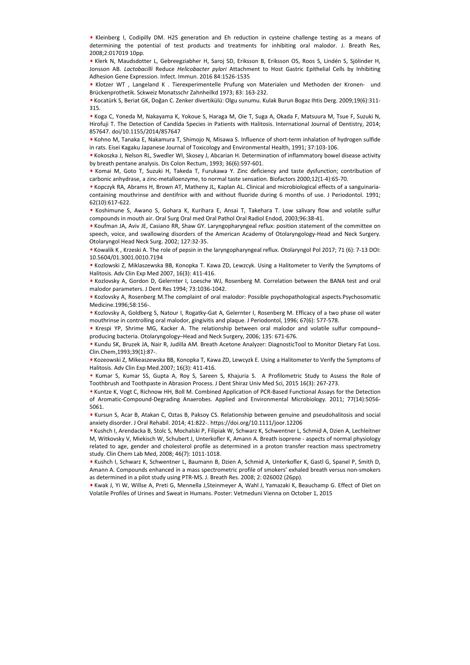• Kleinberg I, Codipilly DM. H2S generation and Eh reduction in cysteine challenge testing as a means of determining the potential of test products and treatments for inhibiting oral malodor. J. Breath Res, 2008;2:017019 10pp.

• Klerk N, Maudsdotter L, Gebreegziabher H, Saroj SD, Eriksson B, Eriksson OS, Roos S, Lindén S, Sjölinder H, Jonsson AB. *Lactobacilli* Reduce *Helicobacter pylori* Attachment to Host Gastric Epithelial Cells by Inhibiting Adhesion Gene Expression. Infect. Immun. 2016 84:1526-1535

• Klotzer WT , Langeland K . Tierexperimentelle Prufung von Materialen und Methoden der Kronen- und Brückenprothetik. Sckweiz Monatsschr Zahnheilkd 1973; 83: 163-232.

• Kocatürk S, Beriat GK, Doğan C. Zenker divertikülü: Olgu sunumu. Kulak Burun Bogaz Ihtis Derg. 2009;19(6):311- 315.

• Koga C, Yoneda M, Nakayama K, Yokoue S, Haraga M, Oie T, Suga A, Okada F, Matsuura M, Tsue F, Suzuki N, Hirofuji T. The Detection of Candida Species in Patients with Halitosis. International Journal of Dentistry, 2014; 857647. doi/10.1155/2014/857647

• Kohno M, Tanaka E, Nakamura T, Shimojo N, Misawa S. Influence of short-term inhalation of hydrogen sulfide in rats. Eisei Kagaku Japanese Journal of Toxicology and Environmental Health, 1991; 37:103-106.

• Kokoszka J, Nelson RL, Swedler WI, Skosey J, Abcarian H. Determination of inflammatory bowel disease activity by breath pentane analysis. Dis Colon Rectum, 1993; 36(6):597-601.

• Komai M, Goto T, Suzuki H, Takeda T, Furukawa Y. Zinc deficiency and taste dysfunction; contribution of carbonic anhydrase, a zinc-metalloenzyme, to normal taste sensation. Biofactors 2000;12(1-4):65-70.

• Kopczyk RA, Abrams H, Brown AT, Matheny JL, Kaplan AL. Clinical and microbiological effects of a sanguinariacontaining mouthrinse and dentifrice with and without fluoride during 6 months of use. J Periodontol. 1991; 62(10):617-622.

• Koshimune S, Awano S, Gohara K, Kurihara E, Ansai T, Takehara T. Low salivary flow and volatile sulfur compounds in mouth air. Oral Surg Oral med Oral Pathol Oral Radiol Endod, 2003;96:38-41.

• Koufman JA, Aviv JE, Casiano RR, Shaw GY. Laryngopharyngeal reflux: position statement of the committee on speech, voice, and swallowing disorders of the American Academy of Otolaryngology-Head and Neck Surgery. Otolaryngol Head Neck Surg. 2002; 127:32-35.

• Kowalik K , Krzeski A. The role of pepsin in the laryngopharyngeal reflux. Otolaryngol Pol 2017; 71 (6): 7-13 DOI: 10.5604/01.3001.0010.7194

• Kozlowski Z, Miklaszewska BB, Konopka T. Kawa ZD, Lewzcyk. Using a Halitometer to Verify the Symptoms of Halitosis. Adv Clin Exp Med 2007, 16(3): 411-416.

• Kozlovsky A, Gordon D, Gelernter I, Loesche WJ, Rosenberg M. Correlation between the BANA test and oral malodor parameters. J Dent Res 1994; 73:1036-1042.

• Kozlovsky A, Rosenberg M.The complaint of oral malodor: Possible psychopathological aspects.Psychosomatic Medicine.1996;58:156-.

• Kozlovsky A, Goldberg S, Natour I, Rogatky-Gat A, Gelernter I, Rosenberg M. Efficacy of a two phase oil water mouthrinse in controlling oral malodor, gingivitis and plaque. J Periodontol, 1996; 67(6): 577-578.

• Krespi YP, Shrime MG, Kacker A. The relationship between oral malodor and volatile sulfur compound– producing bacteria. Otolaryngology–Head and Neck Surgery, 2006; 135: 671-676.

• Kundu SK, Bruzek JA, Nair R, Judilla AM. Breath Acetone Analyzer: DiagnosticTool to Monitor Dietary Fat Loss. Clin.Chem,1993;39(1):87-.

• Kozeowski Z, Mikeaszewska BB, Konopka T, Kawa ZD, Lewcyzk E. Using a Halitometer to Verify the Symptoms of Halitosis. Adv Clin Exp Med.2007; 16(3): 411-416.

• Kumar S, Kumar SS, Gupta A, Roy S, Sareen S, Khajuria S. A Profilometric Study to Assess the Role of Toothbrush and Toothpaste in Abrasion Process. J Dent Shiraz Univ Med Sci, 2015 16(3): 267-273.

• Kuntze K, Vogt C, Richnow HH, Boll M. Combined Application of PCR-Based Functional Assays for the Detection of Aromatic-Compound-Degrading Anaerobes. Applied and Environmental Microbiology. 2011; 77(14):5056- 5061.

• Kursun S, Acar B, Atakan C, Oztas B, Paksoy CS. Relationship between genuine and pseudohalitosis and social anxiety disorder. J Oral Rehabil. 2014; 41:822-. https://doi.org/10.1111/joor.12206

• Kushch I, Arendacka B, Stolc S, Mochalski P, Filipiak W, Schwarz K, Schwentner L, Schmid A, Dzien A, Lechleitner M, Witkovsky V, Miekisch W, Schubert J, Unterkofler K, Amann A. Breath isoprene - aspects of normal physiology related to age, gender and cholesterol profile as determined in a proton transfer reaction mass spectrometry study. Clin Chem Lab Med, 2008; 46(7): 1011-1018. viscomy is a controlled material of the methodological sets of a sequence of the sets of the sets of a sequence of the sets of the sets of the sets of the sets of the sets of the sets of the sets of the sets of the sets of

• Kushch I, Schwarz K, Schwentner L, Baumann B, Dzien A, Schmid A, Unterkofler K, Gastl G, Spanel P, Smith D, Amann A. Compounds enhanced in a mass spectrometric profile of smokers' exhaled breath versus non-smokers as determined in a pilot study using PTR-MS. J. Breath Res. 2008; 2: 026002 (26pp).

• Kwak J, Yi W, Willse A, Preti G, Mennella J,Steinmeyer A, Wahl J, Yamazaki K, Beauchamp G. Effect of Diet on Volatile Profiles of Urines and Sweat in Humans, Poster: Vetmeduni Vienna on October 1, 2015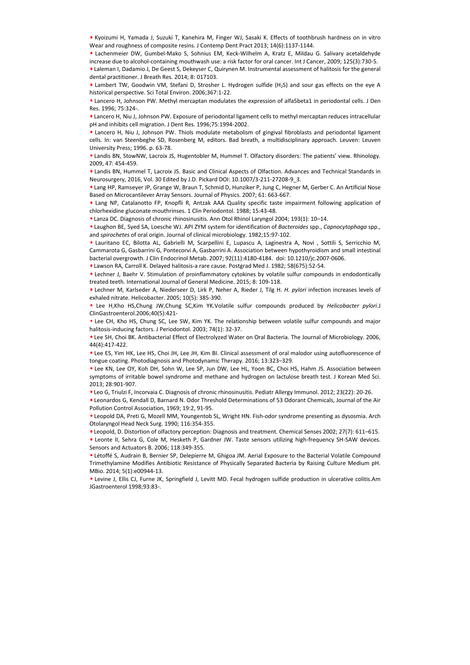• Kyoizumi H, Yamada J, Suzuki T, Kanehira M, Finger WJ, Sasaki K. Effects of toothbrush hardness on in vitro Wear and roughness of composite resins. J Contemp Dent Pract 2013; 14(6):1137-1144.

• Lachenmeier DW, Gumbel-Mako S, Sohnius EM, Keck-Wilhelm A, Kratz E, Mildau G. Salivary acetaldehyde increase due to alcohol-containing mouthwash use: a risk factor for oral cancer. Int J Cancer, 2009; 125(3):730-5.

• Laleman I, Dadamio J, De Geest S, Dekeyser C, Quirynen M. Instrumental assessment of halitosis for the general dental practitioner. J Breath Res. 2014; 8: 017103.

• Lambert TW, Goodwin VM, Stefani D, Strosher L. Hydrogen sulfide (H2S) and sour gas effects on the eye A historical perspective. Sci Total Environ. 2006;367:1-22.

• Lancero H, Johnson PW. Methyl mercaptan modulates the expression of alfa5beta1 in periodontal cells. J Den Res. 1996; 75:324-.

• Lancero H, Niu J, Johnson PW. Exposure of periodontal ligament cells to methyl mercaptan reduces intracellular pH and inhibits cell migration. J Dent Res. 1996;75:1994-2002.

• Lancero H, Niu J, Johnson PW. Thiols modulate metabolism of gingival fibroblasts and periodontal ligament cells. In: van Steenbeghe SD, Rosenberg M, editors. Bad breath, a multidisciplinary approach. Leuven: Leuven University Press; 1996. p. 63-78.

• Landis BN, StowNW, Lacroix JS, Hugentobler M, Hummel T. Olfactory disorders: The patients' view. Rhinology. 2009, 47: 454-459.

• Landis BN, Hummel T, Lacroix JS. Basic and Clinical Aspects of Olfaction. Advances and Technical Standards in Neurosurgery, 2016, Vol. 30 Edited by J.D. Pickard DOI: 10.1007/3-211-27208-9\_3.

• Lang HP, Ramseyer JP, Grange W, Braun T, Schmid D, Hunziker P, Jung C, Hegner M, Gerber C. An Artificial Nose Based on Microcantilever Array Sensors. Journal of Physics. 2007; 61: 663-667.

• Lang NP, Catalanotto FP, Knopfli R, Antzak AAA Quality specific taste impairment following application of chlorhexidine gluconate mouthrinses. 1 Clin Periodontol. 1988; 15:43-48.

• Lanza DC. Diagnosis of chronic rhinosinusitis. Ann Otol Rhinol Laryngol 2004; 193(1): 10–14.

• Laughon BE, Syed SA, Loesche WJ. API ZYM system for identification of *Bacteroides* spp., *Capnocytophaga* spp., and *spirochetes* of oral origin. Journal of clinical microbiology. 1982;15:97-102.

• Lauritano EC, Bilotta AL, Gabrielli M, Scarpellini E, Lupascu A, Laginestra A, Novi , Sottili S, Serricchio M, Cammarota G, Gasbarrini G, Pontecorvi A, Gasbarrini A. Association between hypothyroidism and small intestinal bacterial overgrowth. J Clin Endocrinol Metab. 2007; 92(11):4180-4184. doi: 10.1210/jc.2007-0606. e Land II: Ramoye (P. General Mealtain of Distribution (1998). The state is the control of the state of Artistian Nets Can also the state is the NP, Calibratic CAR Artistian Nets Land II: Murat Aydingthroenterol 1998; 15:4

• Lawson RA, Carroll K. Delayed halitosis-a rare cause. Postgrad Med J. 1982; 58(675):52-54.

• Lechner J, Baehr V. Stimulation of proinflammatory cytokines by volatile sulfur compounds in endodontically treated teeth. International Journal of General Medicine. 2015; 8: 109-118.

• Lechner M, Karlseder A, Niederseer D, Lirk P, Neher A, Rieder J, Tilg H. *H. pylori* infection increases levels of exhaled nitrate. Helicobacter. 2005; 10(5): 385-390.

• Lee H,Kho HS,Chung JW,Chung SC,Kim YK.Volatile sulfur compounds produced by *Helicobacter pylori*.J ClinGastroenterol.2006;40(5):421-

• Lee CH, Kho HS, Chung SC, Lee SW, Kim YK. The relationship between volatile sulfur compounds and major halitosis-inducing factors. J Periodontol. 2003; 74(1): 32-37.

• Lee SH, Choi BK. Antibacterial Effect of Electrolyzed Water on Oral Bacteria. The Journal of Microbiology. 2006, 44(4):417-422.

• Lee ES, Yim HK, Lee HS, Choi JH, Lee JH, Kim BI. Clinical assessment of oral malodor using autofluorescence of tongue coating. Photodiagnosis and Photodynamic Therapy. 2016; 13:323–329.

• Lee KN, Lee OY, Koh DH, Sohn W, Lee SP, Jun DW, Lee HL, Yoon BC, Choi HS, Hahm JS. Association between symptoms of irritable bowel syndrome and methane and hydrogen on lactulose breath test. J Korean Med Sci. 2013; 28:901-907.

• Leo G, Triulzi F, Incorvaia C. Diagnosis of chronic rhinosinusitis. Pediatr Allergy Immunol. 2012; 23(22): 20-26.

• Leonardos G, Kendall D, Barnard N. Odor Threshold Determinations of 53 Odorant Chemicals, Journal of the Air Pollution Control Association, 1969; 19:2, 91-95.

• Leopold DA, Preti G, Mozell MM, Youngentob SL, Wright HN. Fish-odor syndrome presenting as dysosmia. Arch Otolaryngol Head Neck Surg. 1990; 116:354-355.

• Leopold, D. Distortion of olfactory perception: Diagnosis and treatment. Chemical Senses 2002; 27(7): 611–615.

• Leonte II, Sehra G, Cole M, Hesketh P, Gardner JW. Taste sensors utilizing high-frequency SH-SAW devices. Sensors and Actuators B. 2006; 118:349-355.

• Létoffé S, Audrain B, Bernier SP, Delepierre M, Ghigoa JM. Aerial Exposure to the Bacterial Volatile Compound Trimethylamine Modifies Antibiotic Resistance of Physically Separated Bacteria by Raising Culture Medium pH. MBio. 2014; 5(1):e00944-13.

• Levine J, Ellis CJ, Furne JK, Springfield J, Levitt MD. Fecal hydrogen sulfide production in ulcerative colitis.Am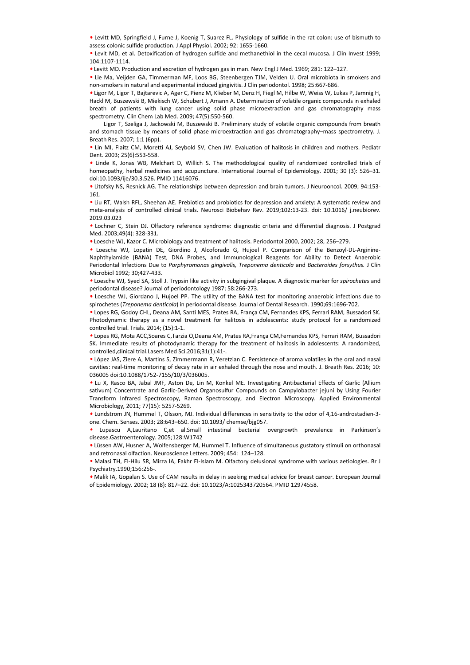• Levitt MD, Springfield J, Furne J, Koenig T, Suarez FL. Physiology of sulfide in the rat colon: use of bismuth to assess colonic sulfide production. J Appl Physiol. 2002; 92: 1655-1660.

• Levit MD, et al. Detoxification of hydrogen sulfide and methanethiol in the cecal mucosa. J Clin Invest 1999; 104:1107-1114.

• Levitt MD. Production and excretion of hydrogen gas in man. New Engl J Med. 1969; 281: 122–127.

• Lie Ma, Veijden GA, Timmerman MF, Loos BG, Steenbergen TJM, Velden U. Oral microbiota in smokers and non-smokers in natural and experimental induced gingivitis. J Clin periodontol. 1998; 25:667-686.

• Ligor M, Ligor T, Bajtarevic A, Ager C, Pienz M, Klieber M, Denz H, Fiegl M, Hilbe W, Weiss W, Lukas P, Jamnig H, Hackl M, Buszewski B, Miekisch W, Schubert J, Amann A. Determination of volatile organic compounds in exhaled breath of patients with lung cancer using solid phase microextraction and gas chromatography mass spectrometry. Clin Chem Lab Med. 2009; 47(5):550-560.

Ligor T, Szeliga J, Jackowski M, Buszewski B. Preliminary study of volatile organic compounds from breath and stomach tissue by means of solid phase microextraction and gas chromatography–mass spectrometry. J. Breath Res. 2007; 1:1 (6pp).

• Lin MI, Flaitz CM, Moretti AJ, Seybold SV, Chen JW. Evaluation of halitosis in children and mothers. Pediatr Dent. 2003; 25(6):553-558.

• Linde K, Jonas WB, Melchart D, Willich S. The methodological quality of randomized controlled trials of homeopathy, herbal medicines and acupuncture. International Journal of Epidemiology. 2001; 30 (3): 526–31. doi:10.1093/ije/30.3.526. PMID 11416076.

• Litofsky NS, Resnick AG. The relationships between depression and brain tumors. J Neurooncol. 2009; 94:153- 161.

• Liu RT, Walsh RFL, Sheehan AE. Prebiotics and probiotics for depression and anxiety: A systematic review and meta-analysis of controlled clinical trials. Neurosci Biobehav Rev. 2019;102:13-23. doi: 10.1016/ j.neubiorev. 2019.03.023

• Lochner C, Stein DJ. Olfactory reference syndrome: diagnostic criteria and differential diagnosis. J Postgrad Med. 2003;49(4): 328-331.

• Loesche WJ, Kazor C. Microbiology and treatment of halitosis. Periodontol 2000, 2002; 28, 256–279.

• Loesche WJ, Lopatin DE, Giordino J, Alcoforado G, Hujoel P. Comparison of the Benzoyl-DL-Arginine-Naphthylamide (BANA) Test, DNA Probes, and Immunological Reagents for Ability to Detect Anaerobic Periodontal Infections Due to *Porphyromonas gingivalis, Treponema denticola* and *Bacteroides forsythus.* J Clin Microbiol 1992; 30;427-433.

• Loesche WJ, Syed SA, Stoll J. Trypsin like activity in subgingival plaque. A diagnostic marker for *spirochetes* and periodontal disease? Journal of periodontology 1987; 58:266-273.

• Loesche WJ, Giordano J, Hujoel PP. The utility of the BANA test for monitoring anaerobic infections due to spirochetes (*Treponema denticola*) in periodontal disease. Journal of Dental Research. 1990;69:1696-702.

• Lopes RG, Godoy CHL, Deana AM, Santi MES, Prates RA, França CM, Fernandes KPS, Ferrari RAM, Bussadori SK. Photodynamic therapy as a novel treatment for halitosis in adolescents: study protocol for a randomized controlled trial. Trials. 2014; (15):1-1.

• Lopes RG, Mota ACC,Soares C,Tarzia O,Deana AM, Prates RA,França CM,Fernandes KPS, Ferrari RAM, Bussadori SK. Immediate results of photodynamic therapy for the treatment of halitosis in adolescents: A randomized, controlled,clinical trial.Lasers Med Sci.2016;31(1):41-.

• López JAS, Ziere A, Martins S, Zimmermann R, Yeretzian C. Persistence of aroma volatiles in the oral and nasal cavities: real-time monitoring of decay rate in air exhaled through the nose and mouth. J. Breath Res. 2016; 10: 036005 doi:10.1088/1752-7155/10/3/036005.

• Lu X, Rasco BA, Jabal JMF, Aston De, Lin M, Konkel ME. Investigating Antibacterial Effects of Garlic (Allium sativum) Concentrate and Garlic-Derived Organosulfur Compounds on Campylobacter jejuni by Using Fourier Transform Infrared Spectroscopy, Raman Spectroscopy, and Electron Microscopy. Applied Environmental Microbiology, 2011; 77(15): 5257-5269. • Lindsky NS, Resnick AG. The relationships between depression and brain tumors. J Neuroannol. 2009; 94:15.<br>• Lind. W. Wells HRL, Sheekan A&, Predictions and problemist for depression and anisotic experimental energies and

• Lundstrom JN, Hummel T, Olsson, MJ. Individual differences in sensitivity to the odor of 4,16-androstadien-3 one. Chem. Senses. 2003; 28:643–650. doi: 10.1093/ chemse/bjg057.

• Lupascu A,Lauritano C,et al.Small intestinal bacterial overgrowth prevalence in Parkinson's disease.Gastroenterology. 2005;128:W1742

• Lüssen AW, Husner A, Wolfensberger M, Hummel T. Influence of simultaneous gustatory stimuli on orthonasal and retronasal olfaction. Neuroscience Letters. 2009; 454: 124–128.

• Malasi TH, El-Hilu SR, Mirza IA, Fakhr El-Islam M. Olfactory delusional syndrome with various aetiologies. Br J Psychiatry.1990;156:256-.

• Malik IA, Gopalan S. Use of CAM results in delay in seeking medical advice for breast cancer. European Journal of Epidemiology. 2002; 18 (8): 817-22. doi: 10.1023/A:1025343720564. PMID 12974558.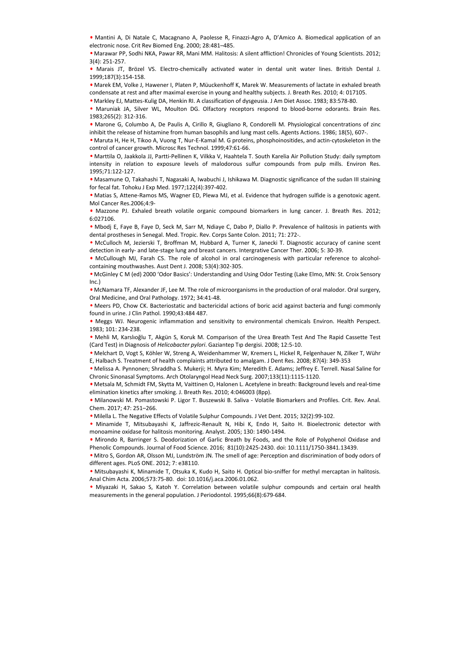• Mantini A, Di Natale C, Macagnano A, Paolesse R, Finazzi-Agro A, D'Amico A. Biomedical application of an electronic nose. Crit Rev Biomed Eng. 2000; 28:481–485.

• Marawar PP, Sodhi NKA, Pawar RR, Mani MM. Halitosis: A silent affliction! Chronicles of Young Scientists. 2012; 3(4): 251-257.

• Marais JT, Brözel VS. Electro-chemically activated water in dental unit water lines. British Dental J. 1999;187(3):154-158.

• Marek EM, Volke J, Hawener I, Platen P, Müuckenhoff K, Marek W. Measurements of lactate in exhaled breath condensate at rest and after maximal exercise in young and healthy subjects. J. Breath Res. 2010; 4: 017105.

• Markley EJ, Mattes-Kulig DA, Henkin RI. A classification of dysgeusia. J Am Diet Assoc. 1983; 83:578-80.

• Maruniak JA, Silver WL, Moulton DG. Olfactory receptors respond to blood-borne odorants. Brain Res. 1983;265(2): 312-316.

• Marone G, Columbo A, De Paulis A, Cirillo R, Giugliano R, Condorelli M. Physiological concentrations of zinc inhibit the release of histamine from human basophils and lung mast cells. Agents Actions. 1986; 18(5), 607-.

• Maruta H, He H, Tikoo A, Vuong T, Nur-E-Kamal M. G proteins, phosphoinositides, and actin-cytoskeleton in the control of cancer growth. Microsc Res Technol. 1999;47:61-66.

• Marttila O, Jaakkola JJ, Partti-Pellinen K, Vilkka V, Haahtela T. South Karelia Air Pollution Study: daily symptom intensity in relation to exposure levels of malodorous sulfur compounds from pulp mills. Environ Res. 1995;71:122-127.

• Masamune O, Takahashi T, Nagasaki A, Iwabuchi J, Ishikawa M. Diagnostic significance of the sudan III staining for fecal fat. Tohoku J Exp Med. 1977;122(4):397-402.

• Matias S, Attene-Ramos MS, Wagner ED, Plewa MJ, et al. Evidence that hydrogen sulfide is a genotoxic agent. Mol Cancer Res.2006;4:9-

• Mazzone PJ. Exhaled breath volatile organic compound biomarkers in lung cancer. J. Breath Res. 2012; 6:027106.

• Mbodj E, Faye B, Faye D, Seck M, Sarr M, Ndiaye C, Dabo P, Diallo P. Prevalence of halitosis in patients with dental prostheses in Senegal. Med. Tropic. Rev. Corps Sante Colon. 2011; 71: 272-.

• McCulloch M, Jezierski T, Broffman M, Hubbard A, Turner K, Janecki T. Diagnostic accuracy of canine scent detection in early- and late-stage lung and breast cancers. Intergrative Cancer Ther. 2006; 5: 30-39.

• McCullough MJ, Farah CS. The role of alcohol in oral carcinogenesis with particular reference to alcoholcontaining mouthwashes. Aust Dent J. 2008; 53(4):302-305. for fores lat. Torbus Use Medi. 1977:1244-1324-1324-1432.<br>In ferrel for the general population of the general population of the general population. Here is a probable population of the general population. Murat Ayding the

• McGinley C M (ed) 2000 'Odor Basics': Understanding and Using Odor Testing (Lake Elmo, MN: St. Croix Sensory Inc.)

• McNamara TF, Alexander JF, Lee M. The role of microorganisms in the production of oral malodor. Oral surgery, Oral Medicine, and Oral Pathology. 1972; 34:41-48.

• Meers PD, Chow CK. Bacteriostatic and bactericidal actions of boric acid against bacteria and fungi commonly found in urine. J Clin Pathol. 1990;43:484 487.

• Meggs WJ. Neurogenic inflammation and sensitivity to environmental chemicals Environ. Health Perspect. 1983; 101: 234-238.

• Mehli M, Karslıoğlu T, Akgün S, Koruk M. Comparison of the Urea Breath Test And The Rapid Cassette Test (Card Test) in Diagnosis of *Helicobacter pylori*. Gaziantep Tıp dergisi. 2008; 12:5-10.

• Melchart D, Vogt S, Köhler W, Streng A, Weidenhammer W, Kremers L, Hickel R, Felgenhauer N, Zilker T, Wühr E, Halbach S. Treatment of health complaints attributed to amalgam. J Dent Res. 2008; 87(4): 349-353

• Melissa A. Pynnonen; Shraddha S. Mukerji; H. Myra Kim; Meredith E. Adams; Jeffrey E. Terrell. Nasal Saline for Chronic Sinonasal Symptoms. Arch Otolaryngol Head Neck Surg. 2007;133(11):1115-1120.

• Metsala M, Schmidt FM, Skytta M, Vaittinen O, Halonen L. Acetylene in breath: Background levels and real-time elimination kinetics after smoking. J. Breath Res. 2010; 4:046003 (8pp).

• Milanowski M. Pomastowski P. Ligor T. Buszewski B. Saliva - Volatile Biomarkers and Profiles. Crit. Rev. Anal. Chem. 2017; 47: 251–266.

• Milella L. The Negative Effects of Volatile Sulphur Compounds. J Vet Dent. 2015; 32(2):99-102.

• Minamide T, Mitsubayashi K, Jaffrezic-Renault N, Hibi K, Endo H, Saito H. Bioelectronic detector with monoamine oxidase for halitosis monitoring. Analyst. 2005; 130: 1490-1494.

• Mirondo R, Barringer S. Deodorization of Garlic Breath by Foods, and the Role of Polyphenol Oxidase and Phenolic Compounds. Journal of Food Science. 2016; 81(10):2425-2430. doi: 10.1111/1750-3841.13439.

• Mitro S, Gordon AR, Olsson MJ, Lundström JN. The smell of age: Perception and discrimination of body odors of different ages. PLoS ONE. 2012; 7: e38110.

• Mitsubayashi K, Minamide T, Otsuka K, Kudo H, Saito H. Optical bio-sniffer for methyl mercaptan in halitosis. Anal Chim Acta. 2006;573:75-80. doi: 10.1016/j.aca.2006.01.062.

• Miyazaki H, Sakao S, Katoh Y. Correlation between volatile sulphur compounds and certain oral health measurements in the general population. J Periodontol. 1995;66(8):679-684.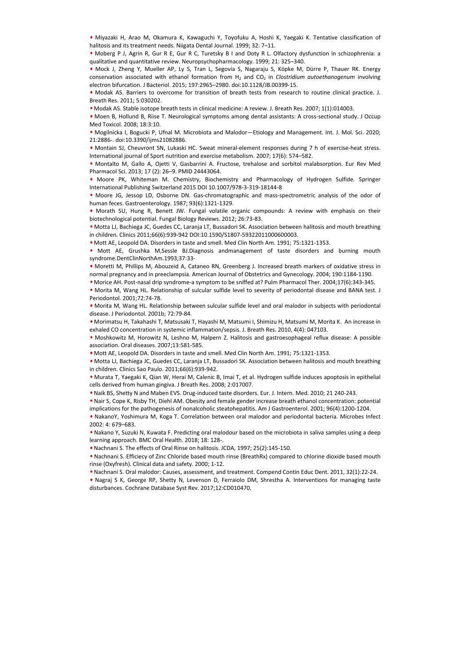• Miyazaki H, Arao M, Okamura K, Kawaguchi Y, Toyofuku A, Hoshi K, Yaegaki K. Tentative classification of halitosis and its treatment needs. Niigata Dental Journal. 1999; 32: 7–11.

• Moberg P J, Agrin R, Gur R E, Gur R C, Turetsky B I and Doty R L. Olfactory dysfunction in schizophrenia: a qualitative and quantitative review. Neuropsychopharmacology. 1999; 21: 325–340.

• Mock J, Zheng Y, Mueller AP, Ly S, Tran L, Segovia S, Nagaraju S, Köpke M, Dürre P, Thauer RK. Energy conservation associated with ethanol formation from H<sub>2</sub> and CO<sub>2</sub> in *Clostridium autoethanogenum* involving electron bifurcation. J Bacteriol. 2015; 197:2965–2980. doi:10.1128/JB.00399-15.

• Modak AS. Barriers to overcome for transition of breath tests from research to routine clinical practice. J. Breath Res. 2011; 5:030202.

• Modak AS. Stable isotope breath tests in clinical medicine: A review. J. Breath Res. 2007; 1(1):014003.

• Moen B, Hollund B, Riise T. Neurological symptoms among dental assistants: A cross-sectional study. J Occup Med Toxicol. 2008; 18:3:10.

• Mogilnicka I, Bogucki P, Ufnal M. Microbiota and Malodor—Etiology and Management. Int. J. Mol. Sci. 2020; 21:2886-. doi:10.3390/ijms21082886.

• Montain SJ, Cheuvront SN, Lukaski HC. Sweat mineral-element responses during 7 h of exercise-heat stress. International journal of Sport nutrition and exercise metabolism. 2007; 17(6): 574–582.

• Montalto M, Gallo A, Ojetti V, Gasbarrini A. Fructose, trehalose and sorbitol malabsorption. Eur Rev Med Pharmacol Sci. 2013; 17 (2): 26–9. PMID 24443064.

• Moore PK, Whiteman M. Chemistry, Biochemistry and Pharmacology of Hydrogen Sulfide. Springer International Publishing Switzerland 2015 DOI 10.1007/978-3-319-18144-8

• Moore JG, Jessop LD, Osborne DN. Gas-chromatographic and mass-spectrometric analysis of the odor of human feces. Gastroenterology. 1987; 93(6):1321-1329.

• Morath SU, Hung R, Benett JW. Fungal volatile organic compounds: A review with emphasis on their biotechnological potential. Fungal Biology Reviews. 2012; 26:73-83.

• Motta LJ, Bachiega JC, Guedes CC, Laranja LT, Bussadori SK. Association between halitosis and mouth breathing in children. Clinics 2011;66(6):939-942 DOI:10.1590/S1807-59322011000600003.

• Mott AE, Leopold DA. Disorders in taste and smell. Med Clin North Am. 1991; 75:1321-1353.

• Mott AE, Grushka M,Sessle BJ.Diagnosis andmanagement of taste disorders and burning mouth syndrome.DentClinNorthAm.1993;37:33-

• Moretti M, Phillips M, Abouzeid A, Cataneo RN, Greenberg J. Increased breath markers of oxidative stress in normal pregnancy and in preeclampsia. American Journal of Obstetrics and Gynecology. 2004; 190:1184-1190.

• Morice AH. Post-nasal drip syndrome-a symptom to be sniffed at? Pulm Pharmacol Ther. 2004;17(6):343-345.

• Morita M, Wang HL. Relationship of sulcular sulfide level to severity of periodontal disease and BANA test. J Periodontol. 2001;72:74-78.

• Morita M, Wang HL. Relationship between sulcular sulfide level and oral malodor in subjects with periodontal disease. J Periodontol. 2001b; 72:79-84.

• Morimatsu H, Takahashi T, Matsusaki T, Hayashi M, Matsumi I, Shimizu H, Matsumi M, Morita K. An increase in exhaled CO concentration in systemic inflammation/sepsis. J. Breath Res. 2010, 4(4): 047103.

• Moshkowitz M, Horowitz N, Leshno M, Halpern Z. Halitosis and gastroesophageal reflux disease: A possible association. Oral diseases. 2007;13:581-585.

• Mott AE, Leopold DA. Disorders in taste and smell. Med Clin North Am. 1991; 75:1321-1353.

• Motta LJ, Bachiega JC, Guedes CC, Laranja LT, Bussadori SK. Association between halitosis and mouth breathing in children. Clinics Sao Paulo. 2011;66(6):939-942.

• Murata T, Yaegaki K, Qian W, Herai M, Calenic B, Imai T, et al. Hydrogen sulfide induces apoptosis in epithelial cells derived from human gingiva. J Breath Res. 2008; 2:017007.

• Naik BS, Shetty N and Maben EVS. Drug-induced taste disorders. Eur. J. Intern. Med. 2010; 21 240-243.

• Nair S, Cope K, Risby TH, Diehl AM. Obesity and female gender increase breath ethanol concentration: potential implications for the pathogenesis of nonalcoholic steatohepatitis. Am J Gastroenterol. 2001; 96(4):1200-1204.

• NakanoY, Yoshimura M, Koga T. Correlation between oral malodor and periodontal bacteria. Microbes Infect 2002: 4: 679–683.

• Nakano Y, Suzuki N, Kuwata F. Predicting oral malodour based on the microbiota in saliva samples using a deep learning approach. BMC Oral Health. 2018; 18: 128-.

• Nachnani S. The effects of Oral Rinse on halitosis. JCDA, 1997; 25(2):145-150.

• Nachnani S. Efficiecy of Zinc Chloride based mouth rinse (BreathRx) compared to chlorine dioxide based mouth rinse (Oxyfresh). Clinical data and safety. 2000; 1-12.

• Nachnani S. Oral malodor: Causes, assessment, and treatment. Compend Contin Educ Dent. 2011, 32(1):22-24.

• Nagraj S K, George RP, Shetty N, Levenson D, Ferraiolo DM, Shrestha A. Interventions for managing taste International Publishing Solutions 2001; 0.1007/978-3-31-3544-8<br>
More 50, Jessep LD, Obbene DN. 63x Archmategraphic and mass pectrometric amalysis of the odor of<br>
human frees. Gasterostettology, 1982; 936(1322-1323).<br>
More disturbances. Cochrane Database Syst Rev. 2017;12:CD010470.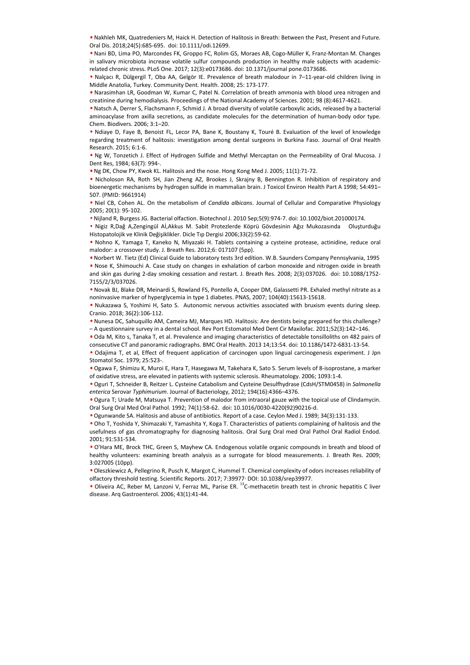• Nakhleh MK, Quatredeniers M, Haick H. Detection of Halitosis in Breath: Between the Past, Present and Future. Oral Dis. 2018;24(5):685-695. doi: 10.1111/odi.12699.

• Nani BD, Lima PO, Marcondes FK, Groppo FC, Rolim GS, Moraes AB, Cogo-Müller K, Franz-Montan M. Changes in salivary microbiota increase volatile sulfur compounds production in healthy male subjects with academicrelated chronic stress. PLoS One. 2017; 12(3):e0173686. doi: 10.1371/journal pone.0173686.

• Nalçacı R, Dülgergil T, Oba AA, Gelgör IE. Prevalence of breath malodour in 7–11-year-old children living in Middle Anatolia, Turkey. Community Dent. Health. 2008; 25: 173-177.

• Narasimhan LR, Goodman W, Kumar C, Patel N. Correlation of breath ammonia with blood urea nitrogen and creatinine during hemodialysis. Proceedings of the National Academy of Sciences. 2001; 98 (8):4617-4621.

• Natsch A, Derrer S, Flachsmann F, Schmid J. A broad diversity of volatile carboxylic acids, released by a bacterial aminoacylase from axilla secretions, as candidate molecules for the determination of human-body odor type. Chem. Biodivers. 2006; 3:1–20.

• Ndiaye D, Faye B, Benoist FL, Lecor PA, Bane K, Boustany K, Touré B. Evaluation of the level of knowledge regarding treatment of halitosis: investigation among dental surgeons in Burkina Faso. Journal of Oral Health Research. 2015; 6:1-6.

• Ng W, Tonzetich J. Effect of Hydrogen Sulfide and Methyl Mercaptan on the Permeability of Oral Mucosa. J Dent Res, 1984; 63(7): 994-.

• Ng DK, Chow PY, Kwok KL. Halitosis and the nose. Hong Kong Med J. 2005; 11(1):71-72.

• Nicholoson RA, Roth SH, Jian Zheng AZ, Brookes J, Skrajny B, Bennington R. Inhibition of respiratory and bioenergetic mechanisms by hydrogen sulfide in mammalian brain. J Toxicol Environ Health Part A 1998; 54:491– 507. (PMID: 9661914)

• Niel CB, Cohen AL. On the metabolism of *Candida albicans*. Journal of Cellular and Comparative Physiology 2005; 20(1): 95-102.

• Nijland R, Burgess JG. Bacterial olfaction. Biotechnol J. 2010 Sep;5(9):974-7. doi: 10.1002/biot.201000174.

• Nigiz R,Dağ A,Zengingül Aİ,Akkus M. Sabit Protezlerde Köprü Gövdesinin Ağız Mukozasında Oluşturduğu Histopatolojik ve Klinik Değişiklikler. Dicle Tıp Dergisi 2006;33(2):59-62.

• Nohno K, Yamaga T, Kaneko N, Miyazaki H. Tablets containing a cysteine protease, actinidine, reduce oral malodor: a crossover study. J. Breath Res. 2012;6: 017107 (5pp).

• Norbert W. Tietz (Ed) Clinical Guide to laboratory tests 3rd edition. W.B. Saunders Company Pennsylvania, 1995 • Nose K, Shimouchi A. Case study on changes in exhalation of carbon monoxide and nitrogen oxide in breath and skin gas during 2-day smoking cessation and restart. J. Breath Res. 2008; 2(3):037026. doi: 10.1088/1752- 7155/2/3/037026. bloomegiet mechanisms by hydrogen unifor the mammalikan brain. J Tranca Errorich and Comparative Physiology<br>
300. [PMD: 9651314]<br>
• Niel Cas, Cohen AL. On the metabolism of Condida albicans: Journal of Cellular and Compara

• Novak BJ, Blake DR, Meinardi S, Rowland FS, Pontello A, Cooper DM, Galassetti PR. Exhaled methyl nitrate as a noninvasive marker of hyperglycemia in type 1 diabetes. PNAS, 2007; 104(40):15613-15618.

• Nukazawa S, Yoshimi H, Sato S. Autonomic nervous activities associated with bruxism events during sleep. Cranio. 2018; 36(2):106-112.

• Nunesa DC, Sahuquillo AM, Cameira MJ, Marques HD. Halitosis: Are dentists being prepared for this challenge? – A questionnaire survey in a dental school. Rev Port Estomatol Med Dent Cir Maxilofac. 2011;52(3):142–146.

• Oda M, Kito s, Tanaka T, et al. Prevalence and imaging characteristics of detectable tonsilloliths on 482 pairs of consecutive CT and panoramic radiographs. BMC Oral Health. 2013 14;13:54. doi: 10.1186/1472-6831-13-54.

• Odajima T, et al, Effect of frequent application of carcinogen upon lingual carcinogenesis experiment. J Jpn Stomatol Soc. 1979; 25:523-.

• Ogawa F, Shimizu K, Muroi E, Hara T, Hasegawa M, Takehara K, Sato S. Serum levels of 8-isoprostane, a marker of oxidative stress, are elevated in patients with systemic sclerosis. Rheumatology. 2006; 1093:1-4.

• Oguri T, Schneider B, Reitzer L. Cysteine Catabolism and Cysteine Desulfhydrase (CdsH/STM0458) in *Salmonella enterica* Serovar *Typhimurium*. Journal of Bacteriology, 2012; 194(16):4366–4376.

• Ogura T; Urade M, Matsuya T. Prevention of malodor from intraoral gauze with the topical use of Clindamycin. Oral Surg Oral Med Oral Pathol. 1992; 74(1):58-62. doi: 10.1016/0030-4220(92)90216-d.

• Ogunwande SA. Halitosis and abuse of antibiotics. Report of a case. Ceylon Med J. 1989; 34(3):131-133.

• Oho T, Yoshida Y, Shimazaki Y, Yamashita Y, Koga T. Characteristics of patients complaining of halitosis and the usefulness of gas chromatography for diagnosing halitosis. Oral Surg Oral med Oral Pathol Oral Radiol Endod. 2001; 91:531-534.

• O'Hara ME, Brock THC, Green S, Mayhew CA. Endogenous volatile organic compounds in breath and blood of healthy volunteers: examining breath analysis as a surrogate for blood measurements. J. Breath Res. 2009; 3:027005 (10pp).

• Oleszkiewicz A, Pellegrino R, Pusch K, Margot C, Hummel T. Chemical complexity of odors increases reliability of olfactory threshold testing. Scientific Reports. 2017; 7:39977· DOI: 10.1038/srep39977.

· Oliveira AC, Reber M, Lanzoni V, Ferraz ML, Parise ER. <sup>13</sup>C-methacetin breath test in chronic hepatitis C liver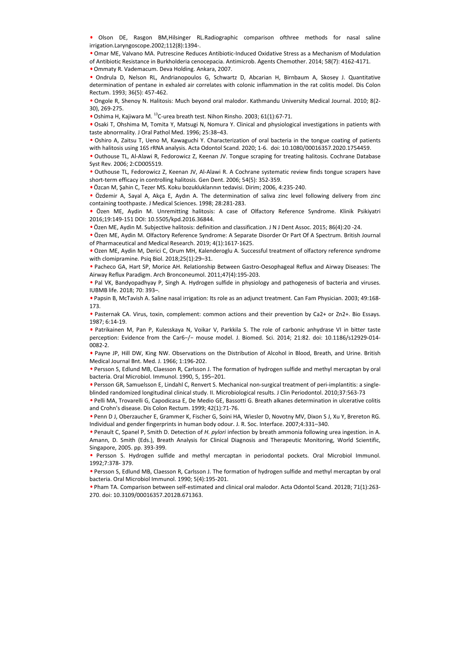• Olson DE, Rasgon BM,Hilsinger RL.Radiographic comparison ofthree methods for nasal saline irrigation.Laryngoscope.2002;112(8):1394-.

• Omar ME, Valvano MA. Putrescine Reduces Antibiotic-Induced Oxidative Stress as a Mechanism of Modulation of Antibiotic Resistance in Burkholderia cenocepacia. Antimicrob. Agents Chemother. 2014; 58(7): 4162-4171. • Ommaty R. Vademacum. Deva Holding. Ankara, 2007.

• Ondrula D, Nelson RL, Andrianopoulos G, Schwartz D, Abcarian H, Birnbaum A, Skosey J. Quantitative determination of pentane in exhaled air correlates with colonic inflammation in the rat colitis model. Dis Colon Rectum. 1993; 36(5): 457-462.

• Ongole R, Shenoy N. Halitosis: Much beyond oral malodor. Kathmandu University Medical Journal. 2010; 8(2- 30), 269-275.

• Oshima H, Kajiwara M. <sup>13</sup>C-urea breath test. Nihon Rinsho. 2003; 61(1):67-71.

• Osaki T, Ohshima M, Tomita Y, Matsugi N, Nomura Y. Clinical and physiological investigations in patients with taste abnormality. J Oral Pathol Med. 1996; 25:38–43.

• Oshiro A, Zaitsu T, Ueno M, Kawaguchi Y. Characterization of oral bacteria in the tongue coating of patients with halitosis using 16S rRNA analysis. Acta Odontol Scand. 2020; 1-6. doi: 10.1080/00016357.2020.1754459.

• Outhouse TL, Al-Alawi R, Fedorowicz Z, Keenan JV. Tongue scraping for treating halitosis. Cochrane Database Syst Rev. 2006; 2:CD005519.

• Outhouse TL, Fedorowicz Z, Keenan JV, Al-Alawi R. A Cochrane systematic review finds tongue scrapers have short-term efficacy in controlling halitosis. Gen Dent. 2006; 54(5): 352-359.

• Özcan M, Şahin C, Tezer MS. Koku bozukluklarının tedavisi. Dirim; 2006, 4:235-240.

• Özdemir A, Sayal A, Akça E, Aydın A. The determination of saliva zinc level following delivery from zinc containing toothpaste. J Medical Sciences. 1998; 28:281-283.

• Özen ME, Aydin M. Unremitting halitosis: A case of Olfactory Reference Syndrome. Klinik Psikiyatri 2016;19:149-151 DOI: 10.5505/kpd.2016.36844.

• Özen ME, Aydin M. Subjective halitosis: definition and classification. J N J Dent Assoc. 2015; 86(4):20 -24.

• Özen ME, Aydin M. Olfactory Reference Syndrome: A Separate Disorder Or Part Of A Spectrum. British Journal of Pharmaceutical and Medical Research. 2019; 4(1):1617-1625.

• Ozen ME, Aydin M, Derici C, Orum MH, Kalenderoglu A. Successful treatment of olfactory reference syndrome with clomipramine. Psiq Biol. 2018;25(1):29–31.

• Pacheco GA, Hart SP, Morice AH. Relationship Between Gastro-Oesophageal Reflux and Airway Diseases: The Airway Reflux Paradigm. Arch Bronconeumol. 2011;47(4):195-203.

• Pal VK, Bandyopadhyay P, Singh A. Hydrogen sulfide in physiology and pathogenesis of bacteria and viruses. IUBMB life. 2018; 70: 393–.

• Papsin B, McTavish A. Saline nasal irrigation: Its role as an adjunct treatment. Can Fam Physician. 2003; 49:168- 173.

• Pasternak CA. Virus, toxin, complement: common actions and their prevention by Ca2+ or Zn2+. Bio Essays. 1987; 6:14-19.

• Patrikainen M, Pan P, Kulesskaya N, Voikar V, Parkkila S. The role of carbonic anhydrase VI in bitter taste perception: Evidence from the Car6−/− mouse model. J. Biomed. Sci. 2014; 21:82. doi: 10.1186/s12929-014- 0082-2.

• Payne JP, Hill DW, King NW. Observations on the Distribution of Alcohol in Blood, Breath, and Urine. British Medical Journal Bnt. Med. J. 1966; 1:196-202.

• Persson S, Edlund MB, Claesson R, Carlsson J. The formation of hydrogen sulfide and methyl mercaptan by oral bacteria. Oral Microbiol. Immunol. 1990, 5, 195–201.

• Persson GR, Samuelsson E, Lindahl C, Renvert S. Mechanical non-surgical treatment of peri-implantitis: a singleblinded randomized longitudinal clinical study. II. Microbiological results. J Clin Periodontol. 2010;37:563-73

• Pelli MA, Trovarelli G, Capodicasa E, De Medio GE, Bassotti G. Breath alkanes determination in ulcerative colitis and Crohn's disease. Dis Colon Rectum. 1999; 42(1):71-76.

• Penn D J, Oberzaucher E, Grammer K, Fischer G, Soini HA, Wiesler D, Novotny MV, Dixon S J, Xu Y, Brereton RG. Individual and gender fingerprints in human body odour. J. R. Soc. Interface. 2007;4:331–340.

• Penault C, Spanel P, Smith D. Detection of *H. pylori* infection by breath ammonia following urea ingestion. in A. Amann, D. Smith (Eds.), Breath Analysis for Clinical Diagnosis and Therapeutic Monitoring, World Scientific, Singapore, 2005. pp. 393-399. e Octom M, Shahn, C, Tear MS. Kolu hazarıklarının tedavisi Dirim; 2006, 2:13-240.<br>
2010cmi A, Sayal A, Akga E, Mydn A. The determination of 14:10s and cells of lowing delivery from ainconstant<br>
2010cmi A, Aydin M, Untern

• Persson S. Hydrogen sulfide and methyl mercaptan in periodontal pockets. Oral Microbiol Immunol. 1992;7:378- 379.

• Persson S, Edlund MB, Claesson R, Carlsson J. The formation of hydrogen sulfide and methyl mercaptan by oral bacteria. Oral Microbiol Immunol. 1990; 5(4):195-201.

• Pham TA. Comparison between self-estimated and clinical oral malodor. Acta Odontol Scand. 2012B; 71(1):263-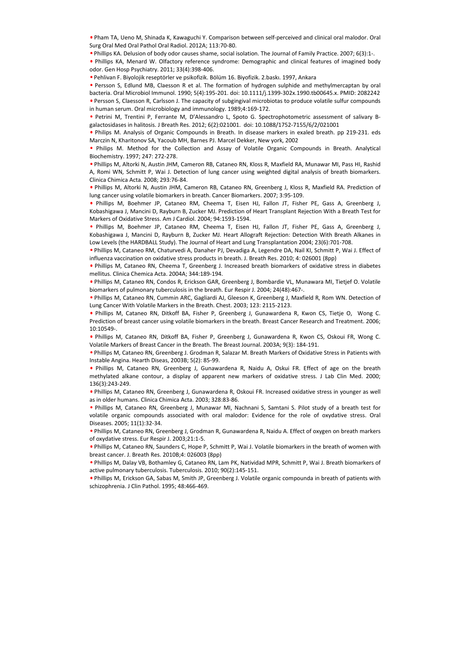• Pham TA, Ueno M, Shinada K, Kawaguchi Y. Comparison between self-perceived and clinical oral malodor. Oral Surg Oral Med Oral Pathol Oral Radiol. 2012A; 113:70-80.

• Phillips KA. Delusion of body odor causes shame, social isolation. The Journal of Family Practice. 2007; 6(3):1-.

• Phillips KA, Menard W. Olfactory reference syndrome: Demographic and clinical features of imagined body odor. Gen Hosp Psychiatry. 2011; 33(4):398-406.

• Pehlivan F. Biyolojik reseptörler ve psikofizik. Bölüm 16. Biyofizik. 2.baskı. 1997, Ankara

• Persson S, Edlund MB, Claesson R et al. The formation of hydrogen sulphide and methylmercaptan by oral bacteria. Oral Microbiol Immunol. 1990; 5(4):195-201. doi: 10.1111/j.1399-302x.1990.tb00645.x. PMID: 2082242 • Persson S, Claesson R, Carlsson J. The capacity of subgingival microbiotas to produce volatile sulfur compounds in human serum. Oral microbiology and immunology. 1989;4:169-172.

• Petrini M, Trentini P, Ferrante M, D'Alessandro L, Spoto G. Spectrophotometric assessment of salivary Bgalactosidases in halitosis. J Breath Res. 2012; 6(2):021001. doi: 10.1088/1752-7155/6/2/021001

• Philips M. Analysis of Organic Compounds in Breath. In disease markers in exaled breath. pp 219-231. eds Marczin N, Kharitonov SA, Yacoub MH, Barnes PJ. Marcel Dekker, New york, 2002

• Philips M. Method for the Collection and Assay of Volatile Organic Compounds in Breath. Analytical Biochemistry. 1997; 247: 272-278.

• Phillips M, Altorki N, Austin JHM, Cameron RB, Cataneo RN, Kloss R, Maxfield RA, Munawar MI, Pass HI, Rashid A, Romi WN, Schmitt P, Wai J. Detection of lung cancer using weighted digital analysis of breath biomarkers. Clinica Chimica Acta. 2008; 293:76-84.

• Phillips M, Altorki N, Austin JHM, Cameron RB, Cataneo RN, Greenberg J, Kloss R, Maxfield RA. Prediction of lung cancer using volatile biomarkers in breath. Cancer Biomarkers. 2007; 3:95-109.

• Phillips M, Boehmer JP, Cataneo RM, Cheema T, Eisen HJ, Fallon JT, Fisher PE, Gass A, Greenberg J, Kobashigawa J, Mancini D, Rayburn B, Zucker MJ. Prediction of Heart Transplant Rejection With a Breath Test for Markers of Oxidative Stress. Am J Cardiol. 2004; 94:1593-1594.

• Phillips M, Boehmer JP, Cataneo RM, Cheema T, Eisen HJ, Fallon JT, Fisher PE, Gass A, Greenberg J, Kobashigawa J, Mancini D, Rayburn B, Zucker MJ. Heart Allograft Rejection: Detection With Breath Alkanes in Low Levels (the HARDBALL Study). The Journal of Heart and Lung Transplantation 2004; 23(6):701-708. s Phillips M, Alterno R, Komen R, Chare P, B, Chare R, Genehrenia. Here, P. Assochizophrenia. Here, The Mathematical Murat Ayadic Murat Ayadic Murat Ayadic Murat Ayadic Murat Ayadic Murat Ayadic Murat Ayadic Murat Ayadic M

• Phillips M, Cataneo RM, Chaturvedi A, Danaher PJ, Devadiga A, Legendre DA, Nail KI, Schmitt P, Wai J. Effect of influenza vaccination on oxidative stress products in breath. J. Breath Res. 2010; 4: 026001 (8pp)

• Phillips M, Cataneo RN, Cheema T, Greenberg J. Increased breath biomarkers of oxidative stress in diabetes mellitus. Clinica Chemica Acta. 2004A; 344:189-194.

• Phillips M, Cataneo RN, Condos R, Erickson GAR, Greenberg J, Bombardie VL, Munawara MI, Tietjef O. Volatile biomarkers of pulmonary tuberculosis in the breath. Eur Respir J. 2004; 24(48):467-.

• Phillips M, Cataneo RN, Cummin ARC, Gagliardi AJ, Gleeson K, Greenberg J, Maxfield R, Rom WN. Detection of Lung Cancer With Volatile Markers in the Breath. Chest. 2003; 123: 2115-2123.

• Phillips M, Cataneo RN, Ditkoff BA, Fisher P, Greenberg J, Gunawardena R, Kwon CS, Tietje O, Wong C. Prediction of breast cancer using volatile biomarkers in the breath. Breast Cancer Research and Treatment. 2006; 10:10549-.

• Phillips M, Cataneo RN, Ditkoff BA, Fisher P, Greenberg J, Gunawardena R, Kwon CS, Oskoui FR, Wong C. Volatile Markers of Breast Cancer in the Breath. The Breast Journal. 2003A; 9(3): 184-191.

• Phillips M, Cataneo RN, Greenberg J. Grodman R, Salazar M. Breath Markers of Oxidative Stress in Patients with Instable Angina. Hearth Diseas, 2003B; 5(2): 85-99.

• Phillips M, Cataneo RN, Greenberg J, Gunawardena R, Naidu A, Oskui FR. Effect of age on the breath methylated alkane contour, a display of apparent new markers of oxidative stress. J Lab Clin Med. 2000; 136(3):243-249.

• Phillips M, Cataneo RN, Greenberg J, Gunawardena R, Oskoui FR. Increased oxidative stress in younger as well as in older humans. Clinica Chimica Acta. 2003; 328:83-86.

• Phillips M, Cataneo RN, Greenberg J, Munawar MI, Nachnani S, Samtani S. Pilot study of a breath test for volatile organic compounds associated with oral malodor: Evidence for the role of oxydative stress. Oral Diseases. 2005; 11(1):32-34.

• Phillips M, Cataneo RN, Greenberg J, Grodman R, Gunawardena R, Naidu A. Effect of oxygen on breath markers of oxydative stress. Eur Respir J. 2003;21:1-5.

• Phillips M, Cataneo RN, Saunders C, Hope P, Schmitt P, Wai J. Volatile biomarkers in the breath of women with breast cancer. J. Breath Res. 2010B;4: 026003 (8pp)

• Phillips M, Dalay VB, Bothamley G, Cataneo RN, Lam PK, Natividad MPR, Schmitt P, Wai J. Breath biomarkers of active pulmonary tuberculosis. Tuberculosis. 2010; 90(2):145-151.

• Phillips M, Erickson GA, Sabas M, Smith JP, Greenberg J. Volatile organic compounda in breath of patients with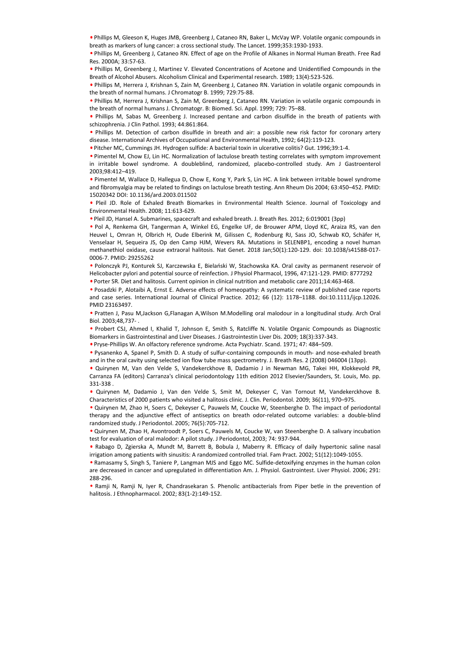• Phillips M, Gleeson K, Huges JMB, Greenberg J, Cataneo RN, Baker L, McVay WP. Volatile organic compounds in breath as markers of lung cancer: a cross sectional study. The Lancet. 1999;353:1930-1933.

• Phillips M, Greenberg J, Cataneo RN. Effect of age on the Profile of Alkanes in Normal Human Breath. Free Rad Res. 2000A; 33:57-63.

• Phillips M, Greenberg J, Martinez V. Elevated Concentrations of Acetone and Unidentified Compounds in the Breath of Alcohol Abusers. Alcoholism Clinical and Experimental research. 1989; 13(4):523-526.

• Phillips M, Herrera J, Krishnan S, Zain M, Greenberg J, Cataneo RN. Variation in volatile organic compounds in the breath of normal humans. J Chromatogr B. 1999; 729:75-88.

• Phillips M, Herrera J, Krishnan S, Zain M, Greenberg J, Cataneo RN. Variation in volatile organic compounds in the breath of normal humans J. Chromatogr. B: Biomed. Sci. Appl. 1999; 729: 75–88.

• Phillips M, Sabas M, Greenberg J. Increased pentane and carbon disulfide in the breath of patients with schizophrenia. J Clin Pathol. 1993; 44:861:864.

• Phillips M. Detection of carbon disulfide in breath and air: a possible new risk factor for coronary artery disease. International Archives of Occupational and Environmental Health, 1992; 64(2):119-123.

• Pitcher MC, Cummings JH. Hydrogen sulfide: A bacterial toxin in ulcerative colitis? Gut. 1996;39:1-4.

• Pimentel M, Chow EJ, Lin HC. Normalization of lactulose breath testing correlates with symptom improvement in irritable bowel syndrome. A doubleblind, randomized, placebo-controlled study. Am J Gastroenterol 2003;98:412–419.

• Pimentel M, Wallace D, Hallegua D, Chow E, Kong Y, Park S, Lin HC. A link between irritable bowel syndrome and fibromyalgia may be related to findings on lactulose breath testing. Ann Rheum Dis 2004; 63:450–452. PMID: 15020342 DOI: 10.1136/ard.2003.011502

• Pleil JD. Role of Exhaled Breath Biomarkes in Environmental Health Science. Journal of Toxicology and Environmental Health. 2008; 11:613-629.

• Pleil JD, Hansel A. Submarines, spacecraft and exhaled breath. J. Breath Res. 2012; 6:019001 (3pp)

• Pol A, Renkema GH, Tangerman A, Winkel EG, Engelke UF, de Brouwer APM, Lloyd KC, Araiza RS, van den Heuvel L, Omran H, Olbrich H, Oude Elberink M, Gilissen C, Rodenburg RJ, Sass JO, Schwab KO, Schäfer H, Venselaar H, Sequeira JS, Op den Camp HJM, Wevers RA. Mutations in SELENBP1, encoding a novel human methanethiol oxidase, cause extraoral halitosis. Nat Genet. 2018 Jan;50(1):120-129. doi: 10.1038/s41588-017- 0006-7. PMID: 29255262 and Richargington yar berlatatio findings on lactaiose breath testing. Am Riceum Dis 2004; 83-152-452. PMD:<br>
4 Phil 10. Nels of Exhabit Breath Siomates in Environmental Health Sicience. Journal of Tosicology and<br>
4 Phil 10

• Polonczyk PJ, Konturek SJ, Karczewska E, Bielański W, Stachowska KA. Oral cavity as permanent reservoir of Helicobacter pylori and potential source of reinfection. J Physiol Pharmacol, 1996, 47:121-129. PMID: 8777292

• Porter SR. Diet and halitosis. Current opinion in clinical nutrition and metabolic care 2011;14:463-468.

• Posadzki P, Alotaibi A, Ernst E. Adverse effects of homeopathy: A systematic review of published case reports and case series. International Journal of Clinical Practice. 2012; 66 (12): 1178–1188. doi:10.1111/ijcp.12026. PMID 23163497.

• Pratten J, Pasu M,Jackson G,Flanagan A,Wilson M.Modelling oral malodour in a longitudinal study. Arch Oral Biol. 2003;48,737- .

• Probert CSJ, Ahmed I, Khalid T, Johnson E, Smith S, Ratcliffe N. Volatile Organic Compounds as Diagnostic Biomarkers in Gastrointestinal and Liver Diseases. J Gastrointestin Liver Dis. 2009; 18(3):337-343.

• Pryse-Phillips W. An olfactory reference syndrome. Acta Psychiatr. Scand. 1971; 47: 484–509.

• Pysanenko A, Spanel P, Smith D. A study of sulfur-containing compounds in mouth- and nose-exhaled breath and in the oral cavity using selected ion flow tube mass spectrometry. J. Breath Res. 2 (2008) 046004 (13pp).

• Quirynen M, Van den Velde S, Vandekerckhove B, Dadamio J in Newman MG, Takei HH, Klokkevold PR, Carranza FA (editors) Carranza's clinical periodontology 11th edition 2012 Elsevier/Saunders, St. Louis, Mo. pp. 331-338 .

• Quirynen M, Dadamio J, Van den Velde S, Smit M, Dekeyser C, Van Tornout M, Vandekerckhove B. Characteristics of 2000 patients who visited a halitosis clinic. J. Clin. Periodontol. 2009; 36(11), 970–975.

• Quirynen M, Zhao H, Soers C, Dekeyser C, Pauwels M, Coucke W, Steenberghe D. The impact of periodontal therapy and the adjunctive effect of antiseptics on breath odor-related outcome variables: a double-blind randomized study. J Periodontol. 2005; 76(5):705-712.

• Quirynen M, Zhao H, Avontroodt P, Soers C, Pauwels M, Coucke W, van Steenberghe D. A salivary incubation test for evaluation of oral malodor: A pilot study. J Periodontol, 2003; 74: 937-944.

• Rabago D, Zgierska A, Mundt M, Barrett B, Bobula J, Maberry R. Efficacy of daily hypertonic saline nasal irrigation among patients with sinusitis: A randomized controlled trial. Fam Pract. 2002; 51(12):1049-1055.

• Ramasamy S, Singh S, Taniere P, Langman MJS and Eggo MC. Sulfide-detoxifying enzymes in the human colon are decreased in cancer and upregulated in differentiation Am. J. Physiol. Gastrointest. Liver Physiol. 2006; 291: 288-296.

• Ramji N, Ramji N, Iyer R, Chandrasekaran S. Phenolic antibacterials from Piper betle in the prevention of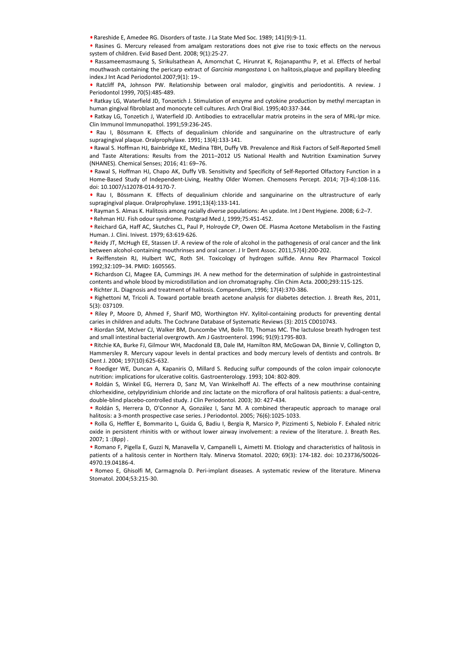• Rareshide E, Amedee RG. Disorders of taste. J La State Med Soc. 1989; 141(9):9-11.

• Rasines G. Mercury released from amalgam restorations does not give rise to toxic effects on the nervous system of children. Evid Based Dent. 2008; 9(1):25-27.

• Rassameemasmaung S, Sirikulsathean A, Amornchat C, Hirunrat K, Rojanapanthu P, et al. Effects of herbal mouthwash containing the pericarp extract of *Garcinia mangostana* L on halitosis,plaque and papillary bleeding index.J Int Acad Periodontol.2007;9(1): 19-.

• Ratcliff PA, Johnson PW. Relationship between oral malodor, gingivitis and periodontitis. A review. J Periodontol 1999, 70(5):485-489.

• Ratkay LG, Waterfield JD, Tonzetich J. Stimulation of enzyme and cytokine production by methyl mercaptan in human gingival fibroblast and monocyte cell cultures. Arch Oral Biol. 1995;40:337-344.

• Ratkay LG, Tonzetich J, Waterfield JD. Antibodies to extracellular matrix proteins in the sera of MRL-Ipr mice. Clin Immunol Immunopathol. 1991;59:236-245.

• Rau I, Bössmann K. Effects of dequalinium chloride and sanguinarine on the ultrastructure of early supragingival plaque. Oralprophylaxe. 1991; 13(4):133-141.

• Rawal S. Hoffman HJ, Bainbridge KE, Medina TBH, Duffy VB. Prevalence and Risk Factors of Self-Reported Smell and Taste Alterations: Results from the 2011–2012 US National Health and Nutrition Examination Survey (NHANES). Chemical Senses; 2016; 41: 69–76.

• Rawal S, Hoffman HJ, Chapo AK, Duffy VB. Sensitivity and Specificity of Self-Reported Olfactory Function in a Home-Based Study of Independent-Living, Healthy Older Women. Chemosens Percept. 2014; 7(3-4):108-116. doi: 10.1007/s12078-014-9170-7.

• Rau I, Bössmann K. Effects of dequalinium chloride and sanguinarine on the ultrastructure of early supragingival plaque. Oralprophylaxe. 1991;13(4):133-141.

• Rayman S. Almas K. Halitosis among racially diverse populations: An update. Int J Dent Hygiene. 2008; 6:2–7.

• Rehman HU. Fish odour syndrome. Postgrad Med J, 1999;75:451-452.

• Reichard GA, Haff AC, Skutches CL, Paul P, Holroyde CP, Owen OE. Plasma Acetone Metabolism in the Fasting Human. J. Clini. Inivest. 1979; 63:619-626.

• Reidy JT, McHugh EE, Stassen LF. A review of the role of alcohol in the pathogenesis of oral cancer and the link between alcohol-containing mouthrinses and oral cancer. J Ir Dent Assoc. 2011,57(4):200-202.

• Reiffenstein RJ, Hulbert WC, Roth SH. Toxicology of hydrogen sulfide. Annu Rev Pharmacol Toxicol 1992;32:109–34. PMID: 1605565.

• Richardson CJ, Magee EA, Cummings JH. A new method for the determination of sulphide in gastrointestinal contents and whole blood by microdistillation and ion chromatography. Clin Chim Acta. 2000;293:115-125.

• Richter JL. Diagnosis and treatment of halitosis. Compendium, 1996; 17(4):370-386.

• Righettoni M, Tricoli A. Toward portable breath acetone analysis for diabetes detection. J. Breath Res, 2011, 5(3): 037109.

• Riley P, Moore D, Ahmed F, Sharif MO, Worthington HV. Xylitol-containing products for preventing dental caries in children and adults. The Cochrane Database of Systematic Reviews (3): 2015 CD010743.

• Riordan SM, McIver CJ, Walker BM, Duncombe VM, Bolin TD, Thomas MC. The lactulose breath hydrogen test and small intestinal bacterial overgrowth. Am J Gastroenterol. 1996; 91(9):1795-803.

• Ritchie KA, Burke FJ, Gilmour WH, Macdonald EB, Dale IM, Hamilton RM, McGowan DA, Binnie V, Collington D, Hammersley R. Mercury vapour levels in dental practices and body mercury levels of dentists and controls. Br Dent J. 2004; 197(10):625-632.

• Roediger WE, Duncan A, Kapaniris O, Millard S. Reducing sulfur compounds of the colon impair colonocyte nutrition: implications for ulcerative colitis. Gastroenterology. 1993; 104: 802-809.

• Roldán S, Winkel EG, Herrera D, Sanz M, Van Winkelhoff AJ. The effects of a new mouthrinse containing chlorhexidine, cetylpyridinium chloride and zinc lactate on the microflora of oral halitosis patients: a dual-centre, double-blind placebo-controlled study. J Clin Periodontol. 2003; 30: 427-434.

• Roldán S, Herrera D, O'Connor A, González I, Sanz M. A combined therapeutic approach to manage oral halitosis: a 3-month prospective case series. J Periodontol. 2005; 76(6):1025-1033.

• Rolla G, Heffler E, Bommarito L, Guida G, Badiu I, Bergia R, Marsico P, Pizzimenti S, Nebiolo F. Exhaled nitric oxide in persistent rhinitis with or without lower airway involvement: a review of the literature. J. Breath Res.  $2007:1:(8nn)$ . easi. 1. Backletter A. Murat Aydre Matter of equalistion chorids and sanguinarine on the ultrastructure of early<br>suppropriate Real in Stomaton K. Effects of dequalistion choicel and sanguinarine on the ultrastructure of ea

• Romano F, Pigella E, Guzzi N, Manavella V, Campanelli L, Aimetti M. Etiology and characteristics of halitosis in patients of a halitosis center in Northern Italy. Minerva Stomatol. 2020; 69(3): 174-182. doi: 10.23736/S0026- 4970.19.04186-4.

• Romeo E, Ghisolfi M, Carmagnola D. Peri-implant diseases. A systematic review of the literature. Minerva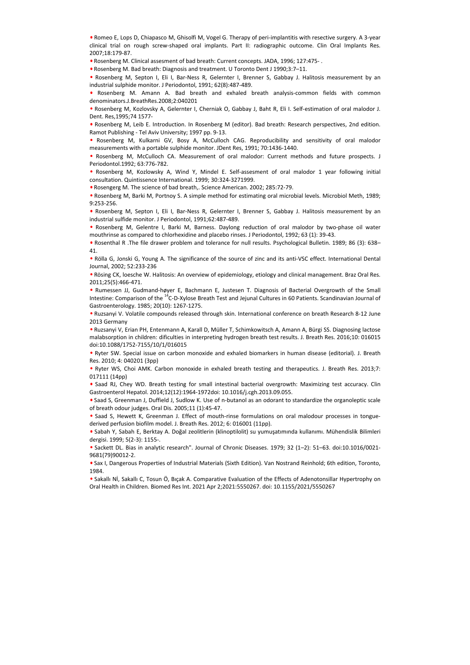• Romeo E, Lops D, Chiapasco M, Ghisolfi M, Vogel G. Therapy of peri-implantitis with resective surgery. A 3-year clinical trial on rough screw-shaped oral implants. Part II: radiographic outcome. Clin Oral Implants Res. 2007;18:179-87.

• Rosenberg M. Clinical assesment of bad breath: Current concepts. JADA, 1996; 127:475- .

• Rosenberg M. Bad breath: Diagnosis and treatment. U Toronto Dent J 1990;3:7–11.

• Rosenberg M, Septon I, Eli I, Bar-Ness R, Gelernter I, Brenner S, Gabbay J. Halitosis measurement by an industrial sulphide monitor. J Periodontol, 1991; 62(8):487-489.

• Rosenberg M. Amann A. Bad breath and exhaled breath analysis-common fields with common denominators.J.BreathRes.2008;2:040201

• Rosenberg M, Kozlovsky A, Gelernter I, Cherniak O, Gabbay J, Baht R, Eli I. Self-estimation of oral malodor J. Dent. Res,1995;74 1577-

• Rosenberg M, Leib E. Introduction. In Rosenberg M (editor). Bad breath: Research perspectives, 2nd edition. Ramot Publishing - Tel Aviv University; 1997 pp. 9-13.

• Rosenberg M, Kulkarni GV, Bosy A, McCulloch CAG. Reproducibility and sensitivity of oral malodor measurements with a portable sulphide monitor. JDent Res, 1991; 70:1436-1440.

• Rosenberg M, McCulloch CA. Measurement of oral malodor: Current methods and future prospects. J Periodontol.1992; 63:776-782.

• Rosenberg M, Kozlowsky A, Wind Y, Mindel E. Self-assesment of oral malodor 1 year following initial consultation. Quintissence International. 1999; 30:324-3271999.

• Rosengerg M. The science of bad breath,. Science American. 2002; 285:72-79.

• Rosenberg M, Barki M, Portnoy S. A simple method for estimating oral microbial levels. Microbiol Meth, 1989; 9:253-256.

• Rosenberg M, Septon I, Eli I, Bar-Ness R, Gelernter I, Brenner S, Gabbay J. Halitosis measurement by an industrial sulfide monitor. J Periodontol, 1991;62:487-489.

• Rosenberg M, Gelentre I, Barki M, Barness. Daylong reduction of oral malodor by two-phase oil water mouthrinse as compared to chlorhexidine and placebo rinses. J Periodontol, 1992; 63 (1): 39-43.

• Rosenthal R .The file drawer problem and tolerance for null results. Psychological Bulletin. 1989; 86 (3): 638– 41.

• Rölla G, Jonski G, Young A. The significance of the source of zinc and its anti-VSC effect. International Dental Journal, 2002; 52:233-236

• Rösing CK, loesche W. Halitosis: An overview of epidemiology, etiology and clinical management. Braz Oral Res. 2011;25(5):466-471.

• Rumessen JJ, Gudmand-høyer E, Bachmann E, Justesen T. Diagnosis of Bacterial Overgrowth of the Small Intestine: Comparison of the <sup>14</sup>C-D-Xylose Breath Test and Jejunal Cultures in 60 Patients. Scandinavian Journal of Gastroenterology. 1985; 20(10): 1267-1275.

• Ruzsanyi V. Volatile compounds released through skin. International conference on breath Research 8-12 June 2013 Germany

• Ruzsanyi V, Erian PH, Entenmann A, Karall D, Müller T, Schimkowitsch A, Amann A, Bürgi SS. Diagnosing lactose malabsorption in children: dificulties in interpreting hydrogen breath test results. J. Breath Res. 2016;10: 016015 doi:10.1088/1752-7155/10/1/016015 e Notentegt RV. The science of back best h, Science American: 2002, 285-72-29.<br>
Notenberg M, Sindi M, Portuny S. A simple method for estimating and microbial levels. Microbiol Meth, 1989,<br>
9-23-256.<br>
Houseburg M, Sindi M,

• Ryter SW. Special issue on carbon monoxide and exhaled biomarkers in human disease (editorial). J. Breath Res. 2010; 4: 040201 (3pp)

• Ryter WS, Choi AMK. Carbon monoxide in exhaled breath testing and therapeutics. J. Breath Res. 2013;7: 017111 (14pp)

• Saad RJ, Chey WD. Breath testing for small intestinal bacterial overgrowth: Maximizing test accuracy. Clin Gastroenterol Hepatol. 2014;12(12):1964-1972doi: 10.1016/j.cgh.2013.09.055.

• Saad S, Greenman J, Duffield J, Sudlow K. Use of n-butanol as an odorant to standardize the organoleptic scale of breath odour judges. Oral Dis. 2005;11 (1):45-47.

• Saad S, Hewett K, Greenman J. Effect of mouth-rinse formulations on oral malodour processes in tonguederived perfusion biofilm model. J. Breath Res. 2012; 6: 016001 (11pp).

• Sabah Y, Sabah E, Berktay A. Doğal zeolitlerin (klinoptilolit) su yumuşatımında kullanımı. Mühendislik Bilimleri dergisi. 1999; 5(2-3): 1155-.

• Sackett DL. Bias in analytic research". Journal of Chronic Diseases. 1979; 32 (1–2): 51–63. doi:10.1016/0021- 9681(79)90012-2.

• Sax I, Dangerous Properties of Industrial Materials (Sixth Edition). Van Nostrand Reinhold; 6th edition, Toronto, 1984.

• Sakallı Nİ, Sakallı C, Tosun Ö, Bıçak A. Comparative Evaluation of the Effects of Adenotonsillar Hypertrophy on Oral Health in Children. Biomed Res Int. 2021 Apr 2;2021:5550267. doi: 10.1155/2021/5550267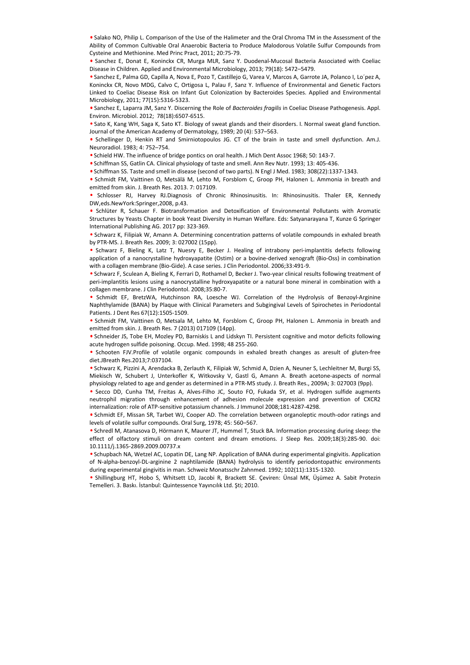• Salako NO, Philip L. Comparison of the Use of the Halimeter and the Oral Chroma TM in the Assessment of the Ability of Common Cultivable Oral Anaerobic Bacteria to Produce Malodorous Volatile Sulfur Compounds from Cysteine and Methionine. Med Princ Pract, 2011; 20:75-79.

• Sanchez E, Donat E, Koninckx CR, Murga MLR, Sanz Y. Duodenal-Mucosal Bacteria Associated with Coeliac Disease in Children. Applied and Environmental Microbiology, 2013; 79(18): 5472–5479.

• Sanchez E, Palma GD, Capilla A, Nova E, Pozo T, Castillejo G, Varea V, Marcos A, Garrote JA, Polanco I, Lo´pez A, Koninckx CR, Novo MDG, Calvo C, Ortigosa L, Palau F, Sanz Y. Influence of Environmental and Genetic Factors Linked to Coeliac Disease Risk on Infant Gut Colonization by Bacteroides Species. Applied and Environmental Microbiology, 2011; 77(15):5316-5323.

• Sanchez E, Laparra JM, Sanz Y. Discerning the Role of *Bacteroides fragilis* in Coeliac Disease Pathogenesis. Appl. Environ. Microbiol. 2012; 78(18):6507-6515.

• Sato K, Kang WH, Saga K, Sato KT. Biology of sweat glands and their disorders. I. Normal sweat gland function. Journal of the American Academy of Dermatology, 1989; 20 (4): 537–563.

• Schellinger D, Henkin RT and Smirniotopoulos JG. CT of the brain in taste and smell dysfunction. Am.J. Neuroradiol. 1983; 4: 752–754.

• Schield HW. The influence of bridge pontics on oral health. J Mich Dent Assoc 1968; 50: 143-7.

• Schiffman SS, Gatlin CA. Clinical physiology of taste and smell. Ann Rev Nutr. 1993; 13: 405-436.

• Schiffman SS. Taste and smell in disease (second of two parts). N Engl J Med. 1983; 308(22):1337-1343.

• Schmidt FM, Vaittinen O, Metsälä M, Lehto M, Forsblom C, Groop PH, Halonen L. Ammonia in breath and emitted from skin. J. Breath Res. 2013. 7: 017109.

• Schlosser RJ, Harvey RJ.Diagnosis of Chronic Rhinosinusitis. In: Rhinosinusitis. Thaler ER, Kennedy DW,eds.NewYork:Springer,2008, p.43.

• Schlüter R, Schauer F. Biotransformation and Detoxification of Environmental Pollutants with Aromatic Structures by Yeasts Chapter in book Yeast Diversity in Human Welfare. Eds: Satyanarayana T, Kunze G Springer International Publishing AG. 2017 pp: 323-369.

• Schwarz K, Filipiak W, Amann A. Determining concentration patterns of volatile compounds in exhaled breath by PTR-MS. J. Breath Res. 2009; 3: 027002 (15pp).

• Schwarz F, Bieling K, Latz T, Nuesry E, Becker J. Healing of intrabony peri-implantitis defects following application of a nanocrystalline hydroxyapatite (Ostim) or a bovine-derived xenograft (Bio-Oss) in combination with a collagen membrane (Bio-Gide). A case series. J Clin Periodontol. 2006;33:491-9.

• Schwarz F, Sculean A, Bieling K, Ferrari D, Rothamel D, Becker J. Two-year clinical results following treatment of peri-implantitis lesions using a nanocrystalline hydroxyapatite or a natural bone mineral in combination with a collagen membrane. J Clin Periodontol. 2008;35:80-7.

• Schmidt EF, BretzWA, Hutchinson RA, Loesche WJ. Correlation of the Hydrolysis of Benzoyl-Arginine Naphthylamide (BANA) by Plaque with Clinical Parameters and Subgingival Levels of Spirochetes in Periodontal Patients. J Dent Res 67(12):1505-1509.

• Schmidt FM, Vaittinen O, Metsala M, Lehto M, Forsblom C, Groop PH, Halonen L. Ammonia in breath and emitted from skin. J. Breath Res. 7 (2013) 017109 (14pp).

• Schneider JS, Tobe EH, Mozley PD, Barniskis L and Lidskyn TI. Persistent cognitive and motor deficits following acute hydrogen sulfide poisoning. Occup. Med. 1998; 48 255-260.

• Schooten FJV.Profile of volatile organic compounds in exhaled breath changes as aresult of gluten-free diet.JBreath Res.2013;7:037104.

• Schwarz K, Pizzini A, Arendacka B, Zerlauth K, Filipiak W, Schmid A, Dzien A, Neuner S, Lechleitner M, Burgi SS, Miekisch W, Schubert J, Unterkofler K, Witkovsky V, Gastl G, Amann A. Breath acetone-aspects of normal physiology related to age and gender as determined in a PTR-MS study. J. Breath Res., 2009A; 3: 027003 (9pp).

• Secco DD, Cunha TM, Freitas A, Alves-Filho JC, Souto FO, Fukada SY, et al. Hydrogen sulfide augments neutrophil migration through enhancement of adhesion molecule expression and prevention of CXCR2 internalization: role of ATP-sensitive potassium channels. J Immunol 2008;181:4287-4298.

• Schmidt EF, Missan SR, Tarbet WJ, Cooper AD. The correlation between organoleptic mouth-odor ratings and levels of volatile sulfur compounds. Oral Surg, 1978; 45: 560–567.

• Schredl M, Atanasova D, Hörmann K, Maurer JT, Hummel T, Stuck BA. Information processing during sleep: the effect of olfactory stimuli on dream content and dream emotions. J Sleep Res. 2009;18(3):285-90. doi: 10.1111/j.1365-2869.2009.00737.x e-miniteric form sizes. Daten Reach Reach Constraints: Finance Mathematical Finance Schools P. Schools Newton-Experimental Policinations of Environmental Policinations of Environmental Policinations of Environmental Polici

• Schupbach NA, Wetzel AC, Lopatin DE, Lang NP. Application of BANA during experimental gingivitis. Application of N-alpha-benzoyl-DL-arginine 2 naphtilamide (BANA) hydrolysis to identify periodontopathic environments during experimental gingivitis in man. Schweiz Monatsschr Zahnmed. 1992; 102(11):1315-1320.

• Shillingburg HT, Hobo S, Whitsett LD, Jacobi R, Brackett SE. Çeviren: Ünsal MK, Üşümez A. Sabit Protezin Temelleri. 3. Baskı. İstanbul: Quintessence Yayıncılık Ltd. Şti; 2010.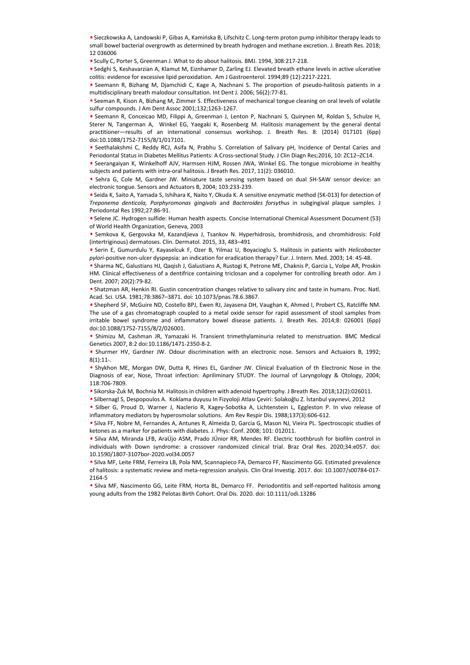• Sieczkowska A, Landowski P, Gibas A, Kamińska B, Lifschitz C. Long-term proton pump inhibitor therapy leads to small bowel bacterial overgrowth as determined by breath hydrogen and methane excretion. J. Breath Res. 2018; 12 036006

• Scully C, Porter S, Greenman J. What to do about halitosis. BMJ. 1994, 308:217-218.

• Sedghi S, Keshavarzian A, Klamut M, Eiznhamer D, Zarling EJ. Elevated breath ethane levels in active ulcerative colitis: evidence for excessive lipid peroxidation. Am J Gastroenterol. 1994;89 (12):2217-2221.

• Seemann R, Bizhang M, Djamchidi C, Kage A, Nachnani S. The proportion of pseudo-halitosis patients in a multidisciplinary breath malodour consultation. Int Dent J. 2006; 56(2):77-81.

• Seeman R, Kison A, Bizhang M, Zimmer S. Effectiveness of mechanical tongue cleaning on oral levels of volatile sulfur compounds. J Am Dent Assoc 2001;132;1263-1267.

• Seemann R, Conceicao MD, Filippi A, Greenman J, Lenton P, Nachnani S, Quirynen M, Roldan S, Schulze H, Sterer N, Tangerman A, Winkel EG, Yaegaki K, Rosenberg M. Halitosis management by the general dental practitioner—results of an international consensus workshop. J. Breath Res. 8: (2014) 017101 (6pp) doi:10.1088/1752-7155/8/1/017101.

• Seethalakshmi C, Reddy RCJ, Asifa N, Prabhu S. Correlation of Salivary pH, Incidence of Dental Caries and Periodontal Status in Diabetes Mellitus Patients: A Cross-sectional Study. J Clin Diagn Res;2016, 10: ZC12–ZC14.

• Seerangaiyan K, Winkelhoff AJV, Harmsen HJM, Rossen JWA, Winkel EG. The tongue microbiome in healthy subjects and patients with intra-oral halitosis. J Breath Res. 2017, 11(2): 036010.

• Sehra G, Cole M, Gardner JW. Miniature taste sensing system based on dual SH-SAW sensor device: an electronic tongue. Sensors and Actuators B, 2004; 103:233-239.

• Seida K, Saito A, Yamada S, Ishihara K, Naito Y, Okuda K. A sensitive enzymatic method (SK-013) for detection of *Treponema denticola, Porphyromonas gingivals* and *Bacteroides forsythus* in subgingival plaque samples. J Periodontal Res 1992;27:86-91.

• Selene JC. Hydrogen sulfide: Human health aspects. Concise International Chemical Assessment Document (53) of World Health Organization, Geneva, 2003

• Semkova K, Gergovska M, Kazandjieva J, Tsankov N. Hyperhidrosis, bromhidrosis, and chromhidrosis: Fold (intertriginous) dermatoses. Clin. Dermatol. 2015, 33, 483–491

• Serin E, Gumurdulu Y, Kayaselcuk F, Ozer B, Yilmaz U, Boyacioglu S. Halitosis in patients with *Helicobacter pylori*-positive non-ulcer dyspepsia: an indication for eradication therapy? Eur. J. Intern. Med. 2003; 14: 45-48.

• Sharma NC, Galustians HJ, Qaqish J, Galustians A, Rustogi K, Petrone ME, Chaknis P, Garcia L, Volpe AR, Proskin HM. Clinical effectiveness of a dentifrice containing triclosan and a copolymer for controlling breath odor. Am J Dent. 2007; 20(2):79-82.

• Shatzman AR, Henkin RI. Gustin concentration changes relative to salivary zinc and taste in humans. Proc. Natl. Acad. Sci. USA. 1981;78:3867–3871. doi: 10.1073/pnas.78.6.3867.

• Shepherd SF, McGuire ND, Costello BPJ, Ewen RJ, Jayasena DH, Vaughan K, Ahmed I, Probert CS, Ratcliffe NM. The use of a gas chromatograph coupled to a metal oxide sensor for rapid assessment of stool samples from irritable bowel syndrome and inflammatory bowel disease patients. J. Breath Res. 2014;8: 026001 (6pp) doi:10.1088/1752-7155/8/2/026001. elektronic troppe Sabron advantatoria, 2001; 2013-23-23<br>
young 24 Social K, Saino A, Vannada S, Mahlara K, Natio V, Okual K. A sensitive envymatic method (SK-013) for detection of<br>
Periodental Res 1982/27.86-91.<br>
Periodent

• Shimizu M, Cashman JR, Yamazaki H. Transient trimethylaminuria related to menstruation. BMC Medical Genetics 2007, 8:2 doi:10.1186/1471-2350-8-2.

• Shurmer HV, Gardner JW. Odour discrimination with an electronic nose. Sensors and Actuaiors B, 1992; 8(1):11-.

• Shykhon ME, Morgan DW, Dutta R, Hines EL, Gardner JW. Clinical Evaluation of th Electronic Nose in the Diagnosis of ear, Nose, Throat infection: Apriliminary STUDY. The Journal of Laryngology & Otology, 2004; 118:706-7809.

• Sikorska-Żuk M, Bochnia M. Halitosis in children with adenoid hypertrophy. J Breath Res. 2018;12(2):026011.

• Silbernagl S, Despopoulos A. Koklama duyusu In Fizyoloji Atlası Çeviri: Solakoğlu Z. İstanbul yayınevi, 2012

• Silber G, Proud D, Warner J, Naclerio R, Kagey-Sobotka A, Lichtenstein L, Eggleston P. In vivo release of inflammatory mediators by hyperosmolar solutions. Am Rev Respir Dis. 1988;137(3):606-612.

• Silva FF, Nobre M, Fernandes A, Antunes R, Almeida D, Garcia G, Mason NJ, Vieira PL. Spectroscopic studies of ketones as a marker for patients with diabetes. J. Phys: Conf. 2008; 101: 012011.

• Silva AM, Miranda LFB, AraÚjo ASM, Prado JÚnior RR, Mendes RF. Electric toothbrush for biofilm control in individuals with Down syndrome: a crossover randomized clinical trial. Braz Oral Res. 2020;34:e057. doi: 10.1590/1807-3107bor-2020.vol34.0057

• Silva MF, Leite FRM, Ferreira LB, Pola NM, Scannapieco FA, Demarco FF, Nascimento GG. Estimated prevalence of halitosis: a systematic review and meta-regression analysis. Clin Oral Investig. 2017. doi: 10.1007/s00784-017- 2164-5

• Silva MF, Nascimento GG, Leite FRM, Horta BL, Demarco FF. Periodontitis and self-reported halitosis among young adults from the 1982 Pelotas Birth Cohort. Oral Dis. 2020. doi: 10.1111/odi.13286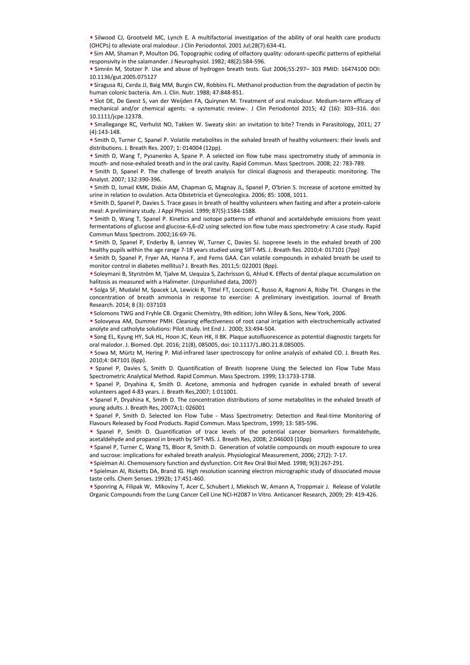• Silwood CJ, Grootveld MC, Lynch E. A multifactorial investigation of the ability of oral health care products (OHCPs) to alleviate oral malodour. J Clin Periodontol. 2001 Jul;28(7):634-41.

• Sim AM, Shaman P, Moulton DG. Topographic coding of olfactory quality: odorant-specific patterns of epithelial responsivity in the salamander. J Neurophysiol. 1982; 48(2):584-596.

• Simrén M, Stotzer P. Use and abuse of hydrogen breath tests. Gut 2006;55:297– 303 PMID: 16474100 DOI: 10.1136/gut.2005.075127

• Siragusa RJ, Cerda JJ, Baig MM, Burgin CW, Robbins FL. Methanol production from the degradation of pectin by human colonic bacteria. Am. J. Clin. Nutr. 1988; 47:848-851.

• Slot DE, De Geest S, van der Weijden FA, Quirynen M. Treatment of oral malodour. Medium-term efficacy of mechanical and/or chemical agents: -a systematic review-. J Clin Periodontol 2015; 42 (16): 303–316. doi: 10.1111/jcpe.12378.

• Smallegange RC, Verhulst NO, Takken W. Sweaty skin: an invitation to bite? Trends in Parasitology, 2011; 27 (4):143-148.

• Smith D, Turner C, Spanel P. Volatile metabolites in the exhaled breath of healthy volunteers: their levels and distributions. J. Breath Res. 2007; 1: 014004 (12pp).

• Smith D, Wang T, Pysanenko A, Spane P. A selected ion flow tube mass spectrometry study of ammonia in mouth- and nose-exhaled breath and in the oral cavity. Rapid Commun. Mass Spectrom. 2008; 22: 783-789.

• Smith D, Spanel P. The challenge of breath analysis for clinical diagnosis and therapeutic monitoring. The Analyst. 2007; 132:390-396.

• Smith D, Ismail KMK, Diskin AM, Chapman G, Magnay JL, Spanel P, O'brien S. Increase of acetone emitted by urine in relation to ovulation. Acta Obstetricia et Gynecologica. 2006; 85: 1008, 1011.

• Smith D, Spanel P, Davies S. Trace gases in breath of healthy volunteers when fasting and after a protein-calorie meal: A preliminary study. J Appl Physiol. 1999; 87(5):1584-1588.

• Smith D, Wang T, Spanel P. Kinetics and isotope patterns of ethanol and acetaldehyde emissions from yeast fermentations of glucose and glucose-6,6-d2 using selected ion flow tube mass spectrometry: A case study. Rapid Commun Mass Spectrom. 2002;16:69-76.

• Smith D, Spanel P, Enderby B, Lenney W, Turner C, Davies SJ. Isoprene levels in the exhaled breath of 200 healthy pupils within the age range 7-18 years studied using SIFT-MS. J. Breath Res. 2010;4: 017101 (7pp)

• Smith D, Spanel P, Fryer AA, Hanna F, and Ferns GAA. Can volatile compounds in exhaled breath be used to monitor control in diabetes mellitus? J. Breath Res. 2011;5: 022001 (8pp).

• Soleymani B, Styrström M, Tjalve M, Uequiza S, Zachrisson G, Ahlud K. Effects of dental plaque accumulation on halitosis as measured with a Halimeter. (Unpunlished data, 2007)

• Solga SF, Mudalel M, Spacek LA, Lewicki R, Tittel FT, Loccioni C, Russo A, Ragnoni A, Risby TH. Changes in the concentration of breath ammonia in response to exercise: A preliminary investigation. Journal of Breath Research. 2014; 8 (3): 037103 e Somitho, the mail that particles in the Somiton of Murat Aydi, Sparticles There is for the some particles from the Aydination of the Somitho, Sparticles from the Symbol Cancer Cell Line Symbol Cancer Cell Line NC Murat A

• Solomons TWG and Fryhle CB. Organic Chemistry, 9th edition; John Wiley & Sons, New York, 2006.

• Solovyeva AM, Dummer PMH. Cleaning effectiveness of root canal irrigation with electrochemically activated anolyte and catholyte solutions: Pilot study. Int End J. 2000; 33:494-504.

• Song EL, Kyung HY, Suk HL, Hoon JC, Keun HK, Il BK. Plaque autofluorescence as potential diagnostic targets for oral malodor. J. Biomed. Opt. 2016; 21(8), 085005, doi: 10.1117/1.JBO.21.8.085005.

• Sowa M, Mürtz M, Hering P. Mid-infrared laser spectroscopy for online analysis of exhaled CO. J. Breath Res. 2010;4: 047101 (6pp).

• Spanel P, Davies S, Smith D. Quantification of Breath Isoprene Using the Selected Ion Flow Tube Mass Spectrometric Analytical Method. Rapid Commun. Mass Spectrom. 1999; 13:1733-1738.

• Spanel P, Dryahina K, Smith D. Acetone, ammonia and hydrogen cyanide in exhaled breath of several volunteers aged 4-83 years. J. Breath Res,2007; 1:011001.

• Spanel P, Dryahina K, Smith D. The concentration distributions of some metabolites in the exhaled breath of young adults. J. Breath Res, 2007A;1: 026001

• Spanel P, Smith D. Selected Ion Flow Tube - Mass Spectrometry: Detection and Real-time Monitoring of Flavours Released by Food Products. Rapid Commun. Mass Spectrom, 1999; 13: 585-596.

• Spanel P, Smith D. Quantification of trace levels of the potential cancer biomarkers formaldehyde, acetaldehyde and propanol in breath by SIFT-MS. J. Breath Res, 2008; 2:046003 (10pp)

• Spanel P, Turner C, Wang TS, Bloor R, Smith D. Generation of volatile compounds on mouth exposure to urea and sucrose: implications for exhaled breath analysis. Physiological Measurement, 2006; 27(2): 7-17.

• Spielman AI. Chemosensory function and dysfunction. Crit Rev Oral Biol Med. 1998; 9(3):267-291.

• Spielman Al, Ricketts DA, Brand IG. High resolution scanning electron micrographic study of dissociated mouse taste cells. Chem Senses. 1992b; 17:451-460.

• Sponring A, Filipak W, Mikoviny T, Acer C, Schubert J, Miekisch W, Amann A, Troppmair J. Release of Volatile Organic Compounds from the Lung Cancer Cell Line NCI-H2087 In Vitro. Anticancer Research, 2009; 29: 419-426.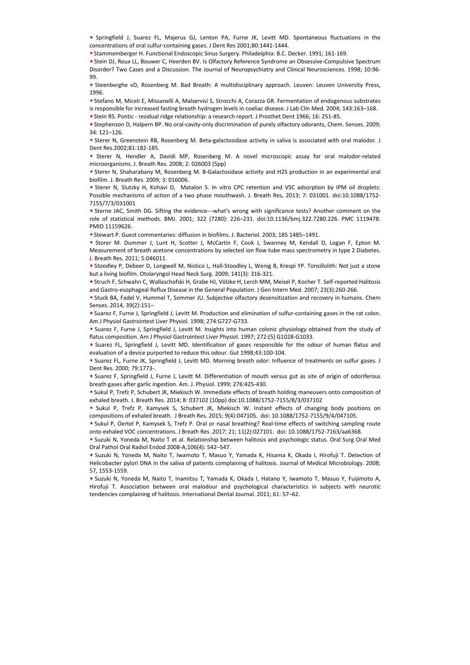• Springfield J, Suarez FL, Majerus GJ, Lenton PA, Furne JK, Levitt MD. Spontaneous fluctuations in the concentrations of oral sulfur-containing gases. J Dent Res 2001;80:1441-1444.

• Stammemberger H. Functional Endoscopic Sinus Surgery. Philadelphia: B.C. Decker. 1991; 161-169.

• Stein DJ, Roux LL, Bouwer C, Heerden BV. Is Olfactory Reference Syndrome an Obsessive-Compulsive Spectrum Disorder? Two Cases and a Discussion. The Journal of Neuropsychiatry and Clinical Neurosciences. 1998; 10:96- 99.

• Steenberghe vD, Rosenberg M. Bad Breath: A multidisciplinary approach. Leuven: Leuven University Press, 1996.

• Stefano M, Miceli E, Missanelli A, Malservisi S, Strocchi A, Corazza GR. Fermentation of endogenous substrates is responsible for increased fasting breath hydrogen levels in coeliac disease. J Lab Clin Med. 2004; 143:163–168.

• Stein RS. Pontic - residual ridge relationship: a research report. J Prosthet Dent 1966; 16: 251-85.

• Stephenson D, Halpern BP. No oral-cavity-only discrimination of purely olfactory odorants, Chem. Senses. 2009; 34: 121–126.

• Sterer N, Greenstein RB, Rosenberg M. Beta-galactosidase activity in saliva is associated with oral malodor. J Dent Res.2002;81:182-185.

• Sterer N, Hendler A, Davidi MP, Rosenberg M. A novel microscopic assay for oral malodor-related microorganisms. J. Breath Res. 2008; 2: 026003 (5pp)

• Sterer N, Shaharabany M, Rosenberg M. B-Galactosidase activity and H2S production in an experimental oral biofilm. J. Breath Res. 2009; 3: 016006.

• Sterer N, Slutzky H, Kohavi D, Matalon S. In vitro CPC retention and VSC adsorption by IPM oil droplets: Possible mechanisms of action of a two phase mouthwash. J. Breath Res, 2013; 7: 031001. doi:10.1088/1752- 7155/7/3/031001 e Steer N. Sicmity H. Komien o. Marshan is in with CPC retention and VSC ationprinciply international tendencies complete State and Nurat Aydes (1973/79/303000). This step is the model of state and Nurat Aydes (1973/9732).

• Sterne JAC, Smith DG. Sifting the evidence---what's wrong with significance tests? Another comment on the role of statistical methods. BMJ. 2001; 322 (7280): 226–231. doi:10.1136/bmj.322.7280.226. PMC 1119478. PMID 11159626.

• Stewart P. Guest commentaries: diffusion in biofilms. J. Bacteriol. 2003; 185 1485–1491.

• Storer M. Dummer J, Lunt H, Scotter J, McCartin F, Cook J, Swanney M, Kendall D, Logan F, Epton M. Measurement of breath acetone concentrations by selected ion flow tube mass spectrometry in type 2 Diabetes. J. Breath Res. 2011; 5:046011.

• Stoodley P, Debeer D, Longwell M, Nistico L, Hall-Stoodley L, Wenig B, Krespi YP. Tonsillolith: Not just a stone but a living biofilm. Otolaryngol Head Neck Surg. 2009; 141(3): 316-321.

• Struch F, Schwahn C, Wallaschofski H, Grabe HJ, Völzke H, Lerch MM, Meisel P, Kocher T. Self-reported Halitosis and Gastro-esophageal Reflux Disease in the General Population. J Gen Intern Med. 2007; 23(3):260-266.

• Stuck BA, Fadel V, Hummel T, Sommer JU. Subjective olfactory desensitization and recovery in humans. Chem Senses. 2014, 39(2):151–

• Suarez F, Furne J, Springfield J, Levitt M. Production and elimination of sulfur-containing gases in the rat colon. Am J Physiol Gastrointest Liver Physiol. 1998; 274:G727-G733.

• Suarez F, Furne J, Springfield J, Levitt M. Insights into human colonic physiology obtained from the study of flatus composition. Am J Physiol Gastrointest Liver Physiol. 1997; 272:(5) G1028-G1033.

• Suarez FL, Springfield J, Levitt MD. Identification of gases responsible for the odour of human flatus and evaluation of a device purported to reduce this odour. Gut 1998;43:100-104.

• Suarez FL, Furne JK, Springfield J, Levitt MD. Morning breath odor: Influence of treatments on sulfur gases. J Dent Res. 2000; 79:1773-.

• Suarez F, Springfield J, Furne J, Levitt M. Differentiation of mouth versus gut as site of origin of odoriferous breath gases after garlic ingestion. Am. J. Physiol. 1999; 276:425-430.

• Sukul P, Trefz P, Schubert JK, Miekisch W. Immediate effects of breath holding maneuvers onto composition of exhaled breath. J. Breath Res. 2014; 8: 037102 (10pp) doi:10.1088/1752-7155/8/3/037102

• Sukul P, Trefz P, Kamysek S, Schubert JK, Miekisch W. Instant effects of changing body positions on compositions of exhaled breath. J Breath Res. 2015; 9(4):047105. doi: 10.1088/1752-7155/9/4/047105.

• Sukul P, Oertel P, Kamysek S, Trefz P. Oral or nasal breathing? Real-time effects of switching sampling route onto exhaled VOC concentrations. J Breath Res .2017; 21; 11(2):027101. doi: 10.1088/1752-7163/aa6368.

• Suzuki N, Yoneda M, Naito T et al. Relationship between halitosis and psychologic status. Oral Surg Oral Med Oral Pathol Oral Radiol Endod 2008-A;106(4): 542–547.

• Suzuki N, Yoneda M, Naito T, Iwamoto T, Masuo Y, Yamada K, Hisama K, Okada I, Hirofuji T. Detection of Helicobacter pylori DNA in the saliva of patients complaining of halitosis. Journal of Medical Microbiology. 2008; 57, 1553-1559.

• Suzuki N, Yoneda M, Naito T, Inamitsu T, Yamada K, Okada I, Hatano Y, Iwamoto T, Masuo Y, Fuijimoto A, Hirofuji T. Association between oral malodour and psychological characteristics in subjects with neurotic tendencies complaining of halitosis. International Dental Journal. 2011; 61: 57-62.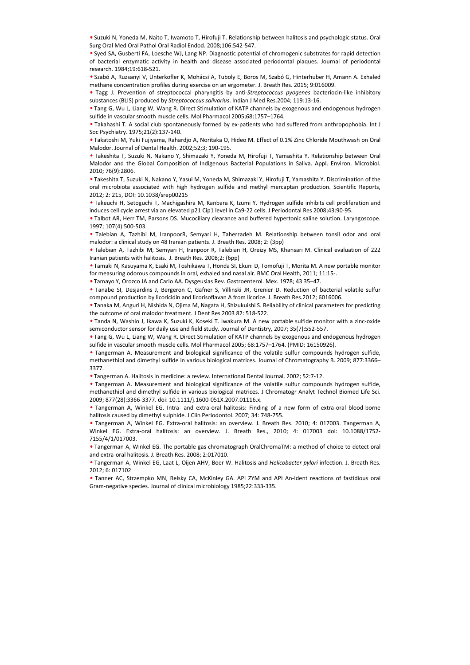• Suzuki N, Yoneda M, Naito T, Iwamoto T, Hirofuji T. Relationship between halitosis and psychologic status. Oral Surg Oral Med Oral Pathol Oral Radiol Endod. 2008;106:542-547.

• Syed SA, Gusberti FA, Loesche WJ, Lang NP. Diagnostic potential of chromogenic substrates for rapid detection of bacterial enzymatic activity in health and disease associated periodontal plaques. Journal of periodontal research. 1984;19:618-521.

• Szabó A, Ruzsanyi V, Unterkofler K, Mohácsi A, Tuboly E, Boros M, Szabó G, Hinterhuber H, Amann A. Exhaled methane concentration profiles during exercise on an ergometer. J. Breath Res. 2015; 9:016009.

• Tagg J. Prevention of streptococcal pharyngitis by anti-*Streptococcus pyogenes* bacteriocin-like inhibitory substances (BLIS) produced by *Streptococcus salivarius*. Indian J Med Res.2004; 119:13-16.

• Tang G, Wu L, Liang W, Wang R. Direct Stimulation of KATP channels by exogenous and endogenous hydrogen sulfide in vascular smooth muscle cells. Mol Pharmacol 2005;68:1757–1764.

• Takahashi T. A social club spontaneously formed by ex-patients who had suffered from anthropophobia. Int J Soc Psychiatry. 1975;21(2):137-140.

• Takatoshi M, Yuki Fujiyama, Rahardjo A, Noritaka O, Hideo M. Effect of 0.1% Zinc Chloride Mouthwash on Oral Malodor. Journal of Dental Health. 2002;52;3; 190-195.

• Takeshita T, Suzuki N, Nakano Y, Shimazaki Y, Yoneda M, Hirofuji T, Yamashita Y. Relationship between Oral Malodor and the Global Composition of Indigenous Bacterial Populations in Saliva. Appl. Environ. Microbiol. 2010; 76(9):2806.

• Takeshita T, Suzuki N, Nakano Y, Yasui M, Yoneda M, Shimazaki Y, Hirofuji T, Yamashita Y. Discrimination of the oral microbiota associated with high hydrogen sulfide and methyl mercaptan production. Scientific Reports, 2012; 2: 215, DOI: 10.1038/srep00215

• Takeuchi H, Setoguchi T, Machigashira M, Kanbara K, Izumi Y. Hydrogen sulfide inhibits cell proliferation and induces cell cycle arrest via an elevated p21 Cip1 level in Ca9-22 cells. J Periodontal Res 2008;43:90-95.

• Talbot AR, Herr TM, Parsons DS. Mucociliary clearance and buffered hypertonic saline solution. Laryngoscope. 1997; 107(4):500-503.

• Talebian A, Tazhibi M, IranpoorR, Semyari H, Taherzadeh M. Relationship between tonsil odor and oral malodor: a clinical study on 48 Iranian patients. J. Breath Res. 2008; 2: (3pp)

• Talebian A, Tazhibi M, Semyari H, Iranpoor R, Talebian H, Oreizy MS, Khansari M. Clinical evaluation of 222 Iranian patients with halitosis. J. Breath Res. 2008;2: (6pp)

• Tamaki N, Kasuyama K, Esaki M, Toshikawa T, Honda SI, Ekuni D, Tomofuji T, Morita M. A new portable monitor for measuring odorous compounds in oral, exhaled and nasal air. BMC Oral Health, 2011; 11:15-.

• Tamayo Y, Orozco JA and Cario AA. Dysgeusias Rev. Gastroenterol. Mex. 1978; 43 35–47.

• Tanabe SI, Desjardins J, Bergeron C, Gafner S, Villinski JR, Grenier D. Reduction of bacterial volatile sulfur compound production by licoricidin and licorisoflavan A from licorice. J. Breath Res.2012; 6016006.

• Tanaka M, Anguri H, Nishida N, Ojima M, Nagata H, Shizukuishi S. Reliability of clinical parameters for predicting the outcome of oral malodor treatment. J Dent Res 2003 82: 518-522.

• Tanda N, Washio J, Ikawa K, Suzuki K, Koseki T. Iwakura M. A new portable sulfide monitor with a zinc-oxide semiconductor sensor for daily use and field study. Journal of Dentistry, 2007; 35(7):552-557.

• Tang G, Wu L, Liang W, Wang R. Direct Stimulation of KATP channels by exogenous and endogenous hydrogen sulfide in vascular smooth muscle cells. Mol Pharmacol 2005; 68:1757–1764. (PMID: 16150926).

• Tangerman A. Measurement and biological significance of the volatile sulfur compounds hydrogen sulfide, methanethiol and dimethyl sulfide in various biological matrices. Journal of Chromatography B. 2009; 877:3366– 3377.

• Tangerman A. Halitosis in medicine: a review. International Dental Journal. 2002; 52:7-12.

• Tangerman A. Measurement and biological significance of the volatile sulfur compounds hydrogen sulfide, methanethiol and dimethyl sulfide in various biological matrices. J Chromatogr Analyt Technol Biomed Life Sci. 2009; 877(28):3366-3377. doi: 10.1111/j.1600-051X.2007.01116.x.

• Tangerman A, Winkel EG. Intra- and extra-oral halitosis: Finding of a new form of extra-oral blood-borne halitosis caused by dimethyl sulphide. J Clin Periodontol. 2007; 34: 748-755.

• Tangerman A, Winkel EG. Extra-oral halitosis: an overview. J. Breath Res. 2010; 4: 017003. Tangerman A, Winkel EG. Extra-oral halitosis: an overview. J. Breath Res., 2010; 4: 017003 doi: 10.1088/1752- 7155/4/1/017003. oral microbios associates with high hydrogen suifide and methyl mercaptas production. Scientific Reports,<br>Facebook associates with high hydrogen suifide and methyl mercaptas production. Sciences and order and distances cal

• Tangerman A, Winkel EG. The portable gas chromatograph OralChromaTM: a method of choice to detect oral and extra-oral halitosis. J. Breath Res. 2008; 2:017010.

• Tangerman A, Winkel EG, Laat L, Oijen AHV, Boer W. Halitosis and *Helicobacter pylori* infection. J. Breath Res. 2012; 6: 017102

• Tanner AC, Strzempko MN, Belsky CA, McKinley GA. API ZYM and API An-Ident reactions of fastidious oral Gram-negative species. Journal of clinical microbiology 1985;22:333-335.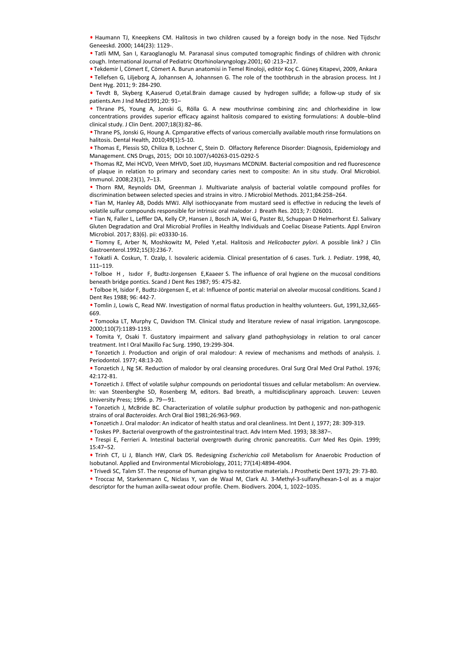• Haumann TJ, Kneepkens CM. Halitosis in two children caused by a foreign body in the nose. Ned Tijdschr Geneeskd. 2000; 144(23): 1129-.

• Tatli MM, San I, Karaoglanoglu M. Paranasal sinus computed tomographic findings of children with chronic cough. International Journal of Pediatric Otorhinolaryngology.2001; 60 :213–217.

• Tekdemir İ, Cömert E, Cömert A. Burun anatomisi in Temel Rinoloji, editör Koç C. Güneş Kitapevi, 2009, Ankara

• Tellefsen G, Liljeborg A, Johannsen A, Johannsen G. The role of the toothbrush in the abrasion process. Int J Dent Hyg. 2011; 9: 284-290.

• Tevdt B, Skyberg K,Aaserud O,etal.Brain damage caused by hydrogen sulfide; a follow-up study of six patients.Am J Ind Med1991;20: 91–

• Thrane PS, Young A, Jonski G, Rölla G. A new mouthrinse combining zinc and chlorhexidine in low concentrations provides superior efficacy against halitosis compared to existing formulations: A double–blind clinical study. J Clin Dent. 2007;18(3):82–86.

• Thrane PS, Jonski G, Houng A. Cpmparative effects of various comercially available mouth rinse formulations on halitosis. Dental Health, 2010;49(1):5-10.

• Thomas E, Plessis SD, Chiliza B, Lochner C, Stein D. Olfactory Reference Disorder: Diagnosis, Epidemiology and Management. CNS Drugs, 2015; DOI 10.1007/s40263-015-0292-5

• Thomas RZ, Mei HCVD, Veen MHVD, Soet JJD, Huysmans MCDNJM. Bacterial composition and red fluorescence of plaque in relation to primary and secondary caries next to composite: An in situ study. Oral Microbiol. Immunol. 2008;23(1), 7–13.

• Thorn RM, Reynolds DM, Greenman J. Multivariate analysis of bacterial volatile compound profiles for discrimination between selected species and strains in vitro. J Microbiol Methods. 2011;84:258–264.

• Tian M, Hanley AB, Dodds MWJ. Allyl isothiocyanate from mustard seed is effective in reducing the levels of volatile sulfur compounds responsible for intrinsic oral malodor. J Breath Res. 2013; 7: 026001.

• Tian N, Faller L, Leffler DA, Kelly CP, Hansen J, Bosch JA, Wei G, Paster BJ, Schuppan D Helmerhorst EJ. Salivary Gluten Degradation and Oral Microbial Profiles in Healthy Individuals and Coeliac Disease Patients. Appl Environ Microbiol. 2017; 83(6). pii: e03330-16. **• Thom RM, Reywides.** Ond, Geomann 1. Multivariate analysis of batterial volatio compound profiles for Tiam M, Hamley AB, Docks MW, Alwi brothoms for the matterial description of the first of the human Aya (and the matte

• Tiomny E, Arber N, Moshkowitz M, Peled Y,etal. Halitosis and *Helicobacter pylori*. A possible link? J Clin Gastroenterol.1992;15(3):236-7.

• Tokatli A. Coskun, T. Ozalp, I. Isovaleric acidemia. Clinical presentation of 6 cases. Turk. J. Pediatr. 1998, 40, 111–119.

• Tolboe H , Isıdor F, Budtz-Jorgensen E,Kaaeer S. The influence of oral hygiene on the mucosal conditions beneath bridge pontics. Scand J Dent Res 1987; 95: 475-82.

• Tolboe H, Isidor F, Budtz-Jörgensen E, et al: Influence of pontic material on alveolar mucosal conditions. Scand J Dent Res 1988; 96: 442-7.

• Tomlin J, Lowis C, Read NW. Investigation of normal flatus production in healthy volunteers. Gut, 1991,32,665- 669.

• Tomooka LT, Murphy C, Davidson TM. Clinical study and literature review of nasal irrigation. Laryngoscope. 2000;110(7):1189-1193.

• Tomita Y, Osaki T. Gustatory impairment and salivary gland pathophysiology in relation to oral cancer treatment. Int I Oral Maxillo Fac Surg. 1990, 19:299-304.

• Tonzetich J. Production and origin of oral malodour: A review of mechanisms and methods of analysis. J. Periodontol. 1977; 48:13-20.

• Tonzetich J, Ng SK. Reduction of malodor by oral cleansing procedures. Oral Surg Oral Med Oral Pathol. 1976; 42:172-81.

• Tonzetich J. Effect of volatile sulphur compounds on periodontal tissues and cellular metabolism: An overview. In: van Steenberghe SD, Rosenberg M, editors. Bad breath, a multidisciplinary approach. Leuven: Leuven University Press; 1996. p. 79—91.

• Tonzetich J, McBride BC. Characterization of volatile sulphur production by pathogenic and non-pathogenic strains of oral *Bacteroides*. Arch Oral Biol 1981;26:963-969.

• Tonzetich J. Oral malodor: An indicator of health status and oral cleanliness. Int Dent J, 1977; 28: 309-319.

• Toskes PP. Bacterial overgrowth of the gastrointestinal tract. Adv Intern Med. 1993; 38:387–.

• Trespi E, Ferrieri A. Intestinal bacterial overgrowth during chronic pancreatitis. Curr Med Res Opin. 1999; 15:47–52.

• Trinh CT, Li J, Blanch HW, Clark DS. Redesigning *Escherichia coli* Metabolism for Anaerobic Production of Isobutanol. Applied and Environmental Microbiology, 2011; 77(14):4894-4904.

• Trivedi SC, Talım ST. The response of human gingiva to restorative materials. J Prosthetic Dent 1973; 29: 73-80.

• Troccaz M, Starkenmann C, Niclass Y, van de Waal M, Clark AJ. 3-Methyl-3-sulfanylhexan-1-ol as a major descriptor for the human axilla-sweat odour profile. Chem. Biodivers. 2004, 1, 1022-1035.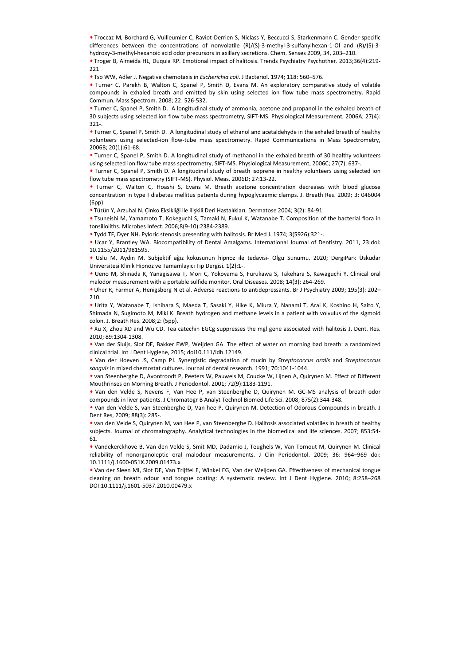• Troccaz M, Borchard G, Vuilleumier C, Raviot-Derrien S, Niclass Y, Beccucci S, Starkenmann C. Gender-specific differences between the concentrations of nonvolatile (R)/(S)-3-methyl-3-sulfanylhexan-1-Ol and (R)/(S)-3 hydroxy-3-methyl-hexanoic acid odor precursors in axillary secretions. Chem. Senses 2009, 34, 203–210.

• Troger B, Almeida HL, Duquia RP. Emotional impact of halitosis. Trends Psychiatry Psychother. 2013;36(4):219- 221

• Tso WW, Adler J. Negative chemotaxis in *Escherichia coli*. J Bacteriol. 1974; 118: 560–576.

• Turner C, Parekh B, Walton C, Spanel P, Smith D, Evans M. An exploratory comparative study of volatile compounds in exhaled breath and emitted by skin using selected ion flow tube mass spectrometry. Rapid Commun. Mass Spectrom. 2008; 22: 526-532.

• Turner C, Spanel P, Smith D. A longitudinal study of ammonia, acetone and propanol in the exhaled breath of 30 subjects using selected ion flow tube mass spectrometry, SIFT-MS. Physiological Measurement, 2006A; 27(4): 321-.

• Turner C, Spanel P, Smith D. A longitudinal study of ethanol and acetaldehyde in the exhaled breath of healthy volunteers using selected-ion flow-tube mass spectrometry. Rapid Communications in Mass Spectrometry, 2006B; 20(1):61-68.

• Turner C, Spanel P, Smith D. A longitudinal study of methanol in the exhaled breath of 30 healthy volunteers using selected ion flow tube mass spectrometry, SIFT-MS. Physiological Measurement, 2006C; 27(7): 637-.

• Turner C, Spanel P, Smith D. A longitudinal study of breath isoprene in healthy volunteers using selected ion flow tube mass spectrometry (SIFT-MS). Physiol. Meas. 2006D; 27:13-22.

• Turner C, Walton C, Hoashi S, Evans M. Breath acetone concentration decreases with blood glucose concentration in type I diabetes mellitus patients during hypoglycaemic clamps. J. Breath Res. 2009; 3: 046004 (6pp)

• Tüzün Y, Arzuhal N. Çinko Eksikliği ile ilişkili Deri Hastalıkları. Dermatose 2004; 3(2): 84-91.

• Tsuneishi M, Yamamoto T, Kokeguchi S, Tamaki N, Fukui K, Watanabe T. Composition of the bacterial flora in tonsilloliths. Microbes Infect. 2006;8(9-10):2384-2389.

• Tydd TF, Dyer NH. Pyloric stenosis presenting with halitosis. Br Med J. 1974; 3(5926):321-.

• Ucar Y, Brantley WA. Biocompatibility of Dental Amalgams. International Journal of Dentistry. 2011, 23:doi: 10.1155/2011/981595.

• Uslu M, Aydin M. Subjektif ağız kokusunun hipnoz ile tedavisi- Olgu Sunumu. 2020; DergiPark Üsküdar Üniversitesi Klinik Hipnoz ve Tamamlayıcı Tıp Dergisi. 1(2):1-.

• Ueno M, Shinada K, Yanagisawa T, Mori C, Yokoyama S, Furukawa S, Takehara S, Kawaguchi Y. Clinical oral malodor measurement with a portable sulfide monitor. Oral Diseases. 2008; 14(3): 264-269.

• Uher R, Farmer A, Henigsberg N et al. Adverse reactions to antidepressants. Br J Psychiatry 2009; 195(3): 202– 210.

• Urita Y, Watanabe T, Ishihara S, Maeda T, Sasaki Y, Hike K, Miura Y, Nanami T, Arai K, Koshino H, Saito Y, Shimada N, Sugimoto M, Miki K. Breath hydrogen and methane levels in a patient with volvulus of the sigmoid colon. J. Breath Res. 2008;2: (5pp). e Turrer C, Valoro C, Hoasiel S, Ronst & Brazin actomo-concentration decreases with blood glucase<br>
(Gept) - (System C, Vachal N, Cirko Estistigli ie liskili Deri Haylong/scientic clamps J. Brestli Res. 2009; 3: 046004<br>
(Ge

• Xu X, Zhou XD and Wu CD. Tea catechin EGCg suppresses the mgl gene associated with halitosis J. Dent. Res. 2010; 89:1304-1308.

• Van der Sluijs, Slot DE, Bakker EWP, Weijden GA. The effect of water on morning bad breath: a randomized clinical trial. Int J Dent Hygiene, 2015; doi10.111/idh.12149.

• Van der Hoeven JS, Camp PJ. Synergistic degradation of mucin by *Streptococcus oralis* and *Streptococcus sanguis* in mixed chemostat cultures. Journal of dental research. 1991; 70:1041-1044.

• van Steenberghe D, Avontroodt P, Peeters W, Pauwels M, Coucke W, Lijnen A, Quirynen M. Effect of Different Mouthrinses on Morning Breath. J Periodontol. 2001; 72(9):1183-1191.

• Van den Velde S, Nevens F, Van Hee P, van Steenberghe D, Quirynen M. GC-MS analysis of breath odor compounds in liver patients. J Chromatogr B Analyt Technol Biomed Life Sci. 2008; 875(2):344-348.

• Van den Velde S, van Steenberghe D, Van hee P, Quirynen M. Detection of Odorous Compounds in breath. J Dent Res, 2009; 88(3): 285-.

• van den Velde S, Quirynen M, van Hee P, van Steenberghe D. Halitosis associated volatiles in breath of healthy subjects. Journal of chromatography. Analytical technologies in the biomedical and life sciences. 2007; 853:54- 61.

• Vandekerckhove B, Van den Velde S, Smit MD, Dadamio J, Teughels W, Van Tornout M, Quirynen M. Clinical reliability of nonorganoleptic oral malodour measurements. J Clin Periodontol. 2009; 36: 964–969 doi: 10.1111/j.1600-051X.2009.01473.x

• Van der Sleen MI, Slot DE, Van Trijffel E, Winkel EG, Van der Weijden GA. Effectiveness of mechanical tongue cleaning on breath odour and tongue coating: A systematic review. Int J Dent Hygiene. 2010; 8:258–268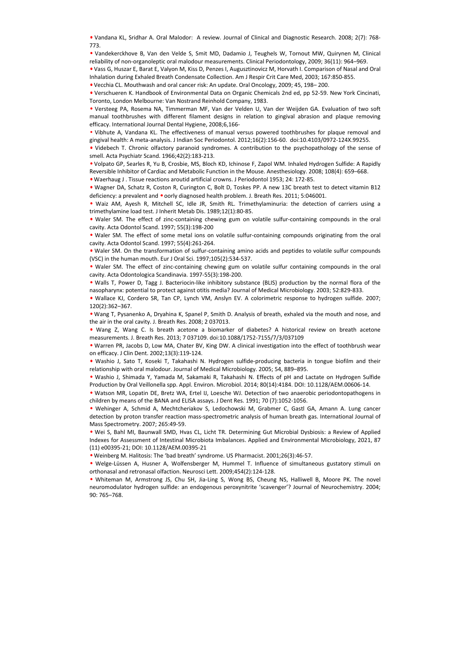• Vandana KL, Sridhar A. Oral Malodor: A review. Journal of Clinical and Diagnostic Research. 2008; 2(7): 768- 773.

• Vandekerckhove B, Van den Velde S, Smit MD, Dadamio J, Teughels W, Tornout MW, Quirynen M, Clinical reliability of non-organoleptic oral malodour measurements. Clinical Periodontology, 2009; 36(11): 964–969.

• Vass G, Huszar E, Barat E, Valyon M, Kiss D, Penzes I, Augusztinovicz M, Horvath I. Comparison of Nasal and Oral Inhalation during Exhaled Breath Condensate Collection. Am J Respir Crit Care Med, 2003; 167:850-855.

• Vecchia CL. Mouthwash and oral cancer risk: An update. Oral Oncology, 2009; 45, 198– 200.

• Verschueren K. Handbook of Environmental Data on Organic Chemicals 2nd ed, pp 52-59. New York Cincinati, Toronto, London Melbourne: Van Nostrand Reinhold Company, 1983.

• Versteeg PA, Rosema NA, Timmerman MF, Van der Velden U, Van der Weijden GA. Evaluation of two soft manual toothbrushes with different filament designs in relation to gingival abrasion and plaque removing efficacy. International Journal Dental Hygiene, 2008;6,166-

• Vibhute A, Vandana KL. The effectiveness of manual versus powered toothbrushes for plaque removal and gingival health: A meta-analysis. J Indian Soc Periodontol. 2012;16(2):156-60. doi:10.4103/0972-124X.99255.

• Videbech T. Chronic olfactory paranoid syndromes. A contribution to the psychopathology of the sense of smell. Acta Psychiatr Scand. 1966;42(2):183-213.

• Volpato GP, Searles R, Yu B, Crosbie, MS, Bloch KD, Ichinose F, Zapol WM. Inhaled Hydrogen Sulfide: A Rapidly Reversible Inhibitor of Cardiac and Metabolic Function in the Mouse. Anesthesiology. 2008; 108(4): 659–668.

• Waerhaug J . Tissue reactions aroutid artificial crowns. J Periodontol 1953; 24: 172-85.

• Wagner DA, Schatz R, Coston R, Curington C, Bolt D, Toskes PP. A new 13C breath test to detect vitamin B12 deficiency: a prevalent and • oorly diagnosed health problem. J. Breath Res. 2011; 5:046001.

• Waiz AM, Ayesh R, Mitchell SC, Idle JR, Smith RL. Trimethylaminuria: the detection of carriers using a trimethylamine load test. J Inherit Metab Dis. 1989;12(1):80-85.

• Waler SM. The effect of zinc-containing chewing gum on volatile sulfur-containing compounds in the oral cavity. Acta Odontol Scand. 1997; 55(3):198-200

• Waler SM. The effect of some metal ions on volatile sulfur-containing compounds originating from the oral cavity. Acta Odontol Scand. 1997; 55(4):261-264.

• Waler SM. On the transformation of sulfur-containing amino acids and peptides to volatile sulfur compounds (VSC) in the human mouth. Eur J Oral Sci. 1997;105(2):534-537.

• Waler SM. The effect of zinc-containing chewing gum on volatile sulfur containing compounds in the oral cavity. Acta Odontologica Scandinavia. 1997-55(3):198-200.

• Walls T, Power D, Tagg J. Bacteriocin-like inhibitory substance (BLIS) production by the normal flora of the nasopharynx: potential to protect against otitis media? Journal of Medical Microbiology. 2003; 52:829-833.

• Wallace KJ, Cordero SR, Tan CP, Lynch VM, Anslyn EV. A colorimetric response to hydrogen sulfide. 2007; 120(2):362–367.

• Wang T, Pysanenko A, Dryahina K, Spanel P, Smith D. Analysis of breath, exhaled via the mouth and nose, and the air in the oral cavity. J. Breath Res. 2008; 2 037013.

• Wang Z, Wang C. Is breath acetone a biomarker of diabetes? A historical review on breath acetone measurements. J. Breath Res. 2013; 7 037109. doi:10.1088/1752-7155/7/3/037109

• Warren PR, Jacobs D, Low MA, Chater BV, King DW. A clinical investigation into the effect of toothbrush wear on efficacy. J Clin Dent. 2002;13(3):119-124.

• Washio J, Sato T, Koseki T, Takahashi N. Hydrogen sulfide-producing bacteria in tongue biofilm and their relationship with oral malodour. Journal of Medical Microbiology. 2005; 54, 889–895.

• Washio J, Shimada Y, Yamada M, Sakamaki R, Takahashi N. Effects of pH and Lactate on Hydrogen Sulfide Production by Oral Veillonella spp. Appl. Environ. Microbiol. 2014; 80(14):4184. DOI: 10.1128/AEM.00606-14.

• Watson MR, Lopatin DE, Bretz WA, Ertel IJ, Loesche WJ. Detection of two anaerobic periodontopathogens in children by means of the BANA and ELISA assays. J Dent Res. 1991; 70 (7):1052-1056.

• Wehinger A, Schmid A, Mechtcheriakov S, Ledochowski M, Grabmer C, Gastl GA, Amann A. Lung cancer detection by proton transfer reaction mass-spectrometric analysis of human breath gas. International Journal of Mass Spectrometry. 2007; 265:49-59.

• Wei S, Bahl MI, Baunwall SMD, Hvas CL, Licht TR. Determining Gut Microbial Dysbiosis: a Review of Applied Indexes for Assessment of Intestinal Microbiota Imbalances. Applied and Environmental Microbiology, 2021, 87 (11) e00395-21; DOI: 10.1128/AEM.00395-21

• Weinberg M. Halitosis: The 'bad breath' syndrome. US Pharmacist. 2001;26(3):46-57.

• Welge-Lüssen A, Husner A, Wolfensberger M, Hummel T. Influence of simultaneous gustatory stimuli on orthonasal and retronasal olfaction. Neurosci Lett. 2009;454(2):124-128.

• Whiteman M, Armstrong JS, Chu SH, Jia-Ling S, Wong BS, Cheung NS, Halliwell B, Moore PK. The novel neuromodulator hydrogen sulfide: an endogenous peroxynitrite 'scavenger'? Journal of Neurochemistry. 2004; e wagee DA, Scatz R, Cordero SR, Tan Cent and Murat Aydustance Barket vices and the transfer of the stationary and the method in the stationary and the stationary and the stationary and the stationary and the stationary an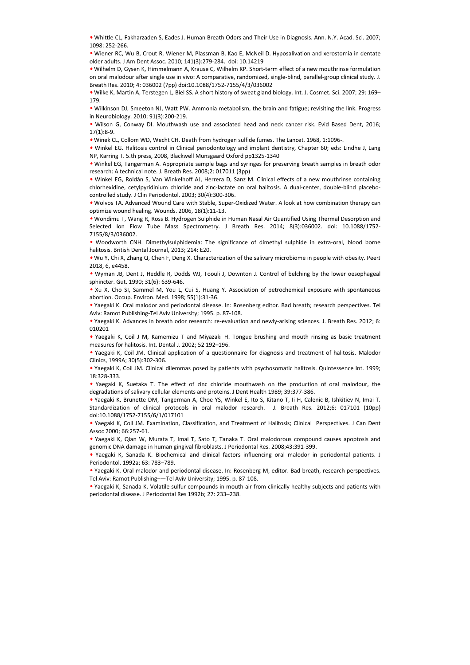• Whittle CL, Fakharzaden S, Eades J. Human Breath Odors and Their Use in Diagnosis. Ann. N.Y. Acad. Sci. 2007; 1098: 252-266.

• Wiener RC, Wu B, Crout R, Wiener M, Plassman B, Kao E, McNeil D. Hyposalivation and xerostomia in dentate older adults. J Am Dent Assoc. 2010; 141(3):279-284. doi: 10.14219

• Wilhelm D, Gysen K, Himmelmann A, Krause C, Wilhelm KP. Short-term effect of a new mouthrinse formulation on oral malodour after single use in vivo: A comparative, randomized, single-blind, parallel-group clinical study. J. Breath Res. 2010; 4: 036002 (7pp) doi:10.1088/1752-7155/4/3/036002

• Wilke K, Martin A, Terstegen L, Biel SS. A short history of sweat gland biology. Int. J. Cosmet. Sci. 2007; 29: 169– 179.

• Wilkinson DJ, Smeeton NJ, Watt PW. Ammonia metabolism, the brain and fatigue; revisiting the link. Progress in Neurobiology. 2010; 91(3):200-219.

• Wilson G, Conway DI. Mouthwash use and associated head and neck cancer risk. Evid Based Dent, 2016; 17(1):8-9.

• Winek CL, Collom WD, Wecht CH. Death from hydrogen sulfide fumes. The Lancet. 1968, 1:1096-.

• Winkel EG. Halitosis control in Clinical periodontology and implant dentistry, Chapter 60; eds: Lindhe J, Lang NP, Karring T. 5.th press, 2008, Blackwell Munsgaard Oxford pp1325-1340

• Winkel EG, Tangerman A. Appropriate sample bags and syringes for preserving breath samples in breath odor research: A technical note. J. Breath Res. 2008;2: 017011 (3pp)

• Winkel EG, Roldán S, Van Winkelhoff AJ, Herrera D, Sanz M. Clinical effects of a new mouthrinse containing chlorhexidine, cetylpyridinium chloride and zinc-lactate on oral halitosis. A dual-center, double-blind placebocontrolled study. J Clin Periodontol. 2003; 30(4):300-306.

• Wolvos TA. Advanced Wound Care with Stable, Super-Oxidized Water. A look at how combination therapy can optimize wound healing. Wounds. 2006, 18(1):11-13.

• Wondimu T, Wang R, Ross B. Hydrogen Sulphide in Human Nasal Air Quantified Using Thermal Desorption and Selected Ion Flow Tube Mass Spectrometry. J Breath Res. 2014; 8(3):036002. doi: 10.1088/1752- 7155/8/3/036002.

• Woodworth CNH. Dimethylsulphidemia: The significance of dimethyl sulphide in extra-oral, blood borne halitosis. British Dental Journal, 2013; 214: E20.

• Wu Y, Chi X, Zhang Q, Chen F, Deng X. Characterization of the salivary microbiome in people with obesity. PeerJ 2018, 6, e4458.

• Wyman JB, Dent J, Heddle R, Dodds WJ, Toouli J, Downton J. Control of belching by the lower oesophageal sphincter. Gut. 1990; 31(6): 639-646.

• Xu X, Cho SI, Sammel M, You L, Cui S, Huang Y. Association of petrochemical exposure with spontaneous abortion. Occup. Environ. Med. 1998; 55(1):31-36.

• Yaegaki K. Oral malodor and periodontal disease. In: Rosenberg editor. Bad breath; research perspectives. Tel Aviv: Ramot Publishing-Tel Aviv University; 1995. p. 87-108.

• Yaegaki K. Advances in breath odor research: re-evaluation and newly-arising sciences. J. Breath Res. 2012; 6: 010201

• Yaegaki K, Coil J M, Kamemizu T and Miyazaki H. Tongue brushing and mouth rinsing as basic treatment measures for halitosis. Int. Dental J. 2002; 52 192–196.

• Yaegaki K, Coil JM. Clinical application of a questionnaire for diagnosis and treatment of halitosis. Malodor Clinics, 1999A; 30(5):302-306.

• Yaegaki K, Coil JM. Clinical dilemmas posed by patients with psychosomatic halitosis. Quintessence Int. 1999; 18:328-333.

• Yaegaki K, Suetaka T. The effect of zinc chloride mouthwash on the production of oral malodour, the degradations of salivary cellular elements and proteins. J Dent Health 1989; 39:377-386.

• Yaegaki K, Brunette DM, Tangerman A, Choe YS, Winkel E, Ito S, Kitano T, Ii H, Calenic B, Ishkitiev N, Imai T. Standardization of clinical protocols in oral malodor research. J. Breath Res. 2012;6: 017101 (10pp) doi:10.1088/1752-7155/6/1/017101 chocked (minimular distinction (minimular and checked the oriental Res 1992b; 2008) and Teatron of the Verench Checked Numerical Research (minimular and minimular Research Checked Numerical Research (minimular Aydun The Wa

• Yaegaki K, Coil JM. Examination, Classification, and Treatment of Halitosis; Clinical Perspectives. J Can Dent Assoc 2000; 66:257-61.

• Yaegaki K, Qian W, Murata T, Imai T, Sato T, Tanaka T. Oral malodorous compound causes apoptosis and genomic DNA damage in human gingival fibroblasts. J Periodontal Res. 2008;43:391-399.

• Yaegaki K, Sanada K. Biochemical and clinical factors influencing oral malodor in periodontal patients. J Periodontol. 1992a; 63: 783–789.

• Yaegaki K. Oral malodor and periodontal disease. In: Rosenberg M, editor. Bad breath, research perspectives. Tel Aviv: Ramot Publishing–—Tel Aviv University; 1995. p. 87-108.

• Yaegaki K, Sanada K. Volatile sulfur compounds in mouth air from clinically healthy subjects and patients with periodontal disease. J Periodontal Res 1992b; 27: 233-238.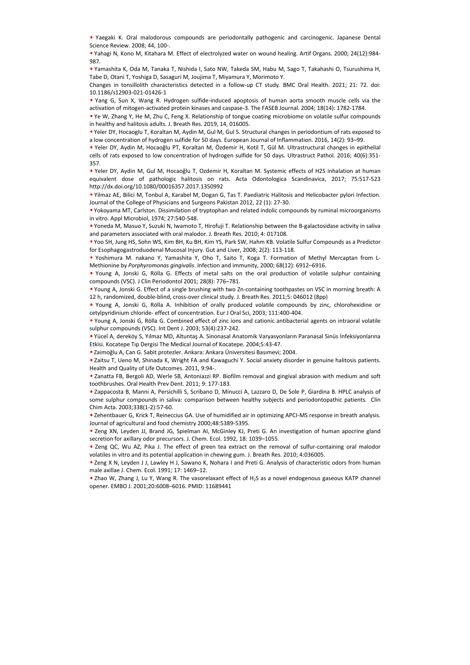• Yaegaki K. Oral malodorous compounds are periodontally pathogenic and carcinogenic. Japanese Dental Science Review. 2008; 44, 100-.

• Yahagi N, Kono M, Kitahara M. Effect of electrolyzed water on wound healing. Artif Organs. 2000; 24(12):984- 987.

• Yamashita K, Oda M, Tanaka T, Nishida I, Sato NW, Takeda SM, Habu M, Sago T, Takahashi O, Tsurushima H, Tabe D, Otani T, Yoshiga D, Sasaguri M, Joujima T, Miyamura Y, Morimoto Y.

Changes in tonsillolith characteristics detected in a follow-up CT study. BMC Oral Health. 2021; 21: 72. doi: 10.1186/s12903-021-01426-1

• Yang G, Sun X, Wang R. Hydrogen sulfide-induced apoptosis of human aorta smooth muscle cells via the activation of mitogen-activated protein kinases and caspase-3. The FASEB Journal. 2004; 18(14): 1782-1784.

• Ye W, Zhang Y, He M, Zhu C, Feng X. Relationship of tongue coating microbiome on volatile sulfur compounds in healthy and halitosis adults. J. Breath Res. 2019, 14, 016005.

• Yeler DY, Hocaoglu T, Koraltan M, Aydin M, Gul M, Gul S. Structural changes in periodontium of rats exposed to a low concentration of hydrogen sulfide for 50 days. European Journal of Inflammation. 2016, 14(2): 93–99.

• Yeler DY, Aydin M, Hocaoğlu PT, Koraltan M, Özdemir H, Kotil T, Gül M. Ultrastructural changes in epithelial cells of rats exposed to low concentration of hydrogen sulfide for 50 days. Ultrastruct Pathol. 2016; 40(6):351- 357.

• Yeler DY, Aydin M, Gul M, Hocaoğlu T, Ozdemir H, Koraltan M. Systemic effects of H2S inhalation at human equivalent dose of pathologic halitosis on rats. Acta Odontologica Scandinavica, 2017; 75:517-523 http://dx.doi.org/10.1080/00016357.2017.1350992

• Yilmaz AE, Bilici M, Tonbul A, Karabel M, Dogan G, Tas T. Paediatric Halitosis and Helicobacter pylori Infection. Journal of the College of Physicians and Surgeons Pakistan 2012, 22 (1): 27-30.

• Yokoyama MT, Carlston. Dissimilation of tryptophan and related indolic compounds by ruminal microorganisms in vitro. Appl Microbiol, 1974; 27:540-548.

• Yoneda M, Masuo Y, Suzuki N, Iwamoto T, Hirofuji T. Relationship between the B-galactosidase activity in saliva and parameters associated with oral malodor. J. Breath Res. 2010; 4: 017108.

• Yoo SH, Jung HS, Sohn WS, Kim BH, Ku BH, Kim YS, Park SW, Hahm KB. Volatile Sulfur Compounds as a Predictor for Esophagogastroduodenal Mucosal Injury. Gut and Liver, 2008; 2(2): 113-118.

• Yoshimura M. nakano Y, Yamashita Y, Oho T, Saito T, Koga T. Formation of Methyl Mercaptan from L-Methionine by *Porphyromonas gingivalis*. Infection and immunity, 2000; 68(12): 6912–6916.

• Young A, Jonski G, Rölla G. Effects of metal salts on the oral production of volatile sulphur containing compounds (VSC). J Clin Periodontol 2001; 28(8): 776–781.

• Young A, Jonski G. Effect of a single brushing with two Zn-containing toothpastes on VSC in morning breath: A 12 h, randomized, double-blind, cross-over clinical study. J. Breath Res. 2011;5: 046012 (8pp)

• Young A, Jonski G, Rölla A. Inhibition of orally produced volatile compounds by zinc, chlorohexidine or cetylpyridinium chloride- effect of concentration. Eur J Oral Sci, 2003; 111:400-404.

• Young A, Jonski G, Rölla G. Combined effect of zinc ions and cationic antibacterial agents on intraoral volatile sulphur compounds (VSC). Int Dent J. 2003; 53(4):237-242.

• Yücel A, dereköy S, Yılmaz MD, Altuntaş A. Sinonasal Anatomik Varyasyonların Paranasal Sinüs İnfeksiyonlarına Etkisi. Kocatepe Tıp Dergisi The Medical Journal of Kocatepe. 2004;5:43-47.

• Zaimoğlu A, Can G. Sabit protezler. Ankara: Ankara Üniversitesi Basımevi; 2004.

• Zaitsu T, Ueno M, Shinada K, Wright FA and Kawaguchi Y. Social anxiety disorder in genuine halitosis patients. Health and Quality of Life Outcomes. 2011, 9:94-.

• Zanatta FB, Bergoli AD, Werle SB, Antoniazzi RP. Biofilm removal and gingival abrasion with medium and soft toothbrushes. Oral Health Prev Dent. 2011; 9: 177-183.

• Zappacosta B, Manni A, Persichilli S, Scribano D, Minucci A, Lazzaro D, De Sole P, Giardina B. HPLC analysis of some sulphur compounds in saliva: comparison between healthy subjects and periodontopathic patients. Clin Chim Acta. 2003;338(1-2):57-60. https://ot.co.iorg/1001.0008/00012537202713350993<br>
villing X-R, initial A, Tombul A, Krankel M, Dogan G, Tas T. Paediatric Hallitos and Helicobacter pylor lifection,<br>
Journal of the College of Physicians and Surgeons Paids

• Zehentbauer G, Krick T, Reineccius GA. Use of humidified air in optimizing APCI-MS response in breath analysis. Journal of agricultural and food chemistry 2000;48:5389-5395.

• Zeng XN, Leyden JJ, Brand JG, Spielman AI, McGinley KJ, Preti G. An investigation of human apocrine gland secretion for axillary odor precursors. J. Chem. Ecol. 1992, 18: 1039–1055.

• Zeng QC, Wu AZ, Pika J. The effect of green tea extract on the removal of sulfur-containing oral malodor volatiles in vitro and its potential application in chewing gum. J. Breath Res. 2010; 4:036005.

• Zeng X N, Leyden J J, Lawley H J, Sawano K, Nohara I and Preti G. Analysis of characteristic odors from human male axillae J. Chem. Ecol. 1991; 17: 1469–12.

• Zhao W, Zhang J, Lu Y, Wang R. The vasorelaxant effect of H2S as a novel endogenous gaseous KATP channel